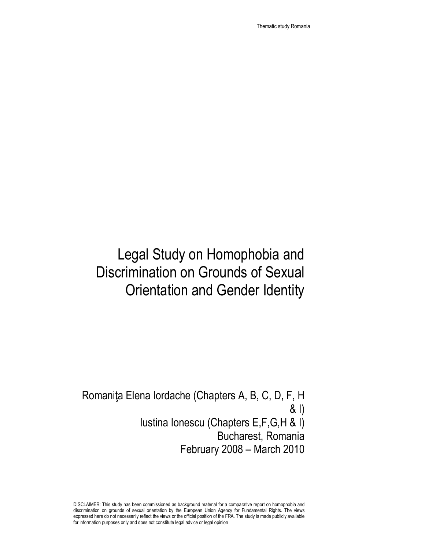Thematic study Romania

# Legal Study on Homophobia and Discrimination on Grounds of Sexual Orientation and Gender Identity

Romaniţa Elena Iordache (Chapters A, B, C, D, F, H & I) Iustina Ionescu (Chapters E,F,G,H & I) Bucharest, Romania February 2008 – March 2010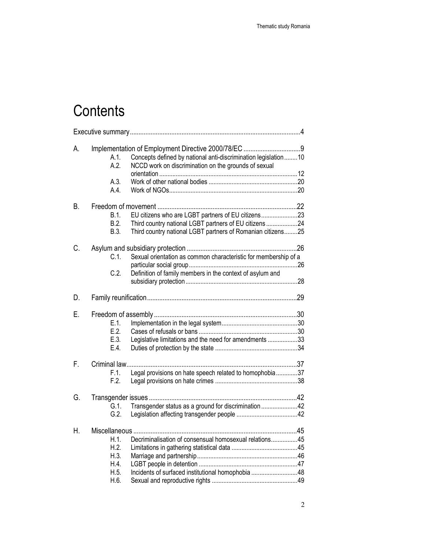# **Contents**

| А.        | Concepts defined by national anti-discrimination legislation10<br>A.1.<br>A.2.<br>NCCD work on discrimination on the grounds of sexual |  |  |  |
|-----------|----------------------------------------------------------------------------------------------------------------------------------------|--|--|--|
|           | A.3.                                                                                                                                   |  |  |  |
|           | A.4                                                                                                                                    |  |  |  |
| <b>B.</b> |                                                                                                                                        |  |  |  |
|           | EU citizens who are LGBT partners of EU citizens23<br>B.1.                                                                             |  |  |  |
|           | B.2.<br>Third country national LGBT partners of EU citizens 24                                                                         |  |  |  |
|           | Third country national LGBT partners of Romanian citizens25<br>B.3.                                                                    |  |  |  |
| C.        |                                                                                                                                        |  |  |  |
|           | Sexual orientation as common characteristic for membership of a<br>$C.1$ .                                                             |  |  |  |
|           | Definition of family members in the context of asylum and<br>C.2.                                                                      |  |  |  |
|           |                                                                                                                                        |  |  |  |
| D.        |                                                                                                                                        |  |  |  |
| Ε.        |                                                                                                                                        |  |  |  |
|           | E.1.                                                                                                                                   |  |  |  |
|           | E.2.                                                                                                                                   |  |  |  |
|           | Legislative limitations and the need for amendments 33<br>E.3.                                                                         |  |  |  |
|           | E.4                                                                                                                                    |  |  |  |
| F.        |                                                                                                                                        |  |  |  |
|           | F.1.<br>Legal provisions on hate speech related to homophobia37                                                                        |  |  |  |
|           | F.2.                                                                                                                                   |  |  |  |
| G.        |                                                                                                                                        |  |  |  |
|           | Transgender status as a ground for discrimination 42<br>$G.1$ .                                                                        |  |  |  |
|           | G.2.                                                                                                                                   |  |  |  |
| Η.        |                                                                                                                                        |  |  |  |
|           | Decriminalisation of consensual homosexual relations45<br>H.1.                                                                         |  |  |  |
|           | H.2.                                                                                                                                   |  |  |  |
|           | H.3.                                                                                                                                   |  |  |  |
|           | H.4.                                                                                                                                   |  |  |  |
|           | Incidents of surfaced institutional homophobia 48<br>H.5.                                                                              |  |  |  |
|           | H.6.                                                                                                                                   |  |  |  |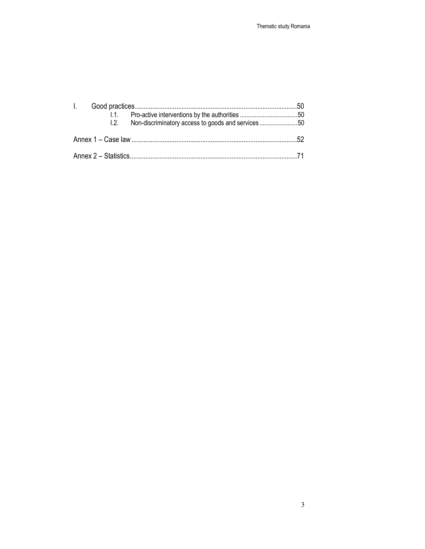|  |  | 1.2. Non-discriminatory access to goods and services 50 |  |  |  |
|--|--|---------------------------------------------------------|--|--|--|
|  |  |                                                         |  |  |  |
|  |  |                                                         |  |  |  |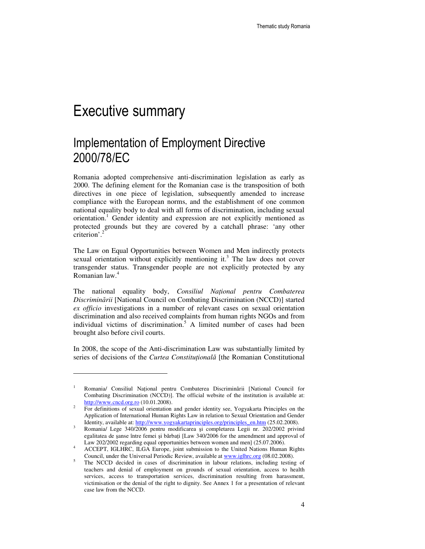# Executive summary

 $\ddot{ }$ 

## Implementation of Employment Directive 2000/78/EC

Romania adopted comprehensive anti-discrimination legislation as early as 2000. The defining element for the Romanian case is the transposition of both directives in one piece of legislation, subsequently amended to increase compliance with the European norms, and the establishment of one common national equality body to deal with all forms of discrimination, including sexual orientation.<sup>1</sup> Gender identity and expression are not explicitly mentioned as protected grounds but they are covered by a catchall phrase: 'any other criterion'.<sup>2</sup>

The Law on Equal Opportunities between Women and Men indirectly protects sexual orientation without explicitly mentioning it.<sup>3</sup> The law does not cover transgender status. Transgender people are not explicitly protected by any Romanian law.<sup>4</sup>

The national equality body, *Consiliul Na*ţ*ional pentru Combaterea Discrimin*ă*rii* [National Council on Combating Discrimination (NCCD)] started *ex officio* investigations in a number of relevant cases on sexual orientation discrimination and also received complaints from human rights NGOs and from individual victims of discrimination.<sup>5</sup> A limited number of cases had been brought also before civil courts.

In 2008, the scope of the Anti-discrimination Law was substantially limited by series of decisions of the *Curtea Constitu*ţ*ional*ă [the Romanian Constitutional

<sup>1</sup>Romania/ Consiliul Naţional pentru Combaterea Discriminârii [National Council for Combating Discrimination (NCCD)]. The official website of the institution is available at: http://www.cncd.org.ro (10.01.2008).

<sup>&</sup>lt;sup>2</sup> For definitions of sexual orientation and gender identity see, Yogyakarta Principles on the Application of International Human Rights Law in relation to Sexual Orientation and Gender Identity, available at: http://www.yogyakartaprinciples.org/principles\_en.htm (25.02.2008).

<sup>3</sup>Romania/ Lege 340/2006 pentru modificarea şi completarea Legii nr. 202/2002 privind egalitatea de sanse între femei și bărbați [Law 340/2006 for the amendment and approval of Law 202/2002 regarding equal opportunities between women and men] (25.07.2006).

<sup>4</sup> ACCEPT, IGLHRC, ILGA Europe, joint submission to the United Nations Human Rights Council, under the Universal Periodic Review, available at www.iglhrc.org (08.02.2008).

<sup>5</sup> The NCCD decided in cases of discrimination in labour relations, including testing of teachers and denial of employment on grounds of sexual orientation, access to health services, access to transportation services, discrimination resulting from harassment, victimisation or the denial of the right to dignity. See Annex 1 for a presentation of relevant case law from the NCCD.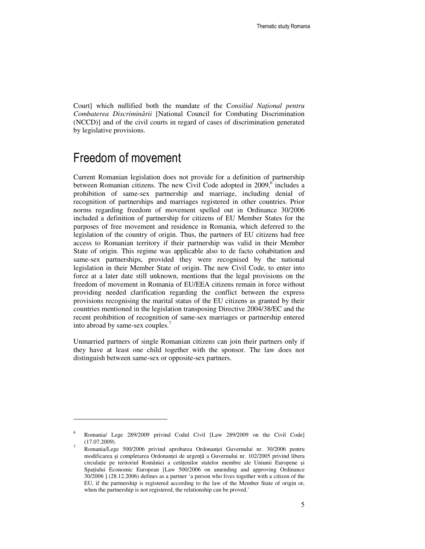Court] which nullified both the mandate of the C*onsiliul Na*ţ*ional pentru Combaterea Discrimin*ă*rii* [National Council for Combating Discrimination (NCCD)] and of the civil courts in regard of cases of discrimination generated by legislative provisions.

### Freedom of movement

 $\ddot{ }$ 

Current Romanian legislation does not provide for a definition of partnership between Romanian citizens. The new Civil Code adopted in 2009,<sup>6</sup> includes a prohibition of same-sex partnership and marriage, including denial of recognition of partnerships and marriages registered in other countries. Prior norms regarding freedom of movement spelled out in Ordinance 30/2006 included a definition of partnership for citizens of EU Member States for the purposes of free movement and residence in Romania, which deferred to the legislation of the country of origin. Thus, the partners of EU citizens had free access to Romanian territory if their partnership was valid in their Member State of origin. This regime was applicable also to de facto cohabitation and same-sex partnerships, provided they were recognised by the national legislation in their Member State of origin. The new Civil Code, to enter into force at a later date still unknown, mentions that the legal provisions on the freedom of movement in Romania of EU/EEA citizens remain in force without providing needed clarification regarding the conflict between the express provisions recognising the marital status of the EU citizens as granted by their countries mentioned in the legislation transposing Directive 2004/38/EC and the recent prohibition of recognition of same-sex marriages or partnership entered into abroad by same-sex couples.<sup>7</sup>

Unmarried partners of single Romanian citizens can join their partners only if they have at least one child together with the sponsor. The law does not distinguish between same-sex or opposite-sex partners.

<sup>&</sup>lt;sup>6</sup> Romania/ Lege 289/2009 privind Codul Civil [Law 289/2009 on the Civil Code] (17.07.2009).

<sup>7</sup>Romania/Lege 500/2006 privind aprobarea Ordonanţei Guvernului nr. 30/2006 pentru modificarea și completarea Ordonanței de urgență a Guvernului nr. 102/2005 privind libera circulație pe teritoriul României a cetățenilor statelor membre ale Uniunii Europene și Spaţiului Economic European [Law 500/2006 on amending and approving Ordinance 30/2006 ] (28.12.2006) defines as a partner 'a person who lives together with a citizen of the EU, if the partnership is registered according to the law of the Member State of origin or, when the partnership is not registered, the relationship can be proved.'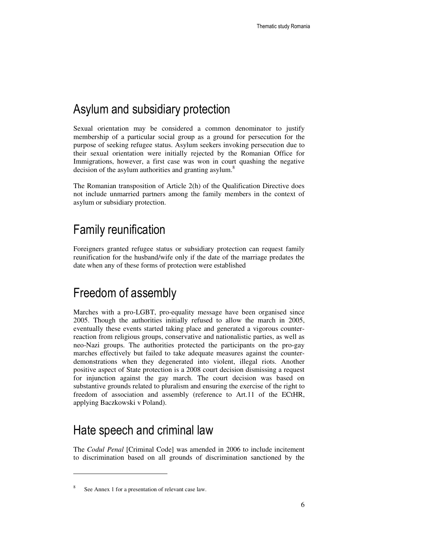### Asylum and subsidiary protection

Sexual orientation may be considered a common denominator to justify membership of a particular social group as a ground for persecution for the purpose of seeking refugee status. Asylum seekers invoking persecution due to their sexual orientation were initially rejected by the Romanian Office for Immigrations, however, a first case was won in court quashing the negative decision of the asylum authorities and granting asylum.<sup>8</sup>

The Romanian transposition of Article 2(h) of the Qualification Directive does not include unmarried partners among the family members in the context of asylum or subsidiary protection.

## Family reunification

Foreigners granted refugee status or subsidiary protection can request family reunification for the husband/wife only if the date of the marriage predates the date when any of these forms of protection were established

### Freedom of assembly

Marches with a pro-LGBT, pro-equality message have been organised since 2005. Though the authorities initially refused to allow the march in 2005, eventually these events started taking place and generated a vigorous counterreaction from religious groups, conservative and nationalistic parties, as well as neo-Nazi groups. The authorities protected the participants on the pro-gay marches effectively but failed to take adequate measures against the counterdemonstrations when they degenerated into violent, illegal riots. Another positive aspect of State protection is a 2008 court decision dismissing a request for injunction against the gay march. The court decision was based on substantive grounds related to pluralism and ensuring the exercise of the right to freedom of association and assembly (reference to Art.11 of the ECtHR, applying Baczkowski v Poland).

### Hate speech and criminal law

The *Codul Penal* [Criminal Code] was amended in 2006 to include incitement to discrimination based on all grounds of discrimination sanctioned by the

See Annex 1 for a presentation of relevant case law.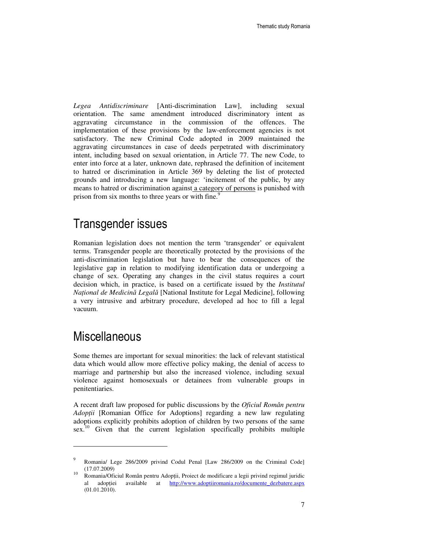*Legea Antidiscriminare* [Anti-discrimination Law], including sexual orientation. The same amendment introduced discriminatory intent as aggravating circumstance in the commission of the offences. The implementation of these provisions by the law-enforcement agencies is not satisfactory. The new Criminal Code adopted in 2009 maintained the aggravating circumstances in case of deeds perpetrated with discriminatory intent, including based on sexual orientation, in Article 77. The new Code, to enter into force at a later, unknown date, rephrased the definition of incitement to hatred or discrimination in Article 369 by deleting the list of protected grounds and introducing a new language: 'incitement of the public, by any means to hatred or discrimination against a category of persons is punished with prison from six months to three years or with fine.<sup>9</sup>

### Transgender issues

Romanian legislation does not mention the term 'transgender' or equivalent terms. Transgender people are theoretically protected by the provisions of the anti-discrimination legislation but have to bear the consequences of the legislative gap in relation to modifying identification data or undergoing a change of sex. Operating any changes in the civil status requires a court decision which, in practice, is based on a certificate issued by the *Institutul Na*ţ*ional de Medicin*ă *Legal*ă [National Institute for Legal Medicine], following a very intrusive and arbitrary procedure, developed ad hoc to fill a legal vacuum.

### Miscellaneous

-

Some themes are important for sexual minorities: the lack of relevant statistical data which would allow more effective policy making, the denial of access to marriage and partnership but also the increased violence, including sexual violence against homosexuals or detainees from vulnerable groups in penitentiaries.

A recent draft law proposed for public discussions by the *Oficiul Român pentru Adop*ţ*ii* [Romanian Office for Adoptions] regarding a new law regulating adoptions explicitly prohibits adoption of children by two persons of the same sex.<sup>10</sup> Given that the current legislation specifically prohibits multiple

Romania/ Lege 286/2009 privind Codul Penal [Law 286/2009 on the Criminal Code] (17.07.2009)

Romania/Oficiul Român pentru Adoptii, Proiect de modificare a legii privind regimul juridic al adoptiei available at http://www.adoptiiromania.ro/documente\_dezbatere.aspx (01.01.2010).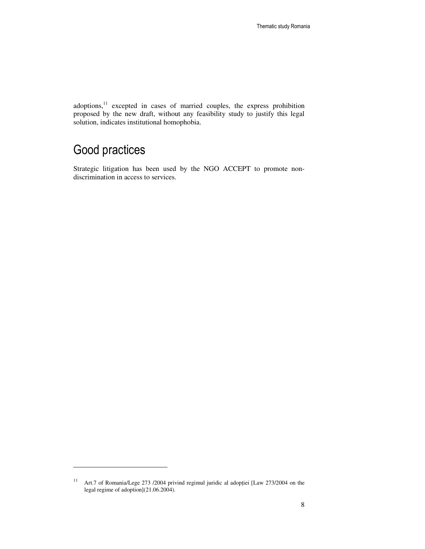adoptions,<sup>11</sup> excepted in cases of married couples, the express prohibition proposed by the new draft, without any feasibility study to justify this legal solution, indicates institutional homophobia.

## Good practices

 $\ddot{ }$ 

Strategic litigation has been used by the NGO ACCEPT to promote nondiscrimination in access to services.

<sup>&</sup>lt;sup>11</sup> Art.7 of Romania/Lege 273 /2004 privind regimul juridic al adopției [Law 273/2004 on the legal regime of adoption](21.06.2004).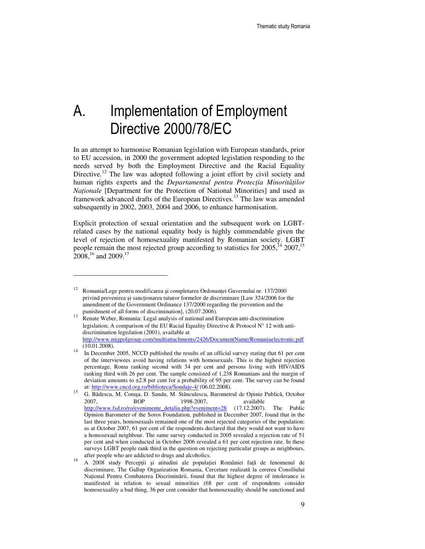# A. Implementation of Employment Directive 2000/78/EC

In an attempt to harmonise Romanian legislation with European standards, prior to EU accession, in 2000 the government adopted legislation responding to the needs served by both the Employment Directive and the Racial Equality Directive.<sup>12</sup> The law was adopted following a joint effort by civil society and human rights experts and the *Departamentul pentru Protec*ţ*ia Minorit*ăţ*ilor Nationale* [Department for the Protection of National Minorities] and used as framework advanced drafts of the European Directives.<sup>13</sup> The law was amended subsequently in 2002, 2003, 2004 and 2006, to enhance harmonisation.

Explicit protection of sexual orientation and the subsequent work on LGBTrelated cases by the national equality body is highly commendable given the level of rejection of homosexuality manifested by Romanian society. LGBT people remain the most rejected group according to statistics for  $2005$ ,<sup>14</sup>,  $2007$ ,<sup>15</sup>  $2008$ ,<sup>16</sup> and 2009.<sup>17</sup>

 $\overline{a}$ 

<sup>&</sup>lt;sup>12</sup> Romania/Lege pentru modificarea și completarea Ordonantei Guvernului nr. 137/2000 privind prevenirea şi sancţionarea tuturor formelor de discriminare [Law 324/2006 for the amendment of the Government Ordinance 137/2000 regarding the prevention and the punishment of all forms of discrimination], (20.07.2006).

<sup>&</sup>lt;sup>13</sup>Renate Weber, Romania: Legal analysis of national and European anti-discrimination legislation; A comparison of the EU Racial Equality Directive & Protocol N° 12 with antidiscrimination legislation (2001), available at http://www.migpolgroup.com/multiattachments/2426/DocumentName/Romaniaelectronic.pdf (10.01.2008).

<sup>&</sup>lt;sup>14</sup>In December 2005, NCCD published the results of an official survey stating that 61 per cent of the interviewees avoid having relations with homosexuals. This is the highest rejection percentage, Roma ranking second with 34 per cent and persons living with HIV/AIDS ranking third with 26 per cent. The sample consisted of 1,238 Romanians and the margin of deviation amounts to  $\pm 2.8$  per cent for a probability of 95 per cent. The survey can be found at: http://www.cncd.org.ro/biblioteca/Sondaje-4/ (06.02.2008).

<sup>15</sup> G. Bădescu, M. Comșa, D. Sandu, M. Stănculescu, Barometrul de Opinie Publică, October 2007, BOP 1998-2007, available at http://www.fsd.ro/ro/evenimente\_detaliu.php?eveniment=28 (17.12.2007). The Public Opinion Barometer of the Soros Foundation, published in December 2007, found that in the last three years, homosexuals remained one of the most rejected categories of the population: as at October 2007, 61 per cent of the respondents declared that they would not want to have a homosexual neighbour. The same survey conducted in 2005 revealed a rejection rate of 51 per cent and when conducted in October 2006 revealed a 61 per cent rejection rate. In these surveys LGBT people rank third in the question on rejecting particular groups as neighbours, after people who are addicted to drugs and alcoholics.

<sup>16</sup>A 2008 study Percepţii şi atitudini ale populaţiei României faţă de fenomenul de discriminare, The Gallup Organization Romania, Cercetare realizată la cererea Consiliului Naţional Pentru Combaterea Discriminării, found that the highest degree of intolerance is manifested in relation to sexual minorities (68 per cent of respondents consider homosexuality a bad thing, 36 per cent consider that homosexuality should be sanctioned and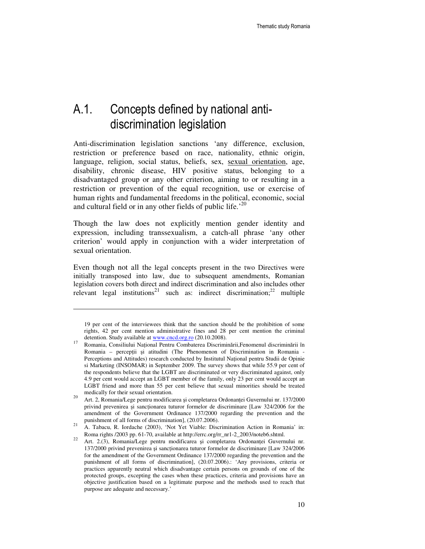## A.1. Concepts defined by national antidiscrimination legislation

Anti-discrimination legislation sanctions 'any difference, exclusion, restriction or preference based on race, nationality, ethnic origin, language, religion, social status, beliefs, sex, sexual orientation, age, disability, chronic disease, HIV positive status, belonging to a disadvantaged group or any other criterion, aiming to or resulting in a restriction or prevention of the equal recognition, use or exercise of human rights and fundamental freedoms in the political, economic, social and cultural field or in any other fields of public life.<sup> $20$ </sup>

Though the law does not explicitly mention gender identity and expression, including transsexualism, a catch-all phrase 'any other criterion' would apply in conjunction with a wider interpretation of sexual orientation.

Even though not all the legal concepts present in the two Directives were initially transposed into law, due to subsequent amendments, Romanian legislation covers both direct and indirect discrimination and also includes other relevant legal institutions<sup>21</sup> such as: indirect discrimination;<sup>22</sup> multiple

<sup>19</sup> per cent of the interviewees think that the sanction should be the prohibition of some rights, 42 per cent mention administrative fines and 28 per cent mention the criminal detention. Study available at www.cncd.org.ro (20.10.2008).

<sup>17</sup>Romania, Consiliului Naţional Pentru Combaterea Discriminării,Fenomenul discriminării în Romania – percepţii şi atitudini (The Phenomenon of Discrimination in Romania - Perceptions and Attitudes) research conducted by Institutul Naţional pentru Studii de Opinie si Marketing (INSOMAR) in September 2009. The survey shows that while 55.9 per cent of the respondents believe that the LGBT are discriminated or very discriminated against, only 4.9 per cent would accept an LGBT member of the family, only 23 per cent would accept an LGBT friend and more than 55 per cent believe that sexual minorities should be treated medically for their sexual orientation.

<sup>20</sup>Art. 2, Romania/Lege pentru modificarea şi completarea Ordonanţei Guvernului nr. 137/2000 privind prevenirea si sanctionarea tuturor formelor de discriminare [Law 324/2006 for the amendment of the Government Ordinance 137/2000 regarding the prevention and the punishment of all forms of discrimination], (20.07.2006).

<sup>&</sup>lt;sup>21</sup> A. Tabacu, R. Iordache (2003), 'Not Yet Viable: Discrimination Action in Romania' in: Roma rights /2003 pp. 61-70, available at http://errc.org/rr\_nr1-2\_2003/noteb6.shtml.

<sup>22</sup> Art. 2.(3), Romania/Lege pentru modificarea și completarea Ordonanței Guvernului nr. 137/2000 privind prevenirea si sanctionarea tuturor formelor de discriminare [Law 324/2006] for the amendment of the Government Ordinance 137/2000 regarding the prevention and the punishment of all forms of discrimination], (20.07.2006). 'Any provisions, criteria or practices apparently neutral which disadvantage certain persons on grounds of one of the protected groups, excepting the cases when these practices, criteria and provisions have an objective justification based on a legitimate purpose and the methods used to reach that purpose are adequate and necessary.'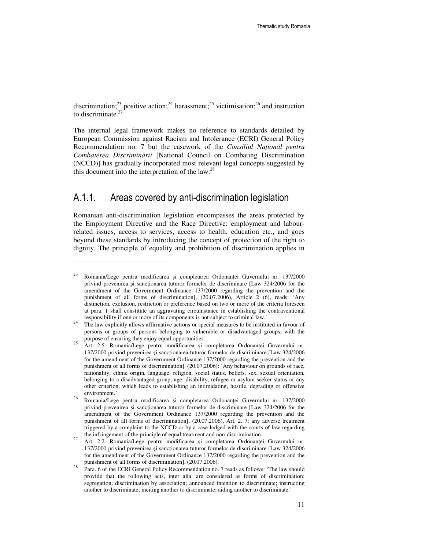discrimination;<sup>23</sup> positive action;<sup>24</sup> harassment;<sup>25</sup> victimisation;<sup>26</sup> and instruction to discriminate. $^{2}$ 

The internal legal framework makes no reference to standards detailed by European Commission against Racism and Intolerance (ECRI) General Policy Recommendation no. 7 but the casework of the *Consiliul Na*ţ*ional pentru Combaterea Discrimin*ă*rii* [National Council on Combating Discrimination (NCCD)] has gradually incorporated most relevant legal concepts suggested by this document into the interpretation of the law.<sup>28</sup>

#### A.1.1. Areas covered by anti-discrimination legislation

-

Romanian anti-discrimination legislation encompasses the areas protected by the Employment Directive and the Race Directive: employment and labourrelated issues, access to services, access to health, education etc., and goes beyond these standards by introducing the concept of protection of the right to dignity. The principle of equality and prohibition of discrimination applies in

Para. 6 of the ECRI General Policy Recommendation no. 7 reads as follows: 'The law should provide that the following acts, inter alia, are considered as forms of discrimination: segregation; discrimination by association; announced intention to discriminate; instructing another to discriminate; inciting another to discriminate; aiding another to discriminate.'

<sup>23</sup>Romania/Lege pentru modificarea şi completarea Ordonanţei Guvernului nr. 137/2000 privind prevenirea și sancționarea tuturor formelor de discriminare [Law 324/2006 for the amendment of the Government Ordinance 137/2000 regarding the prevention and the punishment of all forms of discrimination], (20.07.2006), Article 2 (6), reads: 'Any distinction, exclusion, restriction or preference based on two or more of the criteria foreseen at para. 1 shall constitute an aggravating circumstance in establishing the contraventional responsibility if one or more of its components is not subject to criminal law.'

<sup>&</sup>lt;sup>24</sup>The law explicitly allows affirmative actions or special measures to be instituted in favour of persons or groups of persons belonging to vulnerable or disadvantaged groups, with the purpose of ensuring they enjoy equal opportunities.

<sup>&</sup>lt;sup>25</sup> Art. 2.5. Romania/Lege pentru modificarea și completarea Ordonanței Guvernului nr. 137/2000 privind prevenirea şi sancţionarea tuturor formelor de discriminare [Law 324/2006 for the amendment of the Government Ordinance 137/2000 regarding the prevention and the punishment of all forms of discrimination], (20.07.2006): 'Any behaviour on grounds of race, nationality, ethnic origin, language, religion, social status, beliefs, sex, sexual orientation, belonging to a disadvantaged group, age, disability, refugee or asylum seeker status or any other criterion, which leads to establishing an intimidating, hostile, degrading or offensive environment.'

<sup>&</sup>lt;sup>26</sup> Romania/Lege pentru modificarea și completarea Ordonanței Guvernului nr. 137/2000 privind prevenirea şi sancţionarea tuturor formelor de discriminare [Law 324/2006 for the amendment of the Government Ordinance 137/2000 regarding the prevention and the punishment of all forms of discrimination], (20.07.2006), Art. 2. 7: any adverse treatment triggered by a complaint to the NCCD or by a case lodged with the courts of law regarding the infringement of the principle of equal treatment and non-discrimination.

<sup>&</sup>lt;sup>27</sup> Art. 2.2. Romania/Lege pentru modificarea și completarea Ordonanței Guvernului nr. 137/2000 privind prevenirea şi sancţionarea tuturor formelor de discriminare [Law 324/2006 for the amendment of the Government Ordinance 137/2000 regarding the prevention and the punishment of all forms of discrimination], (20.07.2006).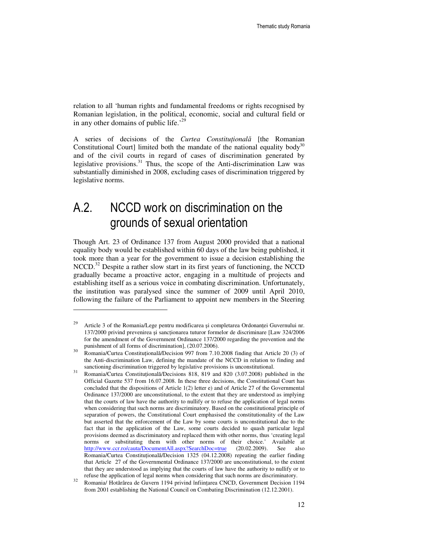relation to all 'human rights and fundamental freedoms or rights recognised by Romanian legislation, in the political, economic, social and cultural field or in any other domains of public life.<sup> $29$ </sup>

A series of decisions of the *Curtea Constitu*ţ*ional*ă [the Romanian Constitutional Court] limited both the mandate of the national equality body<sup>30</sup> and of the civil courts in regard of cases of discrimination generated by legislative provisions. $31$  Thus, the scope of the Anti-discrimination Law was substantially diminished in 2008, excluding cases of discrimination triggered by legislative norms.

## A.2. NCCD work on discrimination on the grounds of sexual orientation

Though Art. 23 of Ordinance 137 from August 2000 provided that a national equality body would be established within 60 days of the law being published, it took more than a year for the government to issue a decision establishing the NCCD.<sup>32</sup> Despite a rather slow start in its first years of functioning, the NCCD gradually became a proactive actor, engaging in a multitude of projects and establishing itself as a serious voice in combating discrimination. Unfortunately, the institution was paralysed since the summer of 2009 until April 2010, following the failure of the Parliament to appoint new members in the Steering

<sup>&</sup>lt;sup>29</sup> Article 3 of the Romania/Lege pentru modificarea și completarea Ordonanței Guvernului nr. 137/2000 privind prevenirea şi sancţionarea tuturor formelor de discriminare [Law 324/2006 for the amendment of the Government Ordinance 137/2000 regarding the prevention and the punishment of all forms of discrimination], (20.07.2006).

<sup>&</sup>lt;sup>30</sup>Romania/Curtea Constitutională/Decision 997 from 7.10.2008 finding that Article 20 (3) of the Anti-discrimination Law, defining the mandate of the NCCD in relation to finding and sanctioning discrimination triggered by legislative provisions is unconstitutional.

<sup>&</sup>lt;sup>31</sup> Romania/Curtea Constitutională/Decisions 818, 819 and 820 (3.07.2008) published in the Official Gazette 537 from 16.07.2008. In these three decisions, the Constitutional Court has concluded that the dispositions of Article 1(2) letter e) and of Article 27 of the Governmental Ordinance 137/2000 are unconstitutional, to the extent that they are understood as implying that the courts of law have the authority to nullify or to refuse the application of legal norms when considering that such norms are discriminatory. Based on the constitutional principle of separation of powers, the Constitutional Court emphasised the constitutionality of the Law but asserted that the enforcement of the Law by some courts is unconstitutional due to the fact that in the application of the Law, some courts decided to quash particular legal provisions deemed as discriminatory and replaced them with other norms, thus 'creating legal norms or substituting them with other norms of their choice.' Available at http://www.ccr.ro/cauta/DocumentAll.aspx?SearchDoc=true (20.02.2009). See also Romania/Curtea Constituţională/Decision 1325 (04.12.2008) repeating the earlier finding that Article 27 of the Governmental Ordinance 137/2000 are unconstitutional, to the extent that they are understood as implying that the courts of law have the authority to nullify or to refuse the application of legal norms when considering that such norms are discriminatory.

<sup>&</sup>lt;sup>32</sup> Romania/ Hotărârea de Guvern 1194 privind înființarea CNCD, Government Decision 1194 from 2001 establishing the National Council on Combating Discrimination (12.12.2001).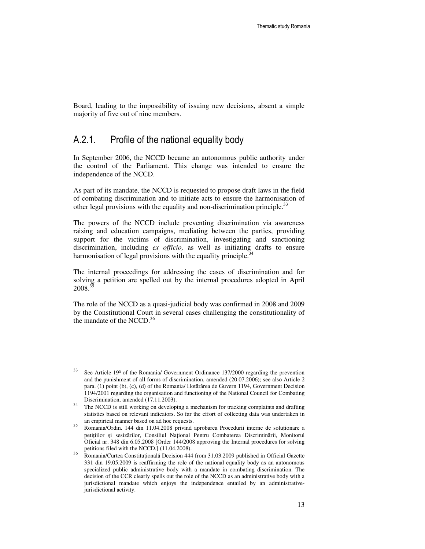Board, leading to the impossibility of issuing new decisions, absent a simple majority of five out of nine members.

#### A.2.1. Profile of the national equality body

In September 2006, the NCCD became an autonomous public authority under the control of the Parliament. This change was intended to ensure the independence of the NCCD.

As part of its mandate, the NCCD is requested to propose draft laws in the field of combating discrimination and to initiate acts to ensure the harmonisation of other legal provisions with the equality and non-discrimination principle. $33$ 

The powers of the NCCD include preventing discrimination via awareness raising and education campaigns, mediating between the parties, providing support for the victims of discrimination, investigating and sanctioning discrimination, including *ex officio,* as well as initiating drafts to ensure harmonisation of legal provisions with the equality principle.<sup>34</sup>

The internal proceedings for addressing the cases of discrimination and for solving a petition are spelled out by the internal procedures adopted in April  $2008.<sup>35</sup>$ 

The role of the NCCD as a quasi-judicial body was confirmed in 2008 and 2009 by the Constitutional Court in several cases challenging the constitutionality of the mandate of the NCCD.<sup>36</sup>

 $33$  See Article 19<sup>3</sup> of the Romania/ Government Ordinance 137/2000 regarding the prevention and the punishment of all forms of discrimination, amended (20.07.2006); see also Article 2 para. (1) point (b), (c), (d) of the Romania/ Hotărârea de Guvern 1194, Government Decision 1194/2001 regarding the organisation and functioning of the National Council for Combating Discrimination, amended (17.11.2003).

<sup>&</sup>lt;sup>34</sup> The NCCD is still working on developing a mechanism for tracking complaints and drafting statistics based on relevant indicators. So far the effort of collecting data was undertaken in an empirical manner based on ad hoc requests.

<sup>35</sup>Romania/Ordin. 144 din 11.04.2008 privind aprobarea Procedurii interne de soluţionare a petiţiilor şi sesizărilor, Consiliul Naţional Pentru Combaterea Discriminării, Monitorul Oficial nr. 348 din 6.05.2008 [Order 144/2008 approving the Internal procedures for solving petitions filed with the NCCD.] (11.04.2008).

Romania/Curtea Constitutională Decision 444 from 31.03.2009 published in Official Gazette 331 din 19.05.2009 is reaffirming the role of the national equality body as an autonomous specialized public administrative body with a mandate in combating discrimination. The decision of the CCR clearly spells out the role of the NCCD as an administrative body with a jurisdictional mandate which enjoys the independence entailed by an administrativejurisdictional activity.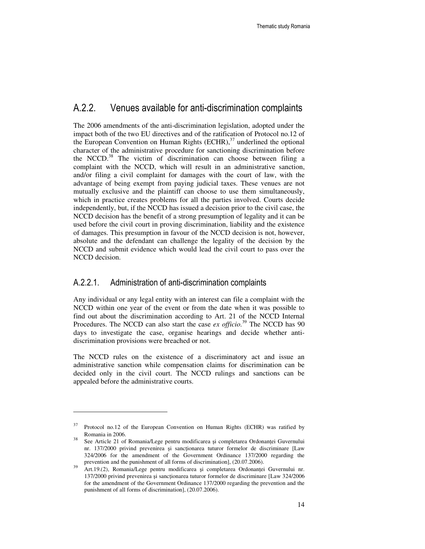#### A.2.2. Venues available for anti-discrimination complaints

The 2006 amendments of the anti-discrimination legislation, adopted under the impact both of the two EU directives and of the ratification of Protocol no.12 of the European Convention on Human Rights (ECHR),<sup>37</sup> underlined the optional character of the administrative procedure for sanctioning discrimination before the NCCD.<sup>38</sup> The victim of discrimination can choose between filing a complaint with the NCCD, which will result in an administrative sanction, and/or filing a civil complaint for damages with the court of law, with the advantage of being exempt from paying judicial taxes. These venues are not mutually exclusive and the plaintiff can choose to use them simultaneously, which in practice creates problems for all the parties involved. Courts decide independently, but, if the NCCD has issued a decision prior to the civil case, the NCCD decision has the benefit of a strong presumption of legality and it can be used before the civil court in proving discrimination, liability and the existence of damages. This presumption in favour of the NCCD decision is not, however, absolute and the defendant can challenge the legality of the decision by the NCCD and submit evidence which would lead the civil court to pass over the NCCD decision.

#### A.2.2.1. Administration of anti-discrimination complaints

Any individual or any legal entity with an interest can file a complaint with the NCCD within one year of the event or from the date when it was possible to find out about the discrimination according to Art. 21 of the NCCD Internal Procedures. The NCCD can also start the case *ex officio*.<sup>39</sup> The NCCD has 90 days to investigate the case, organise hearings and decide whether antidiscrimination provisions were breached or not.

The NCCD rules on the existence of a discriminatory act and issue an administrative sanction while compensation claims for discrimination can be decided only in the civil court. The NCCD rulings and sanctions can be appealed before the administrative courts.

 $37$  Protocol no.12 of the European Convention on Human Rights (ECHR) was ratified by Romania in 2006.

<sup>&</sup>lt;sup>38</sup> See Article 21 of Romania/Lege pentru modificarea și completarea Ordonanței Guvernului nr. 137/2000 privind prevenirea şi sancţionarea tuturor formelor de discriminare [Law 324/2006 for the amendment of the Government Ordinance 137/2000 regarding the prevention and the punishment of all forms of discrimination], (20.07.2006).

<sup>39</sup>Art.19.(2), Romania/Lege pentru modificarea şi completarea Ordonanţei Guvernului nr. 137/2000 privind prevenirea şi sancţionarea tuturor formelor de discriminare [Law 324/2006 for the amendment of the Government Ordinance 137/2000 regarding the prevention and the punishment of all forms of discrimination], (20.07.2006).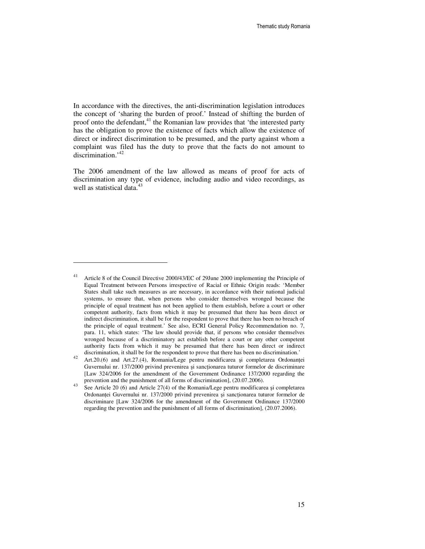In accordance with the directives, the anti-discrimination legislation introduces the concept of 'sharing the burden of proof.' Instead of shifting the burden of proof onto the defendant, $41$  the Romanian law provides that 'the interested party has the obligation to prove the existence of facts which allow the existence of direct or indirect discrimination to be presumed, and the party against whom a complaint was filed has the duty to prove that the facts do not amount to discrimination.'<sup>42</sup>

The 2006 amendment of the law allowed as means of proof for acts of discrimination any type of evidence, including audio and video recordings, as well as statistical data.<sup>4</sup>

 $\overline{a}$ 

<sup>&</sup>lt;sup>41</sup> Article 8 of the Council Directive 2000/43/EC of 29June 2000 implementing the Principle of Equal Treatment between Persons irrespective of Racial or Ethnic Origin reads: 'Member States shall take such measures as are necessary, in accordance with their national judicial systems, to ensure that, when persons who consider themselves wronged because the principle of equal treatment has not been applied to them establish, before a court or other competent authority, facts from which it may be presumed that there has been direct or indirect discrimination, it shall be for the respondent to prove that there has been no breach of the principle of equal treatment.' See also, ECRI General Policy Recommendation no. 7, para. 11, which states: 'The law should provide that, if persons who consider themselves wronged because of a discriminatory act establish before a court or any other competent authority facts from which it may be presumed that there has been direct or indirect discrimination, it shall be for the respondent to prove that there has been no discrimination.'

<sup>42&</sup>lt;br>Art.20.(6) and Art.27.(4), Romania/Lege pentru modificarea și completarea Ordonanței Guvernului nr. 137/2000 privind prevenirea şi sancţionarea tuturor formelor de discriminare [Law 324/2006 for the amendment of the Government Ordinance 137/2000 regarding the prevention and the punishment of all forms of discrimination], (20.07.2006).

<sup>43</sup>See Article 20 (6) and Article 27(4) of the Romania/Lege pentru modificarea şi completarea Ordonanței Guvernului nr. 137/2000 privind prevenirea și sancționarea tuturor formelor de discriminare [Law 324/2006 for the amendment of the Government Ordinance 137/2000 regarding the prevention and the punishment of all forms of discrimination], (20.07.2006).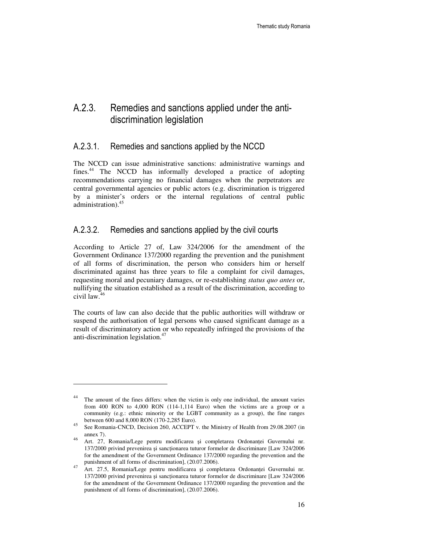### A.2.3. Remedies and sanctions applied under the antidiscrimination legislation

#### A.2.3.1. Remedies and sanctions applied by the NCCD

The NCCD can issue administrative sanctions: administrative warnings and fines.<sup>44</sup> The NCCD has informally developed a practice of adopting recommendations carrying no financial damages when the perpetrators are central governmental agencies or public actors (e.g. discrimination is triggered by a minister's orders or the internal regulations of central public administration).<sup>45</sup>

#### A.2.3.2. Remedies and sanctions applied by the civil courts

According to Article 27 of, Law 324/2006 for the amendment of the Government Ordinance 137/2000 regarding the prevention and the punishment of all forms of discrimination, the person who considers him or herself discriminated against has three years to file a complaint for civil damages, requesting moral and pecuniary damages, or re-establishing *status quo antes* or, nullifying the situation established as a result of the discrimination, according to civil law.<sup>46</sup>

The courts of law can also decide that the public authorities will withdraw or suspend the authorisation of legal persons who caused significant damage as a result of discriminatory action or who repeatedly infringed the provisions of the anti-discrimination legislation. $47$ 

-

The amount of the fines differs: when the victim is only one individual, the amount varies from 400 RON to 4,000 RON (114-1,114 Euro) when the victims are a group or a community (e.g.: ethnic minority or the LGBT community as a group), the fine ranges between 600 and 8,000 RON (170-2,285 Euro).

 $45$  See Romania-CNCD, Decision 260, ACCEPT v. the Ministry of Health from 29.08.2007 (in annex 7).

<sup>&</sup>lt;sup>46</sup> Art. 27, Romania/Lege pentru modificarea și completarea Ordonanței Guvernului nr. 137/2000 privind prevenirea şi sancţionarea tuturor formelor de discriminare [Law 324/2006 for the amendment of the Government Ordinance 137/2000 regarding the prevention and the punishment of all forms of discrimination], (20.07.2006).

Art. 27.5, Romania/Lege pentru modificarea și completarea Ordonanței Guvernului nr. 137/2000 privind prevenirea şi sancţionarea tuturor formelor de discriminare [Law 324/2006 for the amendment of the Government Ordinance 137/2000 regarding the prevention and the punishment of all forms of discrimination], (20.07.2006).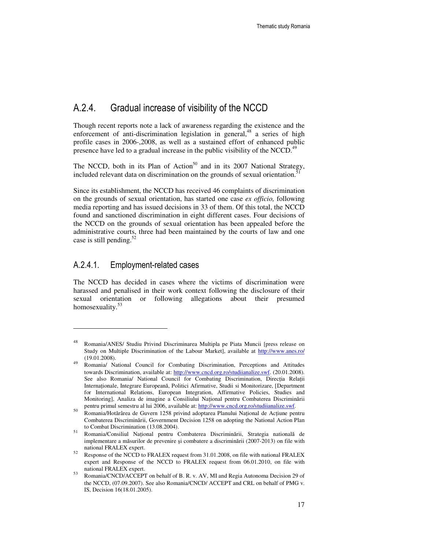#### A.2.4. Gradual increase of visibility of the NCCD

Though recent reports note a lack of awareness regarding the existence and the enforcement of anti-discrimination legislation in general, $48$  a series of high profile cases in 2006-,2008, as well as a sustained effort of enhanced public presence have led to a gradual increase in the public visibility of the NCCD.<sup>49</sup>

The NCCD, both in its Plan of Action<sup>50</sup> and in its 2007 National Strategy, included relevant data on discrimination on the grounds of sexual orientation.<sup>5</sup>

Since its establishment, the NCCD has received 46 complaints of discrimination on the grounds of sexual orientation, has started one case *ex officio,* following media reporting and has issued decisions in 33 of them. Of this total, the NCCD found and sanctioned discrimination in eight different cases. Four decisions of the NCCD on the grounds of sexual orientation has been appealed before the administrative courts, three had been maintained by the courts of law and one case is still pending.<sup>52</sup>

#### A.2.4.1. Employment-related cases

 $\ddot{ }$ 

The NCCD has decided in cases where the victims of discrimination were harassed and penalised in their work context following the disclosure of their sexual orientation or following allegations about their presumed homosexuality.<sup>53</sup>

<sup>48</sup>Romania/ANES/ Studiu Privind Discriminarea Multipla pe Piata Muncii [press release on Study on Multiple Discrimination of the Labour Market], available at http://www.anes.ro/ (19.01.2008).

Romania/ National Council for Combating Discrimination, Perceptions and Attitudes towards Discrimination, available at: http://www.cncd.org.ro/studiianalize.swf. (20.01.2008). See also Romania/ National Council for Combating Discrimination, Direcţia Relaţii Internaţionale, Integrare Europeană, Politici Afirmative, Studii si Monitorizare, [Department for International Relations, European Integration, Affirmative Policies, Studies and Monitoring], Analiza de imagine a Consiliului National pentru Combaterea Discriminării pentru primul semestru al lui 2006, available at: http://www.cncd.org.ro/studiianalize.swf.

<sup>50</sup>Romania/Hotărârea de Guvern 1258 privind adoptarea Planului Naţional de Acţiune pentru Combaterea Discriminării, Government Decision 1258 on adopting the National Action Plan to Combat Discrimination (13.08.2004).

<sup>51</sup>Romania/Consiliul Naţional pentru Combaterea Discriminării, Strategia natională de implementare a măsurilor de prevenire şi combatere a discriminării (2007-2013) on file with national FRALEX expert.

 $52$  Response of the NCCD to FRALEX request from 31.01.2008, on file with national FRALEX expert and Response of the NCCD to FRALEX request from 06.01.2010, on file with national FRALEX expert.

Romania/CNCD/ACCEPT on behalf of B. R. v. AV, MI and Regia Autonoma Decision 29 of the NCCD, (07.09.2007). See also Romania/CNCD/ ACCEPT and CRL on behalf of PMG v. IS, Decision 16(18.01.2005).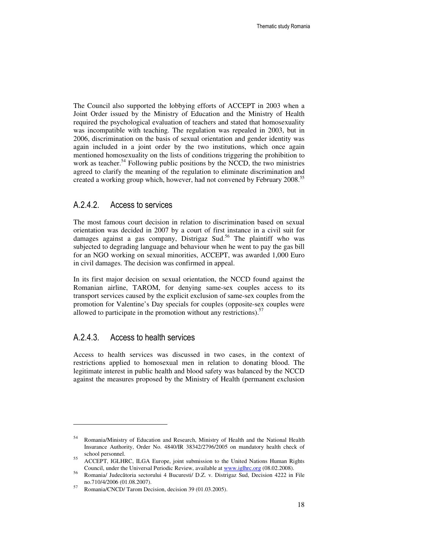The Council also supported the lobbying efforts of ACCEPT in 2003 when a Joint Order issued by the Ministry of Education and the Ministry of Health required the psychological evaluation of teachers and stated that homosexuality was incompatible with teaching. The regulation was repealed in 2003, but in 2006, discrimination on the basis of sexual orientation and gender identity was again included in a joint order by the two institutions, which once again mentioned homosexuality on the lists of conditions triggering the prohibition to work as teacher.<sup>54</sup> Following public positions by the NCCD, the two ministries agreed to clarify the meaning of the regulation to eliminate discrimination and created a working group which, however, had not convened by February 2008.<sup>55</sup>

#### A.2.4.2. Access to services

The most famous court decision in relation to discrimination based on sexual orientation was decided in 2007 by a court of first instance in a civil suit for damages against a gas company, Distrigaz Sud.<sup>56</sup> The plaintiff who was subjected to degrading language and behaviour when he went to pay the gas bill for an NGO working on sexual minorities, ACCEPT, was awarded 1,000 Euro in civil damages. The decision was confirmed in appeal.

In its first major decision on sexual orientation, the NCCD found against the Romanian airline, TAROM, for denying same-sex couples access to its transport services caused by the explicit exclusion of same-sex couples from the promotion for Valentine's Day specials for couples (opposite-sex couples were allowed to participate in the promotion without any restrictions).<sup>57</sup>

#### A.2.4.3. Access to health services

 $\ddot{ }$ 

Access to health services was discussed in two cases, in the context of restrictions applied to homosexual men in relation to donating blood. The legitimate interest in public health and blood safety was balanced by the NCCD against the measures proposed by the Ministry of Health (permanent exclusion

<sup>&</sup>lt;sup>54</sup> Romania/Ministry of Education and Research, Ministry of Health and the National Health Insurance Authority, Order No. 4840/IR 38342/2796/2005 on mandatory health check of school personnel.

<sup>&</sup>lt;sup>55</sup> ACCEPT, IGLHRC, ILGA Europe, joint submission to the United Nations Human Rights Council, under the Universal Periodic Review, available at www.iglhrc.org (08.02.2008).

<sup>&</sup>lt;sup>56</sup> Romania/ Judecătoria sectorului 4 Bucuresti/ D.Z. v. Distrigaz Sud, Decision 4222 in File no.710/4/2006 (01.08.2007).

<sup>&</sup>lt;sup>57</sup> Romania/CNCD/ Tarom Decision, decision 39 (01.03.2005).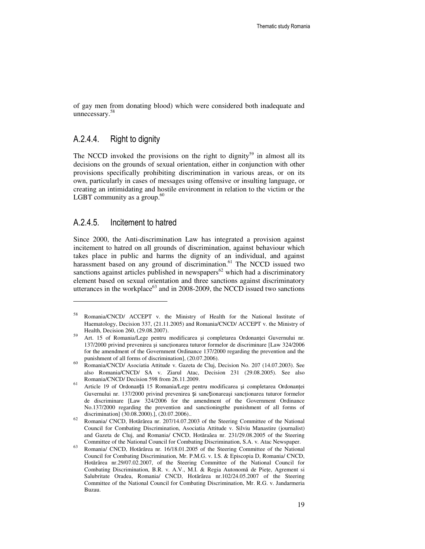of gay men from donating blood) which were considered both inadequate and unnecessary. 58

#### A.2.4.4. Right to dignity

The NCCD invoked the provisions on the right to dignity<sup>59</sup> in almost all its decisions on the grounds of sexual orientation, either in conjunction with other provisions specifically prohibiting discrimination in various areas, or on its own, particularly in cases of messages using offensive or insulting language, or creating an intimidating and hostile environment in relation to the victim or the LGBT community as a group. $60$ 

#### A.2.4.5. Incitement to hatred

 $\ddot{ }$ 

Since 2000, the Anti-discrimination Law has integrated a provision against incitement to hatred on all grounds of discrimination, against behaviour which takes place in public and harms the dignity of an individual, and against harassment based on any ground of discrimination. $61$  The NCCD issued two sanctions against articles published in newspapers $62$  which had a discriminatory element based on sexual orientation and three sanctions against discriminatory utterances in the workplace $^{63}$  and in 2008-2009, the NCCD issued two sanctions

<sup>&</sup>lt;sup>58</sup> Romania/CNCD/ ACCEPT v. the Ministry of Health for the National Institute of Haematology, Decision 337, (21.11.2005) and Romania/CNCD/ ACCEPT v. the Ministry of Health, Decision 260, (29.08.2007).

<sup>59</sup>Art. 15 of Romania/Lege pentru modificarea şi completarea Ordonanţei Guvernului nr. 137/2000 privind prevenirea şi sancţionarea tuturor formelor de discriminare [Law 324/2006 for the amendment of the Government Ordinance 137/2000 regarding the prevention and the punishment of all forms of discrimination], (20.07.2006).

<sup>&</sup>lt;sup>60</sup> Romania/CNCD/ Asociatia Attitude v. Gazeta de Cluj, Decision No. 207 (14.07.2003). See also Romania/CNCD/ SA v. Ziarul Atac, Decision 231 (29.08.2005). See also Romania/CNCD/ Decision 598 from 26.11.2009.

<sup>61</sup>Article 19 of Ordonanță 15 Romania/Lege pentru modificarea şi completarea Ordonanţei Guvernului nr. 137/2000 privind prevenirea și sancționareasi sancționarea tuturor formelor de discriminare [Law 324/2006 for the amendment of the Government Ordinance No.137/2000 regarding the prevention and sanctioningthe punishment of all forms of discrimination] (30.08.2000).], (20.07.2006)..

<sup>62</sup>Romania/ CNCD, Hotărârea nr. 207/14.07.2003 of the Steering Committee of the National Council for Combating Discrimination, Asociatia Attitude v. Silviu Manastire (journalist) and Gazeta de Cluj, and Romania/ CNCD, Hotăraâea nr. 231/29.08.2005 of the Steering Committee of the National Council for Combating Discrimination, S.A. v. Atac Newspaper.

Romania/ CNCD, Hotărârea nr. 16/18.01.2005 of the Steering Committee of the National Council for Combating Discrimination, Mr. P.M.G. v. I.S. & Episcopia D, Romania/ CNCD, Hotărârea nr.29/07.02.2007, of the Steering Committee of the National Council for Combating Discrimination, B.R. v. A.V., M.I. & Regia Autonomă de Pieţe, Agrement si Salubritate Oradea, Romania/ CNCD, Hotărârea nr.102/24.05.2007 of the Steering Committee of the National Council for Combating Discrimination, Mr. R.G. v. Jandarmeria Buzau.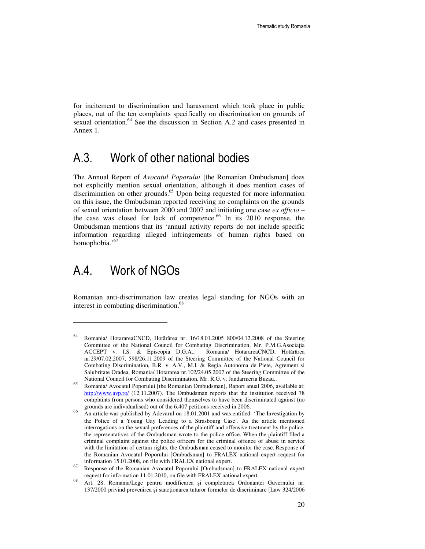for incitement to discrimination and harassment which took place in public places, out of the ten complaints specifically on discrimination on grounds of sexual orientation.<sup>64</sup> See the discussion in Section A.2 and cases presented in Annex 1.

### A.3. Work of other national bodies

The Annual Report of *Avocatul Poporului* [the Romanian Ombudsman] does not explicitly mention sexual orientation, although it does mention cases of discrimination on other grounds.<sup>65</sup> Upon being requested for more information on this issue, the Ombudsman reported receiving no complaints on the grounds of sexual orientation between 2000 and 2007 and initiating one case *ex officio –* the case was closed for lack of competence.<sup>66</sup> In its 2010 response, the Ombudsman mentions that its 'annual activity reports do not include specific information regarding alleged infringements of human rights based on homophobia.'<sup>67</sup>

### A.4. Work of NGOs

 $\ddot{ }$ 

Romanian anti-discrimination law creates legal standing for NGOs with an interest in combating discrimination.<sup>68</sup>

<sup>64</sup> Romania/ HotarareaCNCD, Hotărârea nr. 16/18.01.2005 800/04.12.2008 of the Steering Committee of the National Council for Combating Discrimination, Mr. P.M.G.Asociaţia ACCEPT v. I.S. & Episcopia D,G.A., Romania/ HotarareaCNCD, Hotărârea nr.29/07.02.2007, 598/26.11.2009 of the Steering Committee of the National Council for Combating Discrimination, B.R. v. A.V., M.I. & Regia Autonoma de Piete, Agrement si Salubritate Oradea, Romania/ Hotararea nr.102/24.05.2007 of the Steering Committee of the National Council for Combating Discrimination, Mr. R.G. v. Jandarmeria Buzau..

<sup>65</sup>Romania/ Avocatul Poporului [the Romanian Ombudsman], Raport anual 2006, available at: http://www.avp.ro/ (12.11.2007). The Ombudsman reports that the institution received 78 complaints from persons who considered themselves to have been discriminated against (no grounds are individualised) out of the 6,407 petitions received in 2006.

<sup>66</sup>An article was published by Adevarul on 18.01.2001 and was entitled: 'The Investigation by the Police of a Young Gay Leading to a Strasbourg Case'. As the article mentioned interrogations on the sexual preferences of the plaintiff and offensive treatment by the police, the representatives of the Ombudsman wrote to the police office. When the plaintiff filed a criminal complaint against the police officers for the criminal offence of abuse in service with the limitation of certain rights, the Ombudsman ceased to monitor the case. Response of the Romanian Avocatul Poporului [Ombudsman] to FRALEX national expert request for information 15.01.2008, on file with FRALEX national expert.

<sup>&</sup>lt;sup>67</sup> Response of the Romanian Avocatul Poporului [Ombudsman] to FRALEX national expert request for information 11.01.2010, on file with FRALEX national expert.

<sup>&</sup>lt;sup>68</sup> Art. 28, Romania/Lege pentru modificarea și completarea Ordonanței Guvernului nr. 137/2000 privind prevenirea şi sancţionarea tuturor formelor de discriminare [Law 324/2006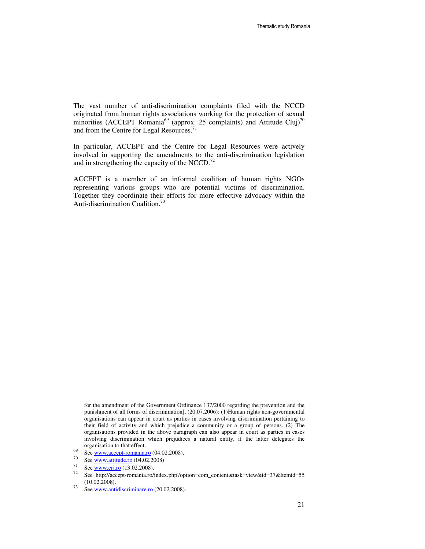The vast number of anti-discrimination complaints filed with the NCCD originated from human rights associations working for the protection of sexual minorities (ACCEPT Romania<sup>69</sup> (approx. 25 complaints) and Attitude Cluj)<sup>70</sup> and from the Centre for Legal Resources.<sup>71</sup>

In particular, ACCEPT and the Centre for Legal Resources were actively involved in supporting the amendments to the anti-discrimination legislation and in strengthening the capacity of the NCCD.<sup>72</sup>

ACCEPT is a member of an informal coalition of human rights NGOs representing various groups who are potential victims of discrimination. Together they coordinate their efforts for more effective advocacy within the Anti-discrimination Coalition.<sup>73</sup>

 $\overline{a}$ 

for the amendment of the Government Ordinance 137/2000 regarding the prevention and the punishment of all forms of discrimination], (20.07.2006): (1)Human rights non-governmental organisations can appear in court as parties in cases involving discrimination pertaining to their field of activity and which prejudice a community or a group of persons. (2) The organisations provided in the above paragraph can also appear in court as parties in cases involving discrimination which prejudices a natural entity, if the latter delegates the organisation to that effect.

 $^{69}$  See <u>www.accept-romania.ro</u> (04.02.2008).

 $^{70}$  See <u>www.attitude.ro</u> (04.02.2008)

 $rac{71}{72}$  See <u>www.crj.ro</u> (13.02.2008).

<sup>72</sup>See http://accept-romania.ro/index.php?option=com\_content&task=view&id=37&Itemid=55 (10.02.2008).

 $73$  See www.antidiscriminare.ro (20.02.2008).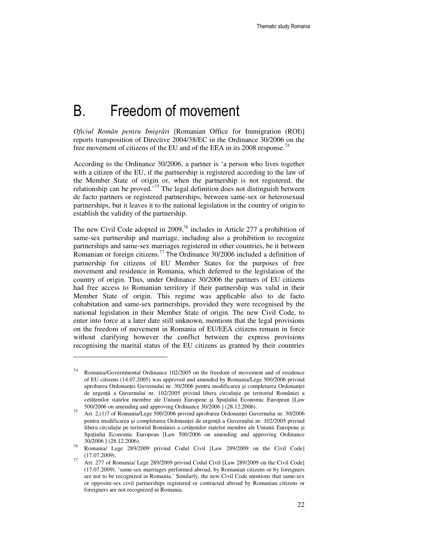# B. Freedom of movement

*Oficiul Român pentru Imigr*ă*ri* [Romanian Office for Immigration (ROI)] reports transposition of Directive 2004/38/EC in the Ordinance 30/2006 on the free movement of citizens of the EU and of the EEA in its 2008 response.<sup>74</sup>

According to the Ordinance 30/2006, a partner is 'a person who lives together with a citizen of the EU, if the partnership is registered according to the law of the Member State of origin or, when the partnership is not registered, the relationship can be proved.<sup>75</sup> The legal definition does not distinguish between de facto partners or registered partnerships, between same-sex or heterosexual partnerships, but it leaves it to the national legislation in the country of origin to establish the validity of the partnership.

The new Civil Code adopted in  $2009<sup>76</sup>$  includes in Article 277 a prohibition of same-sex partnership and marriage, including also a prohibition to recognize partnerships and same-sex marriages registered in other countries, be it between Romanian or foreign citizens.<sup>77</sup> The Ordinance 30/2006 included a definition of partnership for citizens of EU Member States for the purposes of free movement and residence in Romania, which deferred to the legislation of the country of origin. Thus, under Ordinance 30/2006 the partners of EU citizens had free access to Romanian territory if their partnership was valid in their Member State of origin. This regime was applicable also to de facto cohabitation and same-sex partnerships, provided they were recognised by the national legislation in their Member State of origin. The new Civil Code, to enter into force at a later date still unknown, mentions that the legal provisions on the freedom of movement in Romania of EU/EEA citizens remain in force without clarifying however the conflict between the express provisions recognising the marital status of the EU citizens as granted by their countries

 $74$  Romania/Governmental Ordinance 102/2005 on the freedom of movement and of residence of EU citizens (14.07.2005) was approved and amended by Romania/Lege 500/2006 privind aprobarea Ordonanței Guvernului nr. 30/2006 pentru modificarea și completarea Ordonanței de urgenţă a Guvernului nr. 102/2005 privind libera circulaţie pe teritoriul României a cetăţenilor statelor membre ale Uniunii Europene şi Spaţiului Economic European [Law 500/2006 on amending and approving Ordinance 30/2006 ] (28.12.2006).

<sup>75</sup>Art. 2.(1)7 of Romania/Lege 500/2006 privind aprobarea Ordonanţei Guvernului nr. 30/2006 pentru modificarea si completarea Ordonantei de urgență a Guvernului nr. 102/2005 privind libera circulaţie pe teritoriul României a cetăţenilor statelor membre ale Uniunii Europene şi Spaţiului Economic European [Law 500/2006 on amending and approving Ordinance 30/2006 ] (28.12.2006).

 $76$  Romania/ Lege 289/2009 privind Codul Civil [Law 289/2009 on the Civil Code] (17.07.2009).

 $\overline{77}$  Art. 277 of Romania/ Lege 289/2009 privind Codul Civil [Law 289/2009 on the Civil Code] (17.07.2009). 'same-sex marriages performed abroad, by Romanian citizens or by foreigners are not to be recognized in Romania.' Similarly, the new Civil Code mentions that same-sex or opposite-sex civil partnerships registered or contracted abroad by Romanian citizens or foreigners are not recognized in Romania.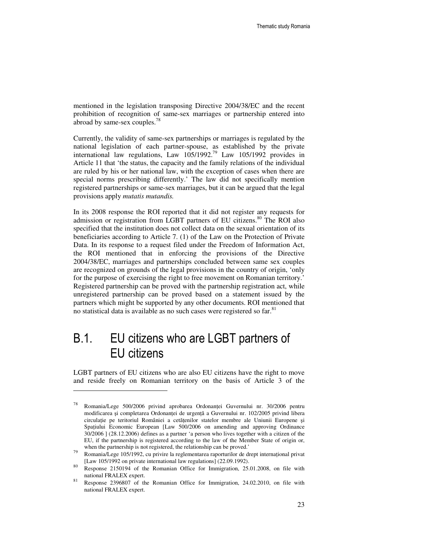mentioned in the legislation transposing Directive 2004/38/EC and the recent prohibition of recognition of same-sex marriages or partnership entered into abroad by same-sex couples.<sup>78</sup>

Currently, the validity of same-sex partnerships or marriages is regulated by the national legislation of each partner-spouse, as established by the private international law regulations, Law 105/1992.<sup>79</sup> Law 105/1992 provides in Article 11 that 'the status, the capacity and the family relations of the individual are ruled by his or her national law, with the exception of cases when there are special norms prescribing differently.' The law did not specifically mention registered partnerships or same-sex marriages, but it can be argued that the legal provisions apply *mutatis mutandis.* 

In its 2008 response the ROI reported that it did not register any requests for admission or registration from LGBT partners of EU citizens.<sup>80</sup> The ROI also specified that the institution does not collect data on the sexual orientation of its beneficiaries according to Article 7. (1) of the Law on the Protection of Private Data. In its response to a request filed under the Freedom of Information Act, the ROI mentioned that in enforcing the provisions of the Directive 2004/38/EC, marriages and partnerships concluded between same sex couples are recognized on grounds of the legal provisions in the country of origin, 'only for the purpose of exercising the right to free movement on Romanian territory.' Registered partnership can be proved with the partnership registration act, while unregistered partnership can be proved based on a statement issued by the partners which might be supported by any other documents. ROI mentioned that no statistical data is available as no such cases were registered so far.<sup>81</sup>

## B.1. EU citizens who are LGBT partners of EU citizens

-

LGBT partners of EU citizens who are also EU citizens have the right to move and reside freely on Romanian territory on the basis of Article 3 of the

Romania/Lege 500/2006 privind aprobarea Ordonantei Guvernului nr. 30/2006 pentru modificarea și completarea Ordonanței de urgență a Guvernului nr. 102/2005 privind libera circulație pe teritoriul României a cetățenilor statelor membre ale Uniunii Europene și Spaţiului Economic European [Law 500/2006 on amending and approving Ordinance 30/2006 ] (28.12.2006) defines as a partner 'a person who lives together with a citizen of the EU, if the partnership is registered according to the law of the Member State of origin or, when the partnership is not registered, the relationship can be proved.'

<sup>79</sup>Romania/Lege 105/1992, cu privire la reglementarea raporturilor de drept internaţional privat [Law 105/1992 on private international law regulations] (22.09.1992).

<sup>&</sup>lt;sup>80</sup> Response 2150194 of the Romanian Office for Immigration, 25.01.2008, on file with national FRALEX expert.

<sup>&</sup>lt;sup>81</sup> Response 2396807 of the Romanian Office for Immigration, 24.02.2010, on file with national FRALEX expert.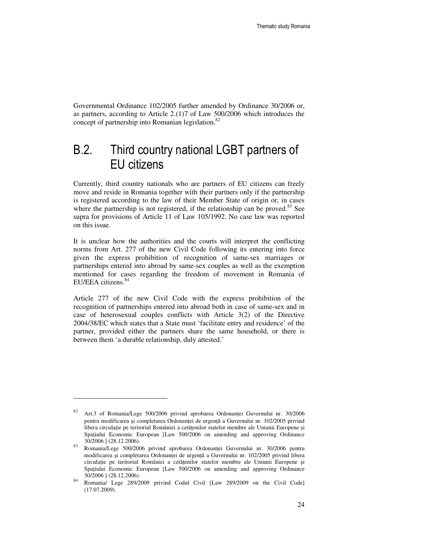Governmental Ordinance 102/2005 further amended by Ordinance 30/2006 or, as partners, according to Article 2.(1)7 of Law 500/2006 which introduces the concept of partnership into Romanian legislation.<sup>82</sup>

## B.2. Third country national LGBT partners of EU citizens

Currently, third country nationals who are partners of EU citizens can freely move and reside in Romania together with their partners only if the partnership is registered according to the law of their Member State of origin or, in cases where the partnership is not registered, if the relationship can be proved.<sup>83</sup> See supra for provisions of Article 11 of Law 105/1992. No case law was reported on this issue.

It is unclear how the authorities and the courts will interpret the conflicting norms from Art. 277 of the new Civil Code following its entering into force given the express prohibition of recognition of same-sex marriages or partnerships entered into abroad by same-sex couples as well as the exemption mentioned for cases regarding the freedom of movement in Romania of EU/EEA citizens.<sup>8</sup>

Article 277 of the new Civil Code with the express prohibition of the recognition of partnerships entered into abroad both in case of same-sex and in case of heterosexual couples conflicts with Article 3(2) of the Directive 2004/38/EC which states that a State must 'facilitate entry and residence' of the partner, provided either the partners share the same household, or there is between them 'a durable relationship, duly attested.'

<sup>82</sup>Art.3 of Romania/Lege 500/2006 privind aprobarea Ordonanţei Guvernului nr. 30/2006 pentru modificarea si completarea Ordonantei de urgență a Guvernului nr. 102/2005 privind libera circulaţie pe teritoriul României a cetăţenilor statelor membre ale Uniunii Europene şi Spaţiului Economic European [Law 500/2006 on amending and approving Ordinance 30/2006 ] (28.12.2006).

<sup>83</sup> Romania/Lege 500/2006 privind aprobarea Ordonanței Guvernului nr. 30/2006 pentru modificarea și completarea Ordonanței de urgență a Guvernului nr. 102/2005 privind libera circulație pe teritoriul României a cetățenilor statelor membre ale Uniunii Europene și Spaţiului Economic European [Law 500/2006 on amending and approving Ordinance 30/2006 ] (28.12.2006).

<sup>84</sup> Romania/ Lege 289/2009 privind Codul Civil [Law 289/2009 on the Civil Code] (17.07.2009).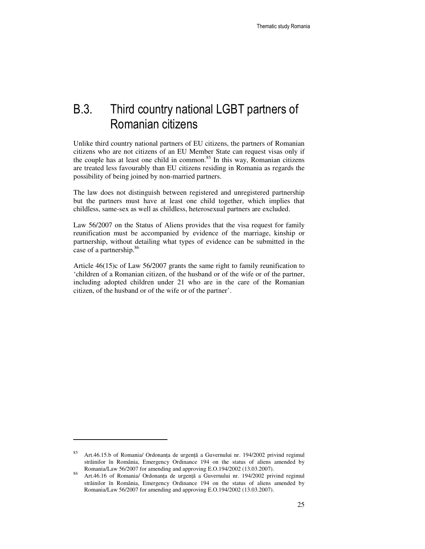## B.3. Third country national LGBT partners of Romanian citizens

Unlike third country national partners of EU citizens, the partners of Romanian citizens who are not citizens of an EU Member State can request visas only if the couple has at least one child in common. $85$  In this way, Romanian citizens are treated less favourably than EU citizens residing in Romania as regards the possibility of being joined by non-married partners.

The law does not distinguish between registered and unregistered partnership but the partners must have at least one child together, which implies that childless, same-sex as well as childless, heterosexual partners are excluded.

Law 56/2007 on the Status of Aliens provides that the visa request for family reunification must be accompanied by evidence of the marriage, kinship or partnership, without detailing what types of evidence can be submitted in the case of a partnership.<sup>86</sup>

Article 46(15)c of Law 56/2007 grants the same right to family reunification to 'children of a Romanian citizen, of the husband or of the wife or of the partner, including adopted children under 21 who are in the care of the Romanian citizen, of the husband or of the wife or of the partner'.

-

<sup>85</sup>Art.46.15.b of Romania/ Ordonanţa de urgenţă a Guvernului nr. 194/2002 privind regimul străinilor în România, Emergency Ordinance 194 on the status of aliens amended by Romania/Law 56/2007 for amending and approving E.O.194/2002 (13.03.2007).

<sup>86</sup> Art.46.16 of Romania/ Ordonanța de urgență a Guvernului nr. 194/2002 privind regimul străinilor în România, Emergency Ordinance 194 on the status of aliens amended by Romania/Law 56/2007 for amending and approving E.O.194/2002 (13.03.2007).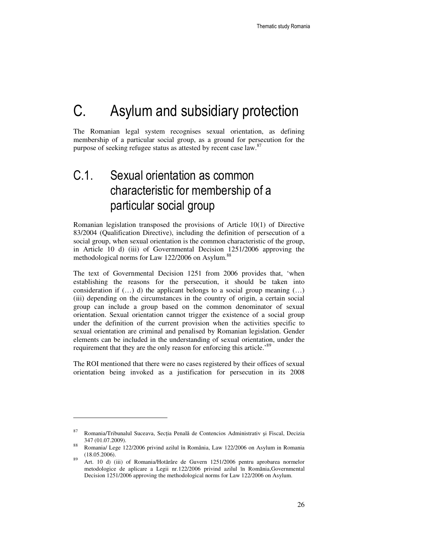# C. Asylum and subsidiary protection

The Romanian legal system recognises sexual orientation, as defining membership of a particular social group, as a ground for persecution for the purpose of seeking refugee status as attested by recent case law.<sup>87</sup>

## C.1. Sexual orientation as common characteristic for membership of a particular social group

Romanian legislation transposed the provisions of Article 10(1) of Directive 83/2004 (Qualification Directive), including the definition of persecution of a social group, when sexual orientation is the common characteristic of the group, in Article 10 d) (iii) of Governmental Decision 1251/2006 approving the methodological norms for Law 122/2006 on Asylum.<sup>88</sup>

The text of Governmental Decision 1251 from 2006 provides that, 'when establishing the reasons for the persecution, it should be taken into consideration if  $(...)$  d) the applicant belongs to a social group meaning  $(...)$ (iii) depending on the circumstances in the country of origin, a certain social group can include a group based on the common denominator of sexual orientation. Sexual orientation cannot trigger the existence of a social group under the definition of the current provision when the activities specific to sexual orientation are criminal and penalised by Romanian legislation. Gender elements can be included in the understanding of sexual orientation, under the requirement that they are the only reason for enforcing this article.<sup>89</sup>

The ROI mentioned that there were no cases registered by their offices of sexual orientation being invoked as a justification for persecution in its 2008

<sup>87</sup> Romania/Tribunalul Suceava, Secția Penală de Contencios Administrativ și Fiscal, Decizia 347 (01.07.2009).

<sup>88</sup> Romania/ Lege 122/2006 privind azilul în România, Law 122/2006 on Asylum in Romania (18.05.2006).

<sup>89</sup>Art. 10 d) (iii) of Romania/Hotărâre de Guvern 1251/2006 pentru aprobarea normelor metodologice de aplicare a Legii nr.122/2006 privind azilul īn Romānia,Governmental Decision 1251/2006 approving the methodological norms for Law 122/2006 on Asylum.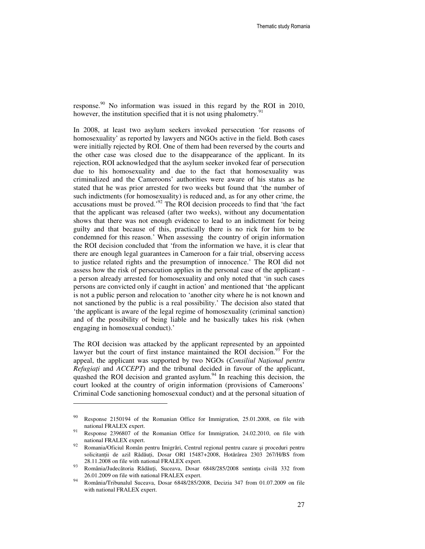response.<sup>90</sup> No information was issued in this regard by the ROI in 2010, however, the institution specified that it is not using phalometry.<sup>9</sup>

In 2008, at least two asylum seekers invoked persecution 'for reasons of homosexuality' as reported by lawyers and NGOs active in the field. Both cases were initially rejected by ROI. One of them had been reversed by the courts and the other case was closed due to the disappearance of the applicant. In its rejection, ROI acknowledged that the asylum seeker invoked fear of persecution due to his homosexuality and due to the fact that homosexuality was criminalized and the Cameroons' authorities were aware of his status as he stated that he was prior arrested for two weeks but found that 'the number of such indictments (for homosexuality) is reduced and, as for any other crime, the accusations must be proved.<sup> $92$ </sup> The ROI decision proceeds to find that 'the fact that the applicant was released (after two weeks), without any documentation shows that there was not enough evidence to lead to an indictment for being guilty and that because of this, practically there is no rick for him to be condemned for this reason.' When assessing the country of origin information the ROI decision concluded that 'from the information we have, it is clear that there are enough legal guarantees in Cameroon for a fair trial, observing access to justice related rights and the presumption of innocence.' The ROI did not assess how the risk of persecution applies in the personal case of the applicant a person already arrested for homosexuality and only noted that 'in such cases persons are convicted only if caught in action' and mentioned that 'the applicant is not a public person and relocation to 'another city where he is not known and not sanctioned by the public is a real possibility.' The decision also stated that 'the applicant is aware of the legal regime of homosexuality (criminal sanction) and of the possibility of being liable and he basically takes his risk (when engaging in homosexual conduct).'

The ROI decision was attacked by the applicant represented by an appointed lawyer but the court of first instance maintained the ROI decision. $93$  For the appeal, the applicant was supported by two NGOs (*Consiliul Na*ţ*ional pentru Refugiați* and *ACCEPT*) and the tribunal decided in favour of the applicant, quashed the ROI decision and granted asylum. $94$  In reaching this decision, the court looked at the country of origin information (provisions of Cameroons' Criminal Code sanctioning homosexual conduct) and at the personal situation of

-

<sup>&</sup>lt;sup>90</sup> Response 2150194 of the Romanian Office for Immigration, 25.01.2008, on file with national FRALEX expert.

<sup>&</sup>lt;sup>91</sup> Response 2396807 of the Romanian Office for Immigration, 24.02.2010, on file with national FRALEX expert.

<sup>92</sup> Romania/Oficiul Român pentru Imigrări, Centrul regional pentru cazare și proceduri pentru solicitanții de azil Rădăuți, Dosar ORI 15487+2008, Hotărârea 2303 267/H/BS from 28.11.2008 on file with national FRALEX expert.

<sup>93</sup>România/Judecătoria Rădăuţi, Suceava, Dosar 6848/285/2008 sentinţa civilă 332 from 26.01.2009 on file with national FRALEX expert.

<sup>94</sup>România/Tribunalul Suceava, Dosar 6848/285/2008, Decizia 347 from 01.07.2009 on file with national FRALEX expert.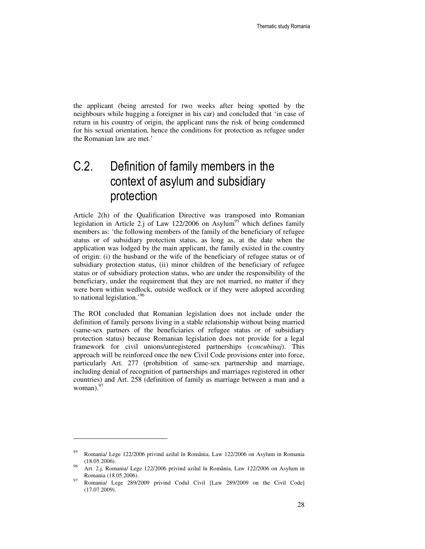the applicant (being arrested for two weeks after being spotted by the neighbours while hugging a foreigner in his car) and concluded that 'in case of return in his country of origin, the applicant runs the risk of being condemned for his sexual orientation, hence the conditions for protection as refugee under the Romanian law are met.'

## C.2. Definition of family members in the context of asylum and subsidiary protection

Article 2(h) of the Qualification Directive was transposed into Romanian legislation in Article 2.j of Law 122/2006 on Asylum<sup>95</sup> which defines family members as: 'the following members of the family of the beneficiary of refugee status or of subsidiary protection status, as long as, at the date when the application was lodged by the main applicant, the family existed in the country of origin: (i) the husband or the wife of the beneficiary of refugee status or of subsidiary protection status, (ii) minor children of the beneficiary of refugee status or of subsidiary protection status, who are under the responsibility of the beneficiary, under the requirement that they are not married, no matter if they were born within wedlock, outside wedlock or if they were adopted according to national legislation.'<sup>96</sup>

The ROI concluded that Romanian legislation does not include under the definition of family persons living in a stable relationship without being married (same-sex partners of the beneficiaries of refugee status or of subsidiary protection status) because Romanian legislation does not provide for a legal framework for civil unions/unregistered partnerships (*concubinaj*). This approach will be reinforced once the new Civil Code provisions enter into force, particularly Art. 277 (prohibition of same-sex partnership and marriage, including denial of recognition of partnerships and marriages registered in other countries) and Art. 258 (definition of family as marriage between a man and a woman). $9$ 

<sup>&</sup>lt;sup>95</sup> Romania/ Lege 122/2006 privind azilul în România, Law 122/2006 on Asylum in Romania (18.05.2006).

<sup>&</sup>lt;sup>96</sup> Art. 2.j, Romania/ Lege 122/2006 privind azilul în România, Law 122/2006 on Asylum in Romania (18.05.2006).

 $97$  Romania/ Lege 289/2009 privind Codul Civil [Law 289/2009 on the Civil Code] (17.07.2009).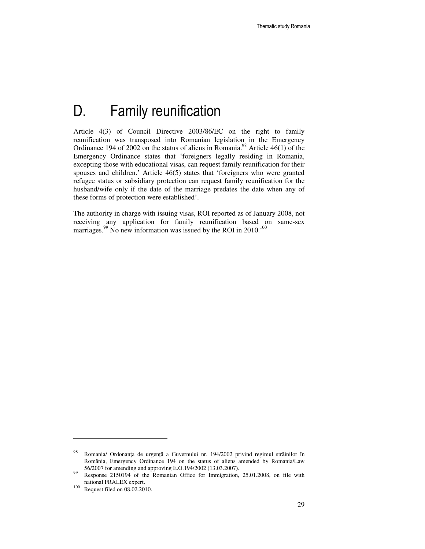# D. Family reunification

Article 4(3) of Council Directive 2003/86/EC on the right to family reunification was transposed into Romanian legislation in the Emergency Ordinance 194 of 2002 on the status of aliens in Romania.<sup>98</sup> Article 46(1) of the Emergency Ordinance states that 'foreigners legally residing in Romania, excepting those with educational visas, can request family reunification for their spouses and children.' Article 46(5) states that 'foreigners who were granted refugee status or subsidiary protection can request family reunification for the husband/wife only if the date of the marriage predates the date when any of these forms of protection were established'.

The authority in charge with issuing visas, ROI reported as of January 2008, not receiving any application for family reunification based on same-sex marriages.<sup>99</sup> No new information was issued by the ROI in  $2010$ <sup>100</sup>

<sup>98</sup> Romania/ Ordonanța de urgență a Guvernului nr. 194/2002 privind regimul străinilor în România, Emergency Ordinance 194 on the status of aliens amended by Romania/Law 56/2007 for amending and approving E.O.194/2002 (13.03.2007).

<sup>99</sup> Response 2150194 of the Romanian Office for Immigration, 25.01.2008, on file with national FRALEX expert.

 $100$  Request filed on 08.02.2010.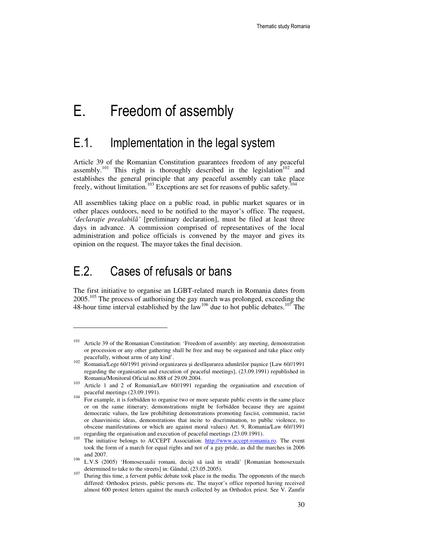# E. Freedom of assembly

### E.1. Implementation in the legal system

Article 39 of the Romanian Constitution guarantees freedom of any peaceful assembly.<sup>101</sup> This right is thoroughly described in the legislation<sup>102</sup> and establishes the general principle that any peaceful assembly can take place freely, without limitation.<sup>103</sup> Exceptions are set for reasons of public safety.<sup>104</sup>

All assemblies taking place on a public road, in public market squares or in other places outdoors, need to be notified to the mayor's office. The request, *'declara*ţ*ie prealabil*ă*'* [preliminary declaration], must be filed at least three days in advance. A commission comprised of representatives of the local administration and police officials is convened by the mayor and gives its opinion on the request. The mayor takes the final decision.

## E.2. Cases of refusals or bans

 $\ddot{ }$ 

The first initiative to organise an LGBT-related march in Romania dates from 2005.<sup>105</sup> The process of authorising the gay march was prolonged, exceeding the 48-hour time interval established by the law<sup>106</sup> due to hot public debates.<sup>107</sup> The

<sup>&</sup>lt;sup>101</sup> Article 39 of the Romanian Constitution: 'Freedom of assembly: any meeting, demonstration or procession or any other gathering shall be free and may be organised and take place only peacefully, without arms of any kind'.

<sup>102</sup>Romania/Lege 60/1991 privind organizarea şi desfăşurarea adunărilor paşnice [Law 60//1991 regarding the organisation and execution of peaceful meetings], (23.09.1991) republished in Romania/Monitorul Oficial no.888 of 29.09.2004.

<sup>103&</sup>lt;br>Article 1 and 2 of Romania/Law 60//1991 regarding the organisation and execution of peaceful meetings (23.09.1991).

<sup>&</sup>lt;sup>104</sup>For example, it is forbidden to organise two or more separate public events in the same place or on the same itinerary; demonstrations might be forbidden because they are against democratic values, the law prohibiting demonstrations promoting fascist, communist, racist or chauvinistic ideas, demonstrations that incite to discrimination, to public violence, to obscene manifestations or which are against moral values) Art. 9, Romania/Law 60//1991 regarding the organisation and execution of peaceful meetings (23.09.1991).

<sup>&</sup>lt;sup>105</sup>The initiative belongs to ACCEPT Association: http://www.accept-romania.ro. The event took the form of a march for equal rights and not of a gay pride, as did the marches in 2006 and 2007.

<sup>106</sup>L.V.S (2005) 'Homosexualii romani, decişi să iasă in stradă' [Romanian homosexuals determined to take to the streets] in: Gândul, (23.05.2005).

 $107$  During this time, a fervent public debate took place in the media. The opponents of the march differed: Orthodox priests, public persons etc. The mayor's office reported having received almost 600 protest letters against the march collected by an Orthodox priest. See V. Zamfir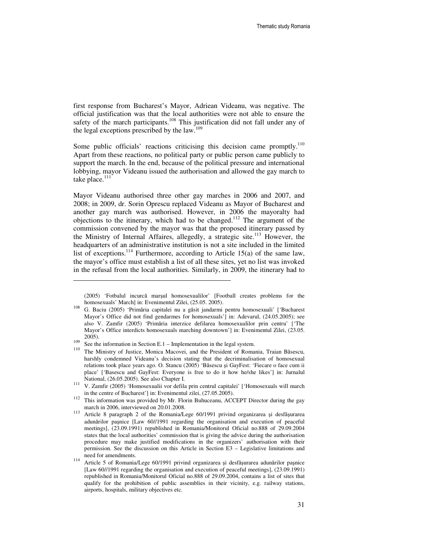first response from Bucharest's Mayor, Adriean Videanu, was negative. The official justification was that the local authorities were not able to ensure the safety of the march participants.<sup>108</sup> This justification did not fall under any of the legal exceptions prescribed by the law.<sup>109</sup>

Some public officials' reactions criticising this decision came promptly.<sup>110</sup> Apart from these reactions, no political party or public person came publicly to support the march. In the end, because of the political pressure and international lobbying, mayor Videanu issued the authorisation and allowed the gay march to take place. $111$ 

Mayor Videanu authorised three other gay marches in 2006 and 2007, and 2008; in 2009, dr. Sorin Oprescu replaced Videanu as Mayor of Bucharest and another gay march was authorised. However, in 2006 the mayoralty had objections to the itinerary, which had to be changed.<sup>112</sup> The argument of the commission convened by the mayor was that the proposed itinerary passed by the Ministry of Internal Affaires, allegedly, a strategic site.<sup>113</sup> However, the headquarters of an administrative institution is not a site included in the limited list of exceptions.<sup>114</sup> Furthermore, according to Article 15(a) of the same law, the mayor's office must establish a list of all these sites, yet no list was invoked in the refusal from the local authorities. Similarly, in 2009, the itinerary had to

-

<sup>(2005) &#</sup>x27;Fotbalul incurcă marşul homosexualilor' [Football creates problems for the homosexuals' March] in: Evenimentul Zilei, (25.05. 2005).

<sup>108</sup>G. Baciu (2005) 'Primăria capitalei nu a găsit jandarmi pentru homosexuali' ['Bucharest Mayor's Office did not find gendarmes for homosexuals'] in: Adevarul, (24.05.2005); see also V. Zamfir (2005) 'Primăria interzice defilarea homosexualilor prin centru' ['The Mayor's Office interdicts homosexuals marching downtown'] in: Evenimentul Zilei, (23.05. 2005).

 $109$  See the information in Section E.1 – Implementation in the legal system.

<sup>110</sup>The Ministry of Justice, Monica Macovei, and the President of Romania, Traian Băsescu, harshly condemned Videanu's decision stating that the decriminalisation of homosexual relations took place years ago. O. Stancu (2005) 'Băsescu şi GayFest: 'Fiecare o face cum ii place' ['Basescu and GayFest: Everyone is free to do it how he/she likes'] in: Jurnalul National, (26.05.2005). See also Chapter I.

<sup>&</sup>lt;sup>111</sup> V. Zamfir (2005) 'Homosexualii vor defila prin centrul capitalei' ['Homosexuals will march in the centre of Bucharest'] in: Evenimentul zilei, (27.05.2005).

<sup>&</sup>lt;sup>112</sup> This information was provided by Mr. Florin Buhuceanu, ACCEPT Director during the gay march in 2006, interviewed on 20.01.2008.

<sup>&</sup>lt;sup>113</sup> Article 8 paragraph 2 of the Romania/Lege 60/1991 privind organizarea și desfășurarea adunărilor paşnice [Law 60//1991 regarding the organisation and execution of peaceful meetings], (23.09.1991) republished in Romania/Monitorul Oficial no.888 of 29.09.2004 states that the local authorities' commission that is giving the advice during the authorisation procedure may make justified modifications in the organizers' authorisation with their permission. See the discussion on this Article in Section E3 – Legislative limitations and need for amendments.

<sup>114</sup>Article 5 of Romania/Lege 60/1991 privind organizarea şi desfăşurarea adunărilor paşnice [Law 60//1991 regarding the organisation and execution of peaceful meetings], (23.09.1991) republished in Romania/Monitorul Oficial no.888 of 29.09.2004, contains a list of sites that qualify for the prohibition of public assemblies in their vicinity, e.g. railway stations, airports, hospitals, military objectives etc.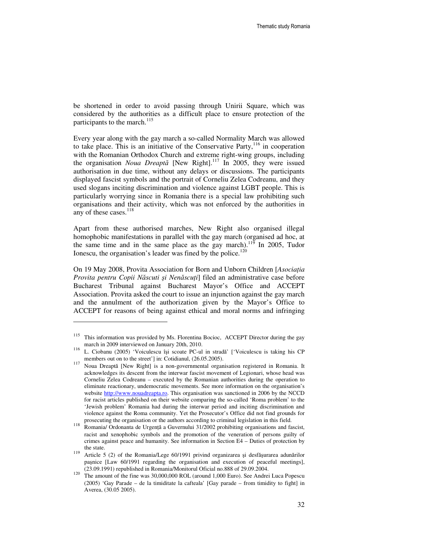be shortened in order to avoid passing through Unirii Square, which was considered by the authorities as a difficult place to ensure protection of the participants to the march.<sup>115</sup>

Every year along with the gay march a so-called Normality March was allowed to take place. This is an initiative of the Conservative Party,  $116$  in cooperation with the Romanian Orthodox Church and extreme right-wing groups, including the organisation *Noua Dreaptă* [New Right].<sup>117</sup> In 2005, they were issued authorisation in due time, without any delays or discussions. The participants displayed fascist symbols and the portrait of Corneliu Zelea Codreanu, and they used slogans inciting discrimination and violence against LGBT people. This is particularly worrying since in Romania there is a special law prohibiting such organisations and their activity, which was not enforced by the authorities in any of these cases.<sup>118</sup>

Apart from these authorised marches, New Right also organised illegal homophobic manifestations in parallel with the gay march (organised ad hoc, at the same time and in the same place as the gay march).<sup>119</sup> In 2005, Tudor Ionescu, the organisation's leader was fined by the police.<sup>120</sup>

On 19 May 2008, Provita Association for Born and Unborn Children [*Asocia*ţ*ia Provita pentru Copii N*ă*scuti* ş*i Nen*ă*scu*ţ*i*] filed an administrative case before Bucharest Tribunal against Bucharest Mayor's Office and ACCEPT Association. Provita asked the court to issue an injunction against the gay march and the annulment of the authorization given by the Mayor's Office to ACCEPT for reasons of being against ethical and moral norms and infringing

 $115$  This information was provided by Ms. Florentina Bocioc, ACCEPT Director during the gay march in 2009 interviewed on January 20th, 2010.

<sup>116</sup>L. Ciobanu (2005) 'Voiculescu îşi scoate PC-ul in stradă' ['Voiculescu is taking his CP members out on to the street'] in: Cotidianul, (26.05.2005).

<sup>&</sup>lt;sup>117</sup> Noua Dreaptă [New Right] is a non-governmental organisation registered in Romania. It acknowledges its descent from the interwar fascist movement of Legionari, whose head was Corneliu Zelea Codreanu – executed by the Romanian authorities during the operation to eliminate reactionary, undemocratic movements. See more information on the organisation's website http://www.nouadreapta.ro. This organisation was sanctioned in 2006 by the NCCD for racist articles published on their website comparing the so-called 'Roma problem' to the 'Jewish problem' Romania had during the interwar period and inciting discrimination and violence against the Roma community. Yet the Prosecutor's Office did not find grounds for prosecuting the organisation or the authors according to criminal legislation in this field.

<sup>118</sup>Romania/ Ordonanta de Urgenţă a Guvernului 31/2002 prohibiting organisations and fascist, racist and xenophobic symbols and the promotion of the veneration of persons guilty of crimes against peace and humanity. See information in Section E4 – Duties of protection by the state.

<sup>119</sup>Article 5 (2) of the Romania/Lege 60/1991 privind organizarea şi desfăşurarea adunărilor paşnice [Law 60/1991 regarding the organisation and execution of peaceful meetings], (23.09.1991) republished in Romania/Monitorul Oficial no.888 of 29.09.2004.

 $120$  The amount of the fine was 30,000,000 ROL (around 1,000 Euro). See Andrei Luca Popescu (2005) 'Gay Parade – de la timiditate la cafteala' [Gay parade – from timidity to fight] in Averea, (30.05 2005).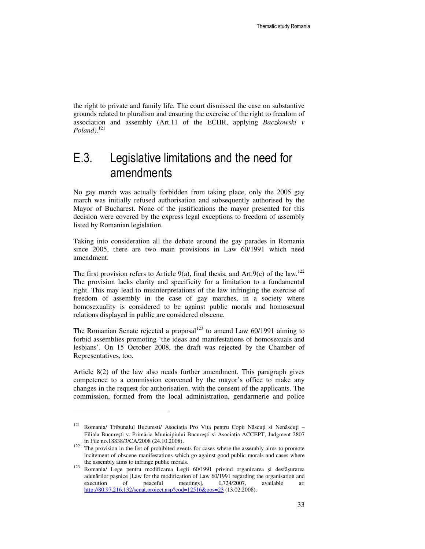the right to private and family life. The court dismissed the case on substantive grounds related to pluralism and ensuring the exercise of the right to freedom of association and assembly (Art.11 of the ECHR, applying *Baczkowski v Poland)*. 121

## E.3. Legislative limitations and the need for amendments

No gay march was actually forbidden from taking place, only the 2005 gay march was initially refused authorisation and subsequently authorised by the Mayor of Bucharest. None of the justifications the mayor presented for this decision were covered by the express legal exceptions to freedom of assembly listed by Romanian legislation.

Taking into consideration all the debate around the gay parades in Romania since 2005, there are two main provisions in Law 60/1991 which need amendment.

The first provision refers to Article 9(a), final thesis, and Art.9(c) of the law.<sup>122</sup> The provision lacks clarity and specificity for a limitation to a fundamental right. This may lead to misinterpretations of the law infringing the exercise of freedom of assembly in the case of gay marches, in a society where homosexuality is considered to be against public morals and homosexual relations displayed in public are considered obscene.

The Romanian Senate rejected a proposal<sup>123</sup> to amend Law  $60/1991$  aiming to forbid assemblies promoting 'the ideas and manifestations of homosexuals and lesbians'. On 15 October 2008, the draft was rejected by the Chamber of Representatives, too.

Article 8(2) of the law also needs further amendment. This paragraph gives competence to a commission convened by the mayor's office to make any changes in the request for authorisation, with the consent of the applicants. The commission, formed from the local administration, gendarmerie and police

<sup>&</sup>lt;sup>121</sup> Romania/ Tribunalul Bucuresti/ Asociația Pro Vita pentru Copii Născuți si Nenăscuți – Filiala Bucureşti v. Primăria Municipiului Bucureşti si Asociaţia ACCEPT, Judgment 2807 in File no.18838/3/CA/2008 (24.10.2008).

<sup>&</sup>lt;sup>122</sup>The provision in the list of prohibited events for cases where the assembly aims to promote incitement of obscene manifestations which go against good public morals and cases where the assembly aims to infringe public morals.

<sup>123</sup>Romania/ Lege pentru modificarea Legii 60/1991 privind organizarea şi desfăşurarea adunărilor paşnice [Law for the modification of Law 60/1991 regarding the organisation and execution of peaceful meetings], L724/2007, available at: http://80.97.216.132/senat.proiect.asp?cod=12516&pos=23 (13.02.2008).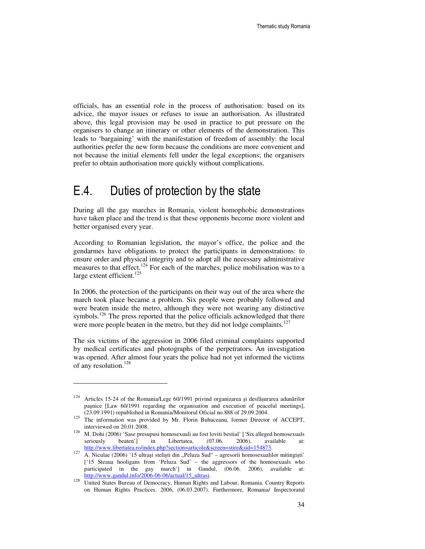officials, has an essential role in the process of authorisation: based on its advice, the mayor issues or refuses to issue an authorisation. As illustrated above, this legal provision may be used in practice to put pressure on the organisers to change an itinerary or other elements of the demonstration. This leads to 'bargaining' with the manifestation of freedom of assembly: the local authorities prefer the new form because the conditions are more convenient and not because the initial elements fell under the legal exceptions; the organisers prefer to obtain authorisation more quickly without complications.

### E.4. Duties of protection by the state

During all the gay marches in Romania, violent homophobic demonstrations have taken place and the trend is that these opponents become more violent and better organised every year.

According to Romanian legislation, the mayor's office, the police and the gendarmes have obligations to protect the participants in demonstrations: to ensure order and physical integrity and to adopt all the necessary administrative measures to that effect.<sup>124</sup> For each of the marches, police mobilisation was to a large extent efficient.<sup>125</sup>

In 2006, the protection of the participants on their way out of the area where the march took place became a problem. Six people were probably followed and were beaten inside the metro, although they were not wearing any distinctive symbols.<sup>126</sup> The press reported that the police officials acknowledged that there were more people beaten in the metro, but they did not lodge complaints.<sup>127</sup>

The six victims of the aggression in 2006 filed criminal complaints supported by medical certificates and photographs of the perpetrators. An investigation was opened. After almost four years the police had not yet informed the victims of any resolution.<sup>128</sup>

-

<sup>&</sup>lt;sup>124</sup> Articles 15-24 of the Romania/Lege 60/1991 privind organizarea și desfășurarea adunărilor paşnice [Law 60/1991 regarding the organisation and execution of peaceful meetings], (23.09.1991) republished in Romania/Monitorul Oficial no.888 of 29.09.2004.

<sup>125</sup> The information was provided by Mr. Florin Buhuceanu, former Director of ACCEPT, interviewed on 20.01.2008.

<sup>126</sup> M. Dohi (2006) 'Sase presupusi homosexuali au fost loviti bestial' ['Six alleged homosexuals seriously beaten'] in Libertatea, (07.06. 2006), available at: http://www.libertatea.ro/index.php?section=articole&screen=stire&sid=154873.

<sup>127</sup> A. Niculae (2006) '15 ultraşi stelişti din "Peluza Sud" – agresorii homosexualilor mitingişti" ['15 Steaua hooligans from 'Peluza Sud' – the aggressors of the homosexuals who participated in the gay march'] in Gandul, (06.06. 2006), available at: http://www.gandul.info/2006-06-06/actual/15\_ultrasi.

<sup>&</sup>lt;sup>128</sup> United States Bureau of Democracy, Human Rights and Labour, Romania. Country Reports on Human Rights Practices. 2006, (06.03.2007). Furthermore, Romania/ Inspectoratul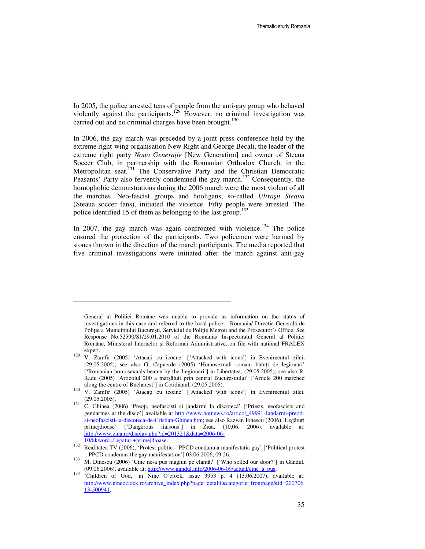In 2005, the police arrested tens of people from the anti-gay group who behaved violently against the participants.<sup>129</sup> However, no criminal investigation was carried out and no criminal charges have been brought.<sup>130</sup>

In 2006, the gay march was preceded by a joint press conference held by the extreme right-wing organisation New Right and George Becali, the leader of the extreme right party *Noua Generație* [New Generation] and owner of Steaua Soccer Club, in partnership with the Romanian Orthodox Church, in the Metropolitan seat.<sup>131</sup> The Conservative Party and the Christian Democratic Peasants' Party also fervently condemned the gay march.<sup>132</sup> Consequently, the homophobic demonstrations during the 2006 march were the most violent of all the marches. Neo-fascist groups and hooligans, so-called *Ultra*ş*ii Steaua* (Steaua soccer fans), initiated the violence. Fifty people were arrested. The police identified 15 of them as belonging to the last group.<sup>133</sup>

In 2007, the gay march was again confronted with violence.<sup>134</sup> The police ensured the protection of the participants. Two policemen were harmed by stones thrown in the direction of the march participants. The media reported that five criminal investigations were initiated after the march against anti-gay

10&kword=Legaturi+primejdioase.

General al Politiei Române was unable to provide us information on the status of investigations in this case and referred to the local police – Romania/ Directia Generală de Poliţie a Municipiului Bucureşti, Serviciul de Poliţie Metrou and the Prosecutor's Office. See Response No.52590/S1/29.01.2010 of the Romania/ Inspectoratul General al Poliţiei Române, Ministerul Internelor şi Reformei Administrative, on file with national FRALEX expert.

<sup>&</sup>lt;sup>129</sup> V. Zamfir (2005) 'Atacați cu icoane' ['Attacked with icons'] in Evenimentul zilei,  $(29.05.2005)$ ; see also G. Capuerde  $(2005)$  'Homosexuali romani bătuti de legionari' ['Romanian homosexuals beaten by the Legionari'] in Libertatea, (29.05.2005); see also R. Radu (2005) 'Articolul 200 a marşăluit prin centrul Bucurestiului' ['Article 200 marched along the centre of Bucharest'] in Cotidianul, (29.05.2005).

<sup>&</sup>lt;sup>130</sup> V. Zamfir (2005) 'Atacati cu icoane' ['Attacked with icons'] in Evenimentul zilei, (29.05.2005).

<sup>&</sup>lt;sup>131</sup> C. Ghinea (2006) 'Preoți, neofasciști si jandarmi la discotecă' ['Priests, neofascists and gendarmes at the disco'] available at http://www.hotnews.ro/articol\_49991-Jandarmi-preotisi-neofascisti-la-discoteca-de-Cristian-Ghinea.htm; see also Razvan Ionescu (2006) 'Legături primejdioase' ['Dangerous liaisons'] in Ziua, (10.06. 2006), available at: http://www.ziua.ro/display.php?id=201321&data=2006-06-

<sup>132</sup> Realitatea TV (2006), 'Protest politic – PPCD condamnă manifestația gay' ['Political protest – PPCD condemns the gay manifestation'] 03.06.2006, 09:26.

<sup>&</sup>lt;sup>133</sup> M. Dinescu (2006) 'Cine ne-a pus magiun pe clanță?' ['Who soiled our door?'] in Gândul, (09.06.2006), available at: http://www.gandul.info/2006-06-09/actual/cine\_a\_pus.

<sup>134 &#</sup>x27;Children of God,' in Nine O'clock, issue 3953 p. 4 (13.06.2007), available at: http://www.nineoclock.ro/archive\_index.php?page=detalii&categorie=frontpage&id=200706 13-500941.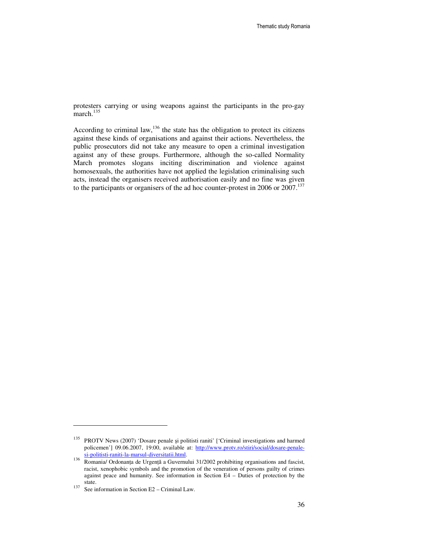protesters carrying or using weapons against the participants in the pro-gay march.<sup>135</sup>

According to criminal law, $136$  the state has the obligation to protect its citizens against these kinds of organisations and against their actions. Nevertheless, the public prosecutors did not take any measure to open a criminal investigation against any of these groups. Furthermore, although the so-called Normality March promotes slogans inciting discrimination and violence against homosexuals, the authorities have not applied the legislation criminalising such acts, instead the organisers received authorisation easily and no fine was given to the participants or organisers of the ad hoc counter-protest in 2006 or  $2007$ .<sup>137</sup>

<sup>&</sup>lt;sup>135</sup> PROTV News (2007) 'Dosare penale și politisti raniti' ['Criminal investigations and harmed policemen'] 09.06.2007, 19:00, available at: http://www.protv.ro/stiri/social/dosare-penalesi-politisti-raniti-la-marsul-diversitatii.html.

<sup>136</sup> Romania/ Ordonanța de Urgență a Guvernului 31/2002 prohibiting organisations and fascist, racist, xenophobic symbols and the promotion of the veneration of persons guilty of crimes against peace and humanity. See information in Section E4 – Duties of protection by the state.

<sup>&</sup>lt;sup>137</sup> See information in Section E2 – Criminal Law.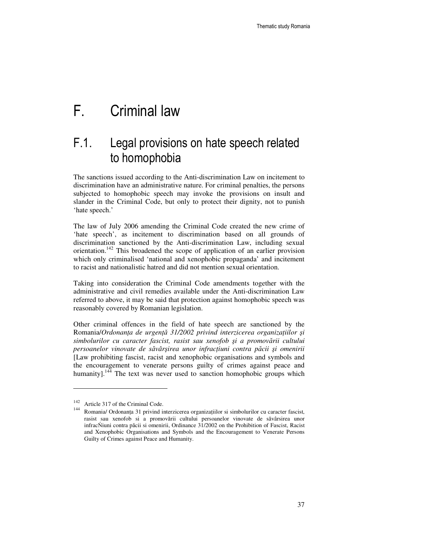# F. Criminal law

## F.1. Legal provisions on hate speech related to homophobia

The sanctions issued according to the Anti-discrimination Law on incitement to discrimination have an administrative nature. For criminal penalties, the persons subjected to homophobic speech may invoke the provisions on insult and slander in the Criminal Code, but only to protect their dignity, not to punish 'hate speech.'

The law of July 2006 amending the Criminal Code created the new crime of 'hate speech', as incitement to discrimination based on all grounds of discrimination sanctioned by the Anti-discrimination Law, including sexual orientation.<sup>142</sup> This broadened the scope of application of an earlier provision which only criminalised 'national and xenophobic propaganda' and incitement to racist and nationalistic hatred and did not mention sexual orientation.

Taking into consideration the Criminal Code amendments together with the administrative and civil remedies available under the Anti-discrimination Law referred to above, it may be said that protection against homophobic speech was reasonably covered by Romanian legislation.

Other criminal offences in the field of hate speech are sanctioned by the Romania/*Ordonan*ţ*a de urgen*ţă *31/2002 privind interzicerea organiza*ţ*iilor* ş*i simbolurilor cu caracter fascist, rasist sau xenofob* ş*i a promov*ă*rii cultului persoanelor vinovate de s*ă*vâr*ş*irea unor infrac*ţ*iuni contra p*ă*cii* ş*i omenirii* [Law prohibiting fascist, racist and xenophobic organisations and symbols and the encouragement to venerate persons guilty of crimes against peace and humanity].<sup>144</sup> The text was never used to sanction homophobic groups which

<sup>&</sup>lt;sup>142</sup> Article 317 of the Criminal Code.

<sup>144</sup>Romania/ Ordonanţa 31 privind interzicerea organizaţiilor si simbolurilor cu caracter fascist, rasist sau xenofob si a promovării cultului persoanelor vinovate de săvârsirea unor infracŃiuni contra păcii si omenirii, Ordinance 31/2002 on the Prohibition of Fascist, Racist and Xenophobic Organisations and Symbols and the Encouragement to Venerate Persons Guilty of Crimes against Peace and Humanity.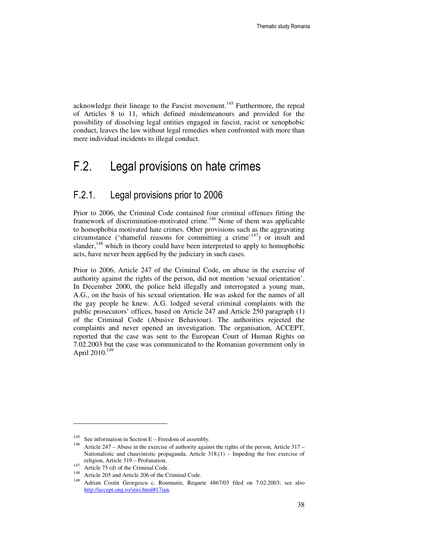acknowledge their lineage to the Fascist movement.<sup>145</sup> Furthermore, the repeal of Articles 8 to 11, which defined misdemeanours and provided for the possibility of dissolving legal entities engaged in fascist, racist or xenophobic conduct, leaves the law without legal remedies when confronted with more than mere individual incidents to illegal conduct.

### F.2. Legal provisions on hate crimes

### F.2.1. Legal provisions prior to 2006

Prior to 2006, the Criminal Code contained four criminal offences fitting the framework of discrimination-motivated crime.<sup>146</sup> None of them was applicable to homophobia motivated hate crimes. Other provisions such as the aggravating circumstance ('shameful reasons for committing a crime'<sup>147</sup>) or insult and slander, $148$  which in theory could have been interpreted to apply to homophobic acts, have never been applied by the judiciary in such cases.

Prior to 2006, Article 247 of the Criminal Code, on abuse in the exercise of authority against the rights of the person, did not mention 'sexual orientation'. In December 2000, the police held illegally and interrogated a young man, A.G., on the basis of his sexual orientation. He was asked for the names of all the gay people he knew. A.G. lodged several criminal complaints with the public prosecutors' offices, based on Article 247 and Article 250 paragraph (1) of the Criminal Code (Abusive Behaviour). The authorities rejected the complaints and never opened an investigation. The organisation, ACCEPT, reported that the case was sent to the European Court of Human Rights on 7.02.2003 but the case was communicated to the Romanian government only in April  $2010.<sup>149</sup>$ 

<sup>&</sup>lt;sup>145</sup>See information in Section E – Freedom of assembly.

Article 247 – Abuse in the exercise of authority against the rights of the person, Article 317 – Nationalistic and chauvinistic propaganda, Article 318.(1) – Impeding the free exercise of religion, Article 319 – Profanation.

<sup>147</sup> Article 75 (d) of the Criminal Code.

<sup>&</sup>lt;sup>148</sup> Article 205 and Article 206 of the Criminal Code.<br><sup>149</sup> Advise Castin Cassassey a Baumania Bassas

Adrian Costin Georgescu c. Roumanie, Requete 4867/03 filed on 7.02.2003; see also http://accept.ong.ro/stiri.html#17ian.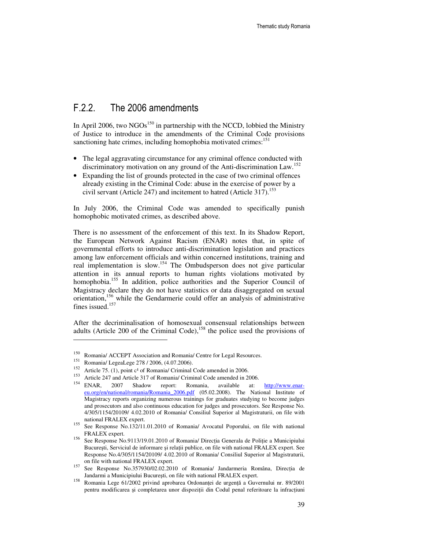### F.2.2. The 2006 amendments

In April 2006, two  $NGOs<sup>150</sup>$  in partnership with the NCCD, lobbied the Ministry of Justice to introduce in the amendments of the Criminal Code provisions sanctioning hate crimes, including homophobia motivated crimes:<sup>151</sup>

- The legal aggravating circumstance for any criminal offence conducted with discriminatory motivation on any ground of the Anti-discrimination Law.<sup>152</sup>
- Expanding the list of grounds protected in the case of two criminal offences already existing in the Criminal Code: abuse in the exercise of power by a civil servant (Article 247) and incitement to hatred (Article 317).<sup>153</sup>

In July 2006, the Criminal Code was amended to specifically punish homophobic motivated crimes, as described above.

There is no assessment of the enforcement of this text. In its Shadow Report, the European Network Against Racism (ENAR) notes that, in spite of governmental efforts to introduce anti-discrimination legislation and practices among law enforcement officials and within concerned institutions, training and real implementation is slow.<sup>154</sup> The Ombudsperson does not give particular attention in its annual reports to human rights violations motivated by homophobia.<sup>155</sup> In addition, police authorities and the Superior Council of Magistracy declare they do not have statistics or data disaggregated on sexual orientation,<sup>156</sup> while the Gendarmerie could offer an analysis of administrative fines issued.<sup>157</sup>

After the decriminalisation of homosexual consensual relationships between adults (Article 200 of the Criminal Code),<sup>158</sup> the police used the provisions of

<sup>&</sup>lt;sup>150</sup> Romania/ ACCEPT Association and Romania/ Centre for Legal Resources.

<sup>&</sup>lt;sup>151</sup> Romania/ LegeaLege 278 / 2006, (4.07.2006).

<sup>&</sup>lt;sup>152</sup> Article 75. (1), point c<sup>1</sup> of Romania/ Criminal Code amended in 2006.

<sup>&</sup>lt;sup>153</sup> Article 247 and Article 317 of Romania/ Criminal Code amended in 2006.

ENAR, 2007 Shadow report: Romania, available at: http://www.enareu.org/en/national/romania/Romania\_2006.pdf (05.02.2008). The National Institute of Magistracy reports organizing numerous trainings for graduates studying to become judges and prosecutors and also continuous education for judges and prosecutors. See Response No. 4/305/1154/20109/ 4.02.2010 of Romania/ Consiliul Superior al Magistraturii, on file with national FRALEX expert.

<sup>&</sup>lt;sup>155</sup> See Response No.132/11.01.2010 of Romania/ Avocatul Poporului, on file with national FRALEX expert.

<sup>156&</sup>lt;br>156 See Response No.9113/19.01.2010 of Romania/ Direcția Generala de Poliție a Municipiului București, Serviciul de informare și relații publice, on file with national FRALEX expert. See Response No.4/305/1154/20109/ 4.02.2010 of Romania/ Consiliul Superior al Magistraturii, on file with national FRALEX expert.

<sup>157</sup>See Response No.357930/02.02.2010 of Romania/ Jandarmeria Româna, Direcţia de Jandarmi a Municipiului Bucureşti, on file with national FRALEX expert.

<sup>158</sup>Romania Lege 61/2002 privind aprobarea Ordonanţei de urgenţă a Guvernului nr. 89/2001 pentru modificarea și completarea unor dispoziții din Codul penal referitoare la infracțiuni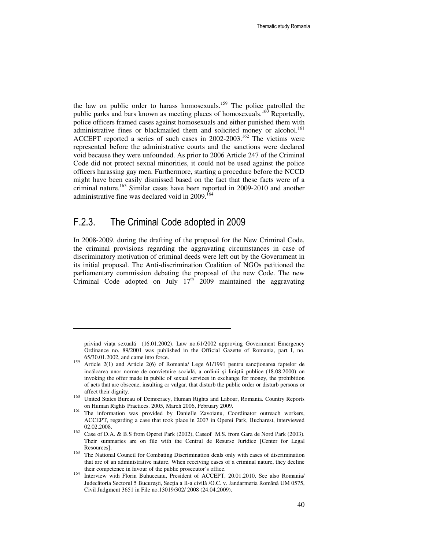the law on public order to harass homosexuals.<sup>159</sup> The police patrolled the public parks and bars known as meeting places of homosexuals.<sup>160</sup> Reportedly, police officers framed cases against homosexuals and either punished them with administrative fines or blackmailed them and solicited money or alcohol.<sup>161</sup> ACCEPT reported a series of such cases in 2002-2003. <sup>162</sup> The victims were represented before the administrative courts and the sanctions were declared void because they were unfounded. As prior to 2006 Article 247 of the Criminal Code did not protect sexual minorities, it could not be used against the police officers harassing gay men. Furthermore, starting a procedure before the NCCD might have been easily dismissed based on the fact that these facts were of a criminal nature.<sup>163</sup> Similar cases have been reported in 2009-2010 and another administrative fine was declared void in  $2009$ <sup>164</sup>

### F.2.3. The Criminal Code adopted in 2009

 $\ddot{ }$ 

In 2008-2009, during the drafting of the proposal for the New Criminal Code, the criminal provisions regarding the aggravating circumstances in case of discriminatory motivation of criminal deeds were left out by the Government in its initial proposal. The Anti-discrimination Coalition of NGOs petitioned the parliamentary commission debating the proposal of the new Code. The new Criminal Code adopted on July 17th 2009 maintained the aggravating

privind viaţa sexuală (16.01.2002). Law no.61/2002 approving Government Emergency Ordinance no. 89/2001 was published in the Official Gazette of Romania, part I, no. 65/30.01.2002, and came into force.

<sup>159</sup> Article 2(1) and Article 2(6) of Romania/ Lege 61/1991 pentru sanctionarea faptelor de incălcarea unor norme de conviețuire socială, a ordinii și liniștii publice (18.08.2000) on invoking the offer made in public of sexual services in exchange for money, the prohibition of acts that are obscene, insulting or vulgar, that disturb the public order or disturb persons or affect their dignity.

<sup>&</sup>lt;sup>160</sup> United States Bureau of Democracy, Human Rights and Labour, Romania. Country Reports on Human Rights Practices. 2005, March 2006, February 2009.

<sup>&</sup>lt;sup>161</sup> The information was provided by Danielle Zavoianu, Coordinator outreach workers, ACCEPT, regarding a case that took place in 2007 in Operei Park, Bucharest, interviewed 02.02.2008.

<sup>&</sup>lt;sup>162</sup> Case of D.A. & B.S from Operei Park (2002), Caseof M.S. from Gara de Nord Park (2003). Their summaries are on file with the Centrul de Resurse Juridice [Center for Legal Resources].

<sup>163</sup> The National Council for Combating Discrimination deals only with cases of discrimination that are of an administrative nature. When receiving cases of a criminal nature, they decline their competence in favour of the public prosecutor's office.

Interview with Florin Buhuceanu, President of ACCEPT, 20.01.2010. See also Romania/ Judecătoria Sectorul 5 București, Secția a II-a civilă /O.C. v. Jandarmeria Română UM 0575, Civil Judgment 3651 in File no.13019/302/ 2008 (24.04.2009).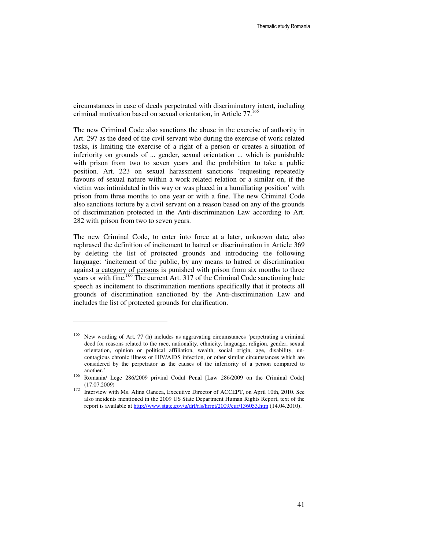circumstances in case of deeds perpetrated with discriminatory intent, including criminal motivation based on sexual orientation, in Article 77.

The new Criminal Code also sanctions the abuse in the exercise of authority in Art. 297 as the deed of the civil servant who during the exercise of work-related tasks, is limiting the exercise of a right of a person or creates a situation of inferiority on grounds of ... gender, sexual orientation ... which is punishable with prison from two to seven years and the prohibition to take a public position. Art. 223 on sexual harassment sanctions 'requesting repeatedly favours of sexual nature within a work-related relation or a similar on, if the victim was intimidated in this way or was placed in a humiliating position' with prison from three months to one year or with a fine. The new Criminal Code also sanctions torture by a civil servant on a reason based on any of the grounds of discrimination protected in the Anti-discrimination Law according to Art. 282 with prison from two to seven years.

The new Criminal Code, to enter into force at a later, unknown date, also rephrased the definition of incitement to hatred or discrimination in Article 369 by deleting the list of protected grounds and introducing the following language: 'incitement of the public, by any means to hatred or discrimination against a category of persons is punished with prison from six months to three years or with fine.<sup>166</sup> The current Art. 317 of the Criminal Code sanctioning hate speech as incitement to discrimination mentions specifically that it protects all grounds of discrimination sanctioned by the Anti-discrimination Law and includes the list of protected grounds for clarification.

 $\overline{a}$ 

<sup>&</sup>lt;sup>165</sup> New wording of Art. 77 (h) includes as aggravating circumstances 'perpetrating a criminal deed for reasons related to the race, nationality, ethnicity, language, religion, gender, sexual orientation, opinion or political affiliation, wealth, social origin, age, disability, uncontagious chronic illness or HIV/AIDS infection, or other similar circumstances which are considered by the perpetrator as the causes of the inferiority of a person compared to another.'

<sup>&</sup>lt;sup>166</sup> Romania/ Lege 286/2009 privind Codul Penal [Law 286/2009 on the Criminal Code] (17.07.2009)

<sup>&</sup>lt;sup>172</sup>Interview with Ms. Alina Oancea, Executive Director of ACCEPT, on April 10th, 2010. See also incidents mentioned in the 2009 US State Department Human Rights Report, text of the report is available at http://www.state.gov/g/drl/rls/hrrpt/2009/eur/136053.htm (14.04.2010).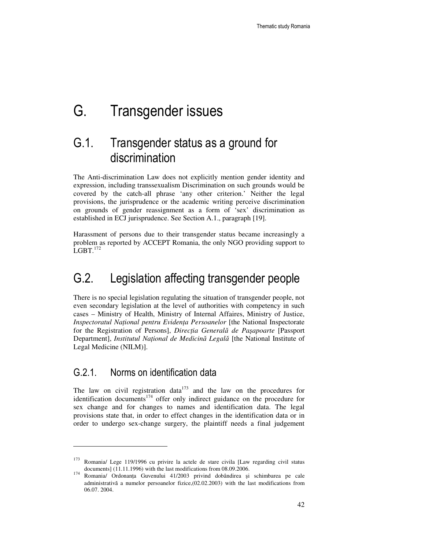# G. Transgender issues

## G.1. Transgender status as a ground for discrimination

The Anti-discrimination Law does not explicitly mention gender identity and expression, including transsexualism Discrimination on such grounds would be covered by the catch-all phrase 'any other criterion.' Neither the legal provisions, the jurisprudence or the academic writing perceive discrimination on grounds of gender reassignment as a form of 'sex' discrimination as established in ECJ jurisprudence. See Section A.1., paragraph [19].

Harassment of persons due to their transgender status became increasingly a problem as reported by ACCEPT Romania, the only NGO providing support to  $LGBT.^{172}$ 

### G.2. Legislation affecting transgender people

There is no special legislation regulating the situation of transgender people, not even secondary legislation at the level of authorities with competency in such cases – Ministry of Health, Ministry of Internal Affaires, Ministry of Justice, *Inspectoratul Na*ţ*ional pentru Eviden*ţ*a Persoanelor* [the National Inspectorate for the Registration of Persons], *Direc*ţ*ia General*ă *de Pa*ş*apoarte* [Passport Department], *Institutul Na*ţ*ional de Medicin*ă *Legal*ă [the National Institute of Legal Medicine (NILM)].

### G.2.1. Norms on identification data

-

The law on civil registration data<sup>173</sup> and the law on the procedures for identification documents<sup>174</sup> offer only indirect guidance on the procedure for sex change and for changes to names and identification data. The legal provisions state that, in order to effect changes in the identification data or in order to undergo sex-change surgery, the plaintiff needs a final judgement

 $173$  Romania/ Lege 119/1996 cu privire la actele de stare civila [Law regarding civil status documents] (11.11.1996) with the last modifications from 08.09.2006.

<sup>174</sup>Romania/ Ordonanţa Guvenului 41/2003 privind dobândirea şi schimbarea pe cale administrativă a numelor persoanelor fizice,(02.02.2003) with the last modifications from 06.07. 2004.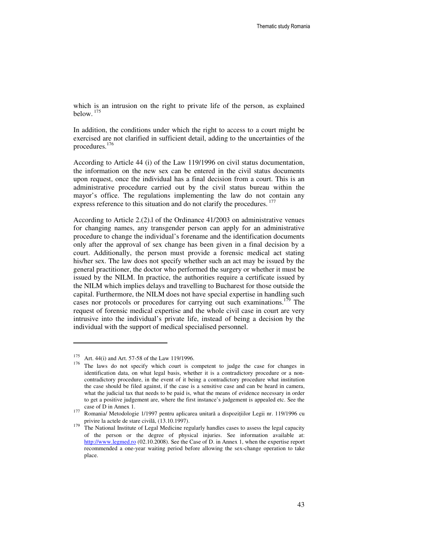which is an intrusion on the right to private life of the person, as explained below.<sup>175</sup>

In addition, the conditions under which the right to access to a court might be exercised are not clarified in sufficient detail, adding to the uncertainties of the procedures.<sup>176</sup>

According to Article 44 (i) of the Law 119/1996 on civil status documentation, the information on the new sex can be entered in the civil status documents upon request, once the individual has a final decision from a court. This is an administrative procedure carried out by the civil status bureau within the mayor's office. The regulations implementing the law do not contain any express reference to this situation and do not clarify the procedures.<sup>177</sup>

According to Article 2.(2).l of the Ordinance 41/2003 on administrative venues for changing names, any transgender person can apply for an administrative procedure to change the individual's forename and the identification documents only after the approval of sex change has been given in a final decision by a court. Additionally, the person must provide a forensic medical act stating his/her sex. The law does not specify whether such an act may be issued by the general practitioner, the doctor who performed the surgery or whether it must be issued by the NILM. In practice, the authorities require a certificate issued by the NILM which implies delays and travelling to Bucharest for those outside the capital. Furthermore, the NILM does not have special expertise in handling such cases nor protocols or procedures for carrying out such examinations.<sup>179</sup> The request of forensic medical expertise and the whole civil case in court are very intrusive into the individual's private life, instead of being a decision by the individual with the support of medical specialised personnel.

<sup>&</sup>lt;sup>175</sup> Art. 44(i) and Art. 57-58 of the Law 119/1996.

<sup>&</sup>lt;sup>176</sup> The laws do not specify which court is competent to judge the case for changes in identification data, on what legal basis, whether it is a contradictory procedure or a noncontradictory procedure, in the event of it being a contradictory procedure what institution the case should be filed against, if the case is a sensitive case and can be heard in camera, what the judicial tax that needs to be paid is, what the means of evidence necessary in order to get a positive judgement are, where the first instance's judgement is appealed etc. See the case of D in Annex 1.

<sup>177</sup> Romania/ Metodologie 1/1997 pentru aplicarea unitară a dispoziţiilor Legii nr. 119/1996 cu privire la actele de stare civilă, (13.10.1997).

<sup>&</sup>lt;sup>179</sup> The National Institute of Legal Medicine regularly handles cases to assess the legal capacity of the person or the degree of physical injuries. See information available at: http://www.legmed.ro (02.10.2008). See the Case of D. in Annex 1, when the expertise report recommended a one-year waiting period before allowing the sex-change operation to take place.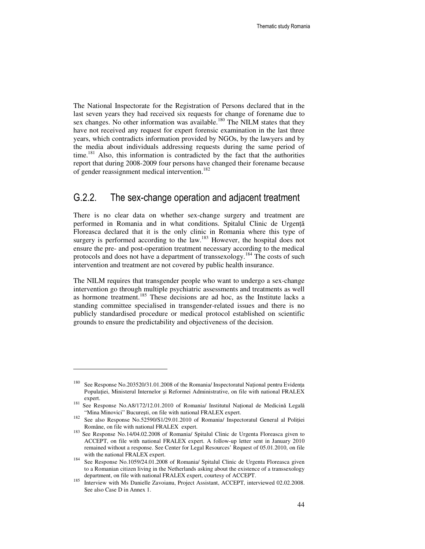The National Inspectorate for the Registration of Persons declared that in the last seven years they had received six requests for change of forename due to sex changes. No other information was available.<sup>180</sup> The NILM states that they have not received any request for expert forensic examination in the last three years, which contradicts information provided by NGOs, by the lawyers and by the media about individuals addressing requests during the same period of time.<sup>181</sup> Also, this information is contradicted by the fact that the authorities report that during 2008-2009 four persons have changed their forename because of gender reassignment medical intervention.<sup>182</sup>

### G.2.2. The sex-change operation and adjacent treatment

There is no clear data on whether sex-change surgery and treatment are performed in Romania and in what conditions. Spitalul Clinic de Urgenţă Floreasca declared that it is the only clinic in Romania where this type of surgery is performed according to the law.<sup>183</sup> However, the hospital does not ensure the pre- and post-operation treatment necessary according to the medical protocols and does not have a department of transsexology.<sup>184</sup> The costs of such intervention and treatment are not covered by public health insurance.

The NILM requires that transgender people who want to undergo a sex-change intervention go through multiple psychiatric assessments and treatments as well as hormone treatment.<sup>185</sup> These decisions are ad hoc, as the Institute lacks a standing committee specialised in transgender-related issues and there is no publicly standardised procedure or medical protocol established on scientific grounds to ensure the predictability and objectiveness of the decision.

See Response No.203520/31.01.2008 of the Romania/ Inspectoratul Național pentru Evidența Populației, Ministerul Internelor și Reformei Administrative, on file with national FRALEX expert.

<sup>181</sup> See Response No.A8/172/12.01.2010 of Romania/ Institutul Naţional de Medicinǎ Legalǎ "Mina Minovici" Bucureşti, on file with national FRALEX expert.

<sup>&</sup>lt;sup>182</sup> See also Response No.52590/S1/29.01.2010 of Romania/ Inspectoratul General al Poliției Române, on file with national FRALEX expert.

<sup>183</sup> See Response No.14/04.02.2008 of Romania/ Spitalul Clinic de Urgenta Floreasca given to ACCEPT, on file with national FRALEX expert. A follow-up letter sent in January 2010 remained without a response. See Center for Legal Resources' Request of 05.01.2010, on file with the national FRALEX expert.

<sup>184</sup> See Response No.1059/24.01.2008 of Romania/ Spitalul Clinic de Urgenta Floreasca given to a Romanian citizen living in the Netherlands asking about the existence of a transsexology department, on file with national FRALEX expert, courtesy of ACCEPT.

<sup>185</sup> Interview with Ms Danielle Zavoianu, Project Assistant, ACCEPT, interviewed 02.02.2008. See also Case D in Annex 1.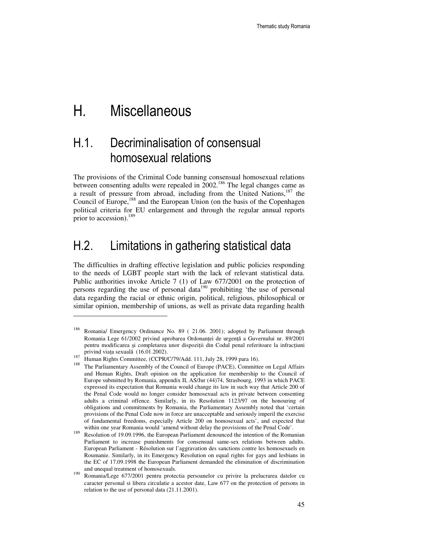# H. Miscellaneous

 $\ddot{ }$ 

### H.1. Decriminalisation of consensual homosexual relations

The provisions of the Criminal Code banning consensual homosexual relations between consenting adults were repealed in  $2002$ .<sup>186</sup> The legal changes came as a result of pressure from abroad, including from the United Nations, $187$  the Council of Europe,<sup>188</sup> and the European Union (on the basis of the Copenhagen political criteria for EU enlargement and through the regular annual reports prior to accession).  $189$ 

### H.2. Limitations in gathering statistical data

The difficulties in drafting effective legislation and public policies responding to the needs of LGBT people start with the lack of relevant statistical data. Public authorities invoke Article 7 (1) of Law 677/2001 on the protection of persons regarding the use of personal data<sup>190</sup> prohibiting 'the use of personal data regarding the racial or ethnic origin, political, religious, philosophical or similar opinion, membership of unions, as well as private data regarding health

<sup>&</sup>lt;sup>186</sup> Romania/ Emergency Ordinance No. 89 ( 21.06. 2001); adopted by Parliament through Romania Lege 61/2002 privind aprobarea Ordonanţei de urgenţă a Guvernului nr. 89/2001 pentru modificarea şi completarea unor dispoziţii din Codul penal referitoare la infracţiuni privind viaţa sexuală (16.01.2002).

<sup>187</sup> Human Rights Committee, (CCPR/C/79/Add. 111, July 28, 1999 para 16).

The Parliamentary Assembly of the Council of Europe (PACE), Committee on Legal Affairs and Human Rights, Draft opinion on the application for membership to the Council of Europe submitted by Romania, appendix II, AS/Jur (44)74, Strasbourg, 1993 in which PACE expressed its expectation that Romania would change its law in such way that Article 200 of the Penal Code would no longer consider homosexual acts in private between consenting adults a criminal offence. Similarly, in its Resolution 1123/97 on the honouring of obligations and commitments by Romania, the Parliamentary Assembly noted that 'certain provisions of the Penal Code now in force are unacceptable and seriously imperil the exercise of fundamental freedoms, especially Article 200 on homosexual acts', and expected that within one year Romania would 'amend without delay the provisions of the Penal Code'.

<sup>189&</sup>lt;br>Resolution of 19.09.1996, the European Parliament denounced the intention of the Romanian Parliament to increase punishments for consensual same-sex relations between adults. European Parliament - Résolution sur l'aggravation des sanctions contre les homosexuels en Roumanie. Similarly, in its Emergency Resolution on equal rights for gays and lesbians in the EC of 17.09.1998 the European Parliament demanded the elimination of discrimination and unequal treatment of homosexuals.

<sup>&</sup>lt;sup>190</sup> Romania/Lege 677/2001 pentru protectia persoanelor cu privire la prelucrarea datelor cu caracter personal si libera circulatie a acestor date, Law 677 on the protection of persons in relation to the use of personal data (21.11.2001).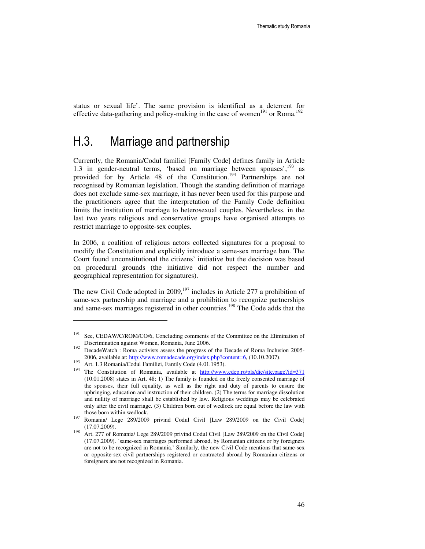status or sexual life'. The same provision is identified as a deterrent for effective data-gathering and policy-making in the case of women<sup>191</sup> or Roma.<sup>192</sup>

### H.3. Marriage and partnership

Currently, the Romania/Codul familiei [Family Code] defines family in Article 1.3 in gender-neutral terms, 'based on marriage between spouses', $193$  as provided for by Article 48 of the Constitution.<sup>194</sup> Partnerships are not recognised by Romanian legislation. Though the standing definition of marriage does not exclude same-sex marriage, it has never been used for this purpose and the practitioners agree that the interpretation of the Family Code definition limits the institution of marriage to heterosexual couples. Nevertheless, in the last two years religious and conservative groups have organised attempts to restrict marriage to opposite-sex couples.

In 2006, a coalition of religious actors collected signatures for a proposal to modify the Constitution and explicitly introduce a same-sex marriage ban. The Court found unconstitutional the citizens' initiative but the decision was based on procedural grounds (the initiative did not respect the number and geographical representation for signatures).

The new Civil Code adopted in  $2009$ , <sup>197</sup> includes in Article 277 a prohibition of same-sex partnership and marriage and a prohibition to recognize partnerships and same-sex marriages registered in other countries. <sup>198</sup> The Code adds that the

<sup>&</sup>lt;sup>191</sup> See, CEDAW/C/ROM/CO/6, Concluding comments of the Committee on the Elimination of Discrimination against Women, Romania, June 2006.

 $192$  DecadeWatch : Roma activists assess the progress of the Decade of Roma Inclusion 2005-2006, available at: http://www.romadecade.org/index.php?content=6, (10.10.2007).

<sup>&</sup>lt;sup>193</sup> Art. 1.3 Romania/Codul Familiei, Family Code (4.01.1953).

<sup>194</sup>The Constitution of Romania, available at http://www.cdep.ro/pls/dic/site.page?id=371 (10.01.2008) states in Art. 48: 1) The family is founded on the freely consented marriage of the spouses, their full equality, as well as the right and duty of parents to ensure the upbringing, education and instruction of their children. (2) The terms for marriage dissolution and nullity of marriage shall be established by law. Religious weddings may be celebrated only after the civil marriage. (3) Children born out of wedlock are equal before the law with those born within wedlock.

<sup>197</sup> Romania/ Lege 289/2009 privind Codul Civil [Law 289/2009 on the Civil Code] (17.07.2009).

<sup>198</sup> Art. 277 of Romania/ Lege 289/2009 privind Codul Civil [Law 289/2009 on the Civil Code] (17.07.2009). 'same-sex marriages performed abroad, by Romanian citizens or by foreigners are not to be recognized in Romania.' Similarly, the new Civil Code mentions that same-sex or opposite-sex civil partnerships registered or contracted abroad by Romanian citizens or foreigners are not recognized in Romania.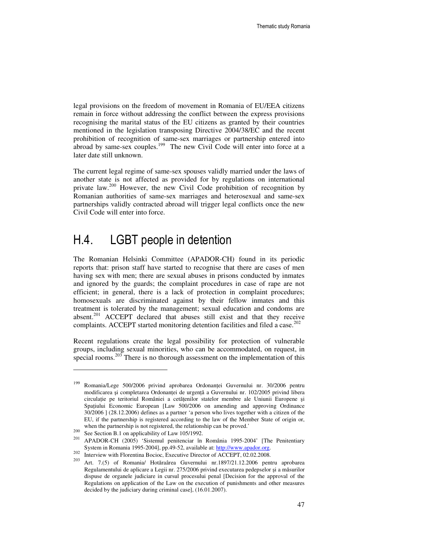legal provisions on the freedom of movement in Romania of EU/EEA citizens remain in force without addressing the conflict between the express provisions recognising the marital status of the EU citizens as granted by their countries mentioned in the legislation transposing Directive 2004/38/EC and the recent prohibition of recognition of same-sex marriages or partnership entered into abroad by same-sex couples.<sup>199</sup> The new Civil Code will enter into force at a later date still unknown.

The current legal regime of same-sex spouses validly married under the laws of another state is not affected as provided for by regulations on international private law.<sup>200</sup> However, the new Civil Code prohibition of recognition by Romanian authorities of same-sex marriages and heterosexual and same-sex partnerships validly contracted abroad will trigger legal conflicts once the new Civil Code will enter into force.

### H.4. LGBT people in detention

The Romanian Helsinki Committee (APADOR-CH) found in its periodic reports that: prison staff have started to recognise that there are cases of men having sex with men; there are sexual abuses in prisons conducted by inmates and ignored by the guards; the complaint procedures in case of rape are not efficient; in general, there is a lack of protection in complaint procedures; homosexuals are discriminated against by their fellow inmates and this treatment is tolerated by the management; sexual education and condoms are absent.<sup>201</sup> ACCEPT declared that abuses still exist and that they receive complaints. ACCEPT started monitoring detention facilities and filed a case.<sup>202</sup>

Recent regulations create the legal possibility for protection of vulnerable groups, including sexual minorities, who can be accommodated, on request, in special rooms.<sup>203</sup> There is no thorough assessment on the implementation of this

<sup>199</sup>Romania/Lege 500/2006 privind aprobarea Ordonanţei Guvernului nr. 30/2006 pentru modificarea și completarea Ordonanței de urgență a Guvernului nr. 102/2005 privind libera circulatie pe teritoriul României a cetătenilor statelor membre ale Uniunii Europene și Spatiului Economic European [Law 500/2006 on amending and approving Ordinance 30/2006 ] (28.12.2006) defines as a partner 'a person who lives together with a citizen of the EU, if the partnership is registered according to the law of the Member State of origin or, when the partnership is not registered, the relationship can be proved.'

<sup>&</sup>lt;sup>200</sup>See Section B.1 on applicability of Law 105/1992.

<sup>201</sup>APADOR-CH (2005) 'Sistemul penitenciar în România 1995-2004' [The Penitentiary System in Romania 1995-2004], pp.49-52, available at: http://www.apador.org.

 $202$ <br>
2021 Interview with Florentina Bocioc, Executive Director of ACCEPT, 02.02.2008.

<sup>203</sup>Art. 7.(5) of Romania/ Hotăraârea Guvernului nr.1897/21.12.2006 pentru aprobarea Regulamentului de aplicare a Legii nr. 275/2006 privind executarea pedepselor şi a măsurilor dispuse de organele judiciare in cursul procesului penal [Decision for the approval of the Regulations on application of the Law on the execution of punishments and other measures decided by the judiciary during criminal case], (16.01.2007).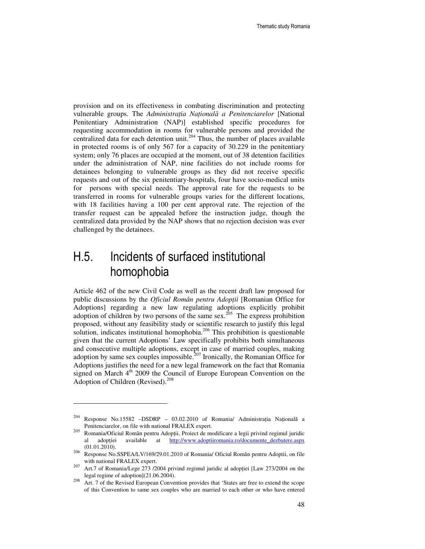provision and on its effectiveness in combating discrimination and protecting vulnerable groups. The *Administra*ţ*ia Na*ţ*ional*ă *a Penitenciarelor* [National Penitentiary Administration (NAP)] established specific procedures for requesting accommodation in rooms for vulnerable persons and provided the centralized data for each detention unit.<sup>204</sup> Thus, the number of places available in protected rooms is of only 567 for a capacity of 30.229 in the penitentiary system; only 76 places are occupied at the moment, out of 38 detention facilities under the administration of NAP, nine facilities do not include rooms for detainees belonging to vulnerable groups as they did not receive specific requests and out of the six penitentiary-hospitals, four have socio-medical units for persons with special needs. The approval rate for the requests to be transferred in rooms for vulnerable groups varies for the different locations, with 18 facilities having a 100 per cent approval rate. The rejection of the transfer request can be appealed before the instruction judge, though the centralized data provided by the NAP shows that no rejection decision was ever challenged by the detainees.

### H.5. Incidents of surfaced institutional homophobia

Article 462 of the new Civil Code as well as the recent draft law proposed for public discussions by the *Oficiul Român pentru Adop*ţ*ii* [Romanian Office for Adoptions] regarding a new law regulating adoptions explicitly prohibit adoption of children by two persons of the same sex.<sup>205</sup> The express prohibition proposed, without any feasibility study or scientific research to justify this legal solution, indicates institutional homophobia.<sup>206</sup> This prohibition is questionable given that the current Adoptions' Law specifically prohibits both simultaneous and consecutive multiple adoptions, except in case of married couples, making adoption by same sex couples impossible.<sup>207</sup> Ironically, the Romanian Office for Adoptions justifies the need for a new legal framework on the fact that Romania signed on March  $4<sup>th</sup>$  2009 the Council of Europe European Convention on the Adoption of Children (Revised).<sup>208</sup>

<sup>&</sup>lt;sup>204</sup> Response No.15582 –DSDRP – 03.02.2010 of Romania/ Administrația Națională a Penitenciarelor, on file with national FRALEX expert.

<sup>&</sup>lt;sup>205</sup> Romania/Oficiul Român pentru Adopții, Proiect de modificare a legii privind regimul juridic al adopției available at http://www.adoptiiromania.ro/documente\_dezbatere.aspx (01.01.2010).

<sup>&</sup>lt;sup>206</sup> Response No.SSPEA/LV/169/29.01.2010 of Romania/ Oficiul Român pentru Adoptii, on file with national FRALEX expert.

<sup>&</sup>lt;sup>207</sup> Art.7 of Romania/Lege 273 /2004 privind regimul juridic al adoptiei [Law 273/2004 on the legal regime of adoption](21.06.2004).

<sup>&</sup>lt;sup>208</sup>Art. 7 of the Revised European Convention provides that 'States are free to extend the scope of this Convention to same sex couples who are married to each other or who have entered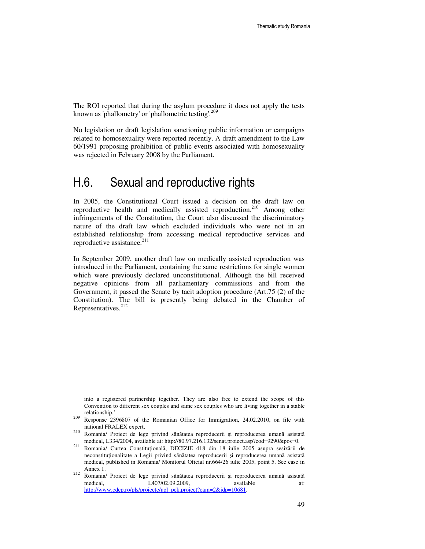The ROI reported that during the asylum procedure it does not apply the tests known as 'phallometry' or 'phallometric testing'.<sup>209</sup>

No legislation or draft legislation sanctioning public information or campaigns related to homosexuality were reported recently. A draft amendment to the Law 60/1991 proposing prohibition of public events associated with homosexuality was rejected in February 2008 by the Parliament.

### H.6. Sexual and reproductive rights

In 2005, the Constitutional Court issued a decision on the draft law on reproductive health and medically assisted reproduction.<sup>210</sup> Among other infringements of the Constitution, the Court also discussed the discriminatory nature of the draft law which excluded individuals who were not in an established relationship from accessing medical reproductive services and reproductive assistance.<sup>211</sup>

In September 2009, another draft law on medically assisted reproduction was introduced in the Parliament, containing the same restrictions for single women which were previously declared unconstitutional. Although the bill received negative opinions from all parliamentary commissions and from the Government, it passed the Senate by tacit adoption procedure (Art.75 (2) of the Constitution). The bill is presently being debated in the Chamber of Representatives.<sup>212</sup>

into a registered partnership together. They are also free to extend the scope of this Convention to different sex couples and same sex couples who are living together in a stable relationship.'

<sup>209</sup> Response 2396807 of the Romanian Office for Immigration, 24.02.2010, on file with national FRALEX expert.

<sup>&</sup>lt;sup>210</sup> Romania/ Proiect de lege privind sănătatea reproducerii și reproducerea umană asistată medical, L334/2004, available at: http://80.97.216.132/senat.proiect.asp?cod=9290&pos=0.

<sup>211</sup>Romania/ Curtea Constituţională, DECIZIE 418 din 18 iulie 2005 asupra sesizării de neconstituţionalitate a Legii privind sănătatea reproducerii şi reproducerea umană asistată medical, published in Romania/ Monitorul Oficial nr.664/26 iulie 2005, point 5. See case in Annex 1.

<sup>&</sup>lt;sup>212</sup> Romania/ Proiect de lege privind sănătatea reproducerii și reproducerea umană asistată medical,  $L407/02.09.2009$ , available at: http://www.cdep.ro/pls/proiecte/upl\_pck.proiect?cam=2&idp=10681.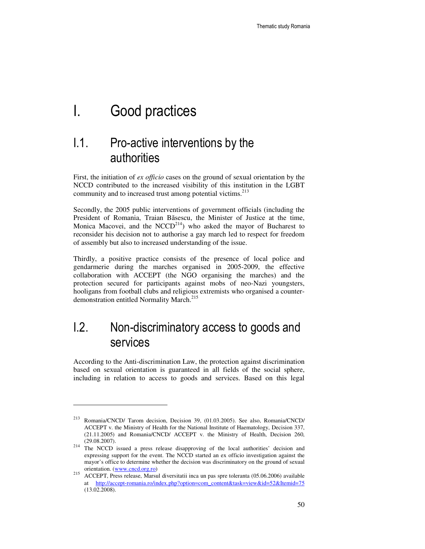# I. Good practices

l

## I.1. Pro-active interventions by the authorities

First, the initiation of *ex officio* cases on the ground of sexual orientation by the NCCD contributed to the increased visibility of this institution in the LGBT community and to increased trust among potential victims.<sup>213</sup>

Secondly, the 2005 public interventions of government officials (including the President of Romania, Traian Băsescu, the Minister of Justice at the time, Monica Macovei, and the NCCD $^{214}$ ) who asked the mayor of Bucharest to reconsider his decision not to authorise a gay march led to respect for freedom of assembly but also to increased understanding of the issue.

Thirdly, a positive practice consists of the presence of local police and gendarmerie during the marches organised in 2005-2009, the effective collaboration with ACCEPT (the NGO organising the marches) and the protection secured for participants against mobs of neo-Nazi youngsters, hooligans from football clubs and religious extremists who organised a counterdemonstration entitled Normality March.<sup>215</sup>

## I.2. Non-discriminatory access to goods and services

According to the Anti-discrimination Law, the protection against discrimination based on sexual orientation is guaranteed in all fields of the social sphere, including in relation to access to goods and services. Based on this legal

 $213$  Romania/CNCD/ Tarom decision, Decision 39, (01.03.2005). See also, Romania/CNCD/ ACCEPT v. the Ministry of Health for the National Institute of Haematology, Decision 337, (21.11.2005) and Romania/CNCD/ ACCEPT v. the Ministry of Health, Decision 260, (29.08.2007).

<sup>&</sup>lt;sup>214</sup> The NCCD issued a press release disapproving of the local authorities' decision and expressing support for the event. The NCCD started an ex officio investigation against the mayor's office to determine whether the decision was discriminatory on the ground of sexual orientation. (www.cncd.org.ro)

 $\frac{215}{2}$ ACCEPT, Press release, Marsul diversitatii inca un pas spre toleranta (05.06.2006) available at http://accept-romania.ro/index.php?option=com\_content&task=view&id=52&Itemid=75 (13.02.2008).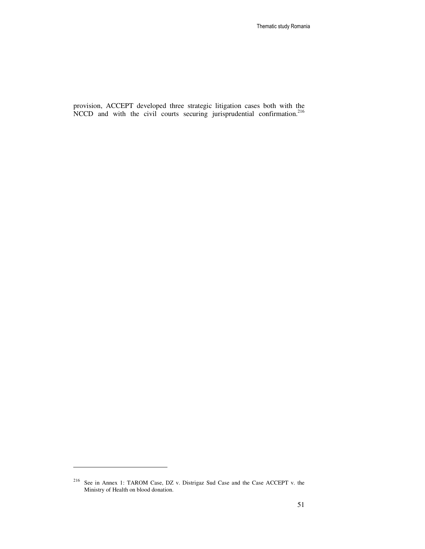provision, ACCEPT developed three strategic litigation cases both with the NCCD and with the civil courts securing jurisprudential confirmation.<sup>216</sup>

l

 $216$  See in Annex 1: TAROM Case, DZ v. Distrigaz Sud Case and the Case ACCEPT v. the Ministry of Health on blood donation.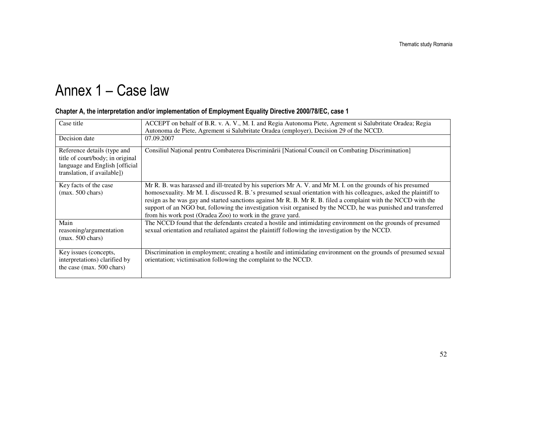# Annex 1 – Case law

#### Chapter A, the interpretation and/or implementation of Employment Equality Directive 2000/78/EC, case 1

| Case title                                                                                                                       | ACCEPT on behalf of B.R. v. A. V., M. I. and Regia Autonoma Piete, Agrement si Salubritate Oradea; Regia<br>Autonoma de Piete, Agrement si Salubritate Oradea (employer), Decision 29 of the NCCD.                                                                                                                                                                                                                                                                                                                                 |
|----------------------------------------------------------------------------------------------------------------------------------|------------------------------------------------------------------------------------------------------------------------------------------------------------------------------------------------------------------------------------------------------------------------------------------------------------------------------------------------------------------------------------------------------------------------------------------------------------------------------------------------------------------------------------|
| Decision date                                                                                                                    | 07.09.2007                                                                                                                                                                                                                                                                                                                                                                                                                                                                                                                         |
| Reference details (type and<br>title of court/body; in original<br>language and English [official<br>translation, if available]) | Consiliul Național pentru Combaterea Discriminării [National Council on Combating Discrimination]                                                                                                                                                                                                                                                                                                                                                                                                                                  |
| Key facts of the case<br>$(max. 500 \text{ chars})$                                                                              | Mr R. B. was harassed and ill-treated by his superiors Mr A. V. and Mr M. I. on the grounds of his presumed<br>homosexuality. Mr M. I. discussed R. B.'s presumed sexual orientation with his colleagues, asked the plaintiff to<br>resign as he was gay and started sanctions against Mr R. B. Mr R. B. filed a complaint with the NCCD with the<br>support of an NGO but, following the investigation visit organised by the NCCD, he was punished and transferred<br>from his work post (Oradea Zoo) to work in the grave yard. |
| Main<br>reasoning/argumentation<br>$(max. 500 \text{ chars})$                                                                    | The NCCD found that the defendants created a hostile and intimidating environment on the grounds of presumed<br>sexual orientation and retaliated against the plaintiff following the investigation by the NCCD.                                                                                                                                                                                                                                                                                                                   |
| Key issues (concepts,<br>interpretations) clarified by<br>the case (max. 500 chars)                                              | Discrimination in employment; creating a hostile and intimidating environment on the grounds of presumed sexual<br>orientation; victimisation following the complaint to the NCCD.                                                                                                                                                                                                                                                                                                                                                 |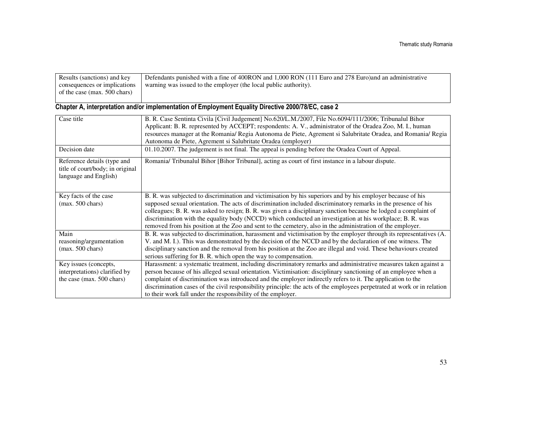| Results (sanctions) and key  | Defendants punished with a fine of 400RON and 1,000 RON (111 Euro and 278 Euro) and an administrative |
|------------------------------|-------------------------------------------------------------------------------------------------------|
| consequences or implications | warning was issued to the employer (the local public authority).                                      |
| of the case (max. 500 chars) |                                                                                                       |

#### Chapter A, interpretation and/or implementation of Employment Equality Directive 2000/78/EC, case 2

| Case title                                                                               | B. R. Case Sentinta Civila [Civil Judgement] No.620/L.M./2007, File No.6094/111/2006; Tribunalul Bihor<br>Applicant: B. R. represented by ACCEPT; respondents: A. V., administrator of the Oradea Zoo, M. I., human<br>resources manager at the Romania/ Regia Autonoma de Piete, Agrement si Salubritate Oradea, and Romania/ Regia<br>Autonoma de Piete, Agrement si Salubritate Oradea (employer)                                                                                                                                                                        |
|------------------------------------------------------------------------------------------|-----------------------------------------------------------------------------------------------------------------------------------------------------------------------------------------------------------------------------------------------------------------------------------------------------------------------------------------------------------------------------------------------------------------------------------------------------------------------------------------------------------------------------------------------------------------------------|
| Decision date                                                                            | 01.10.2007. The judgement is not final. The appeal is pending before the Oradea Court of Appeal.                                                                                                                                                                                                                                                                                                                                                                                                                                                                            |
| Reference details (type and<br>title of court/body; in original<br>language and English) | Romania/ Tribunalul Bihor [Bihor Tribunal], acting as court of first instance in a labour dispute.                                                                                                                                                                                                                                                                                                                                                                                                                                                                          |
| Key facts of the case<br>$(max. 500 \text{ chars})$                                      | B. R. was subjected to discrimination and victimisation by his superiors and by his employer because of his<br>supposed sexual orientation. The acts of discrimination included discriminatory remarks in the presence of his<br>colleagues; B. R. was asked to resign; B. R. was given a disciplinary sanction because he lodged a complaint of<br>discrimination with the equality body (NCCD) which conducted an investigation at his workplace; B. R. was<br>removed from his position at the Zoo and sent to the cemetery, also in the administration of the employer. |
| Main                                                                                     | B. R. was subjected to discrimination, harassment and victimisation by the employer through its representatives (A.                                                                                                                                                                                                                                                                                                                                                                                                                                                         |
| reasoning/argumentation<br>$(max. 500 \text{ chars})$                                    | V. and M. I.). This was demonstrated by the decision of the NCCD and by the declaration of one witness. The<br>disciplinary sanction and the removal from his position at the Zoo are illegal and void. These behaviours created<br>serious suffering for B. R. which open the way to compensation.                                                                                                                                                                                                                                                                         |
| Key issues (concepts,                                                                    | Harassment: a systematic treatment, including discriminatory remarks and administrative measures taken against a                                                                                                                                                                                                                                                                                                                                                                                                                                                            |
| interpretations) clarified by                                                            | person because of his alleged sexual orientation. Victimisation: disciplinary sanctioning of an employee when a                                                                                                                                                                                                                                                                                                                                                                                                                                                             |
| the case (max. 500 chars)                                                                | complaint of discrimination was introduced and the employer indirectly refers to it. The application to the<br>discrimination cases of the civil responsibility principle: the acts of the employees perpetrated at work or in relation<br>to their work fall under the responsibility of the employer.                                                                                                                                                                                                                                                                     |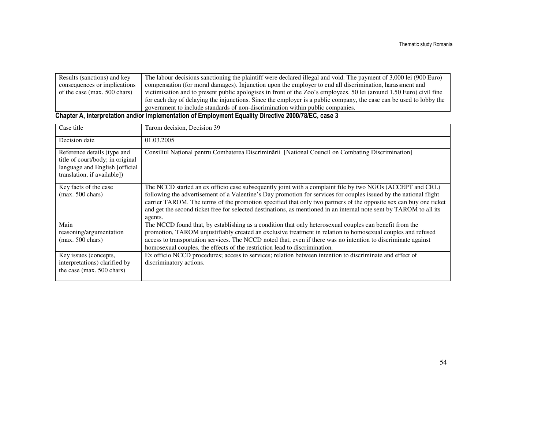| Results (sanctions) and key  | The labour decisions sanctioning the plaintiff were declared illegal and void. The payment of 3,000 lei (900 Euro)   |
|------------------------------|----------------------------------------------------------------------------------------------------------------------|
| consequences or implications | compensation (for moral damages). Injunction upon the employer to end all discrimination, harassment and             |
| of the case (max. 500 chars) | victimisation and to present public apologises in front of the Zoo's employees. 50 lei (around 1.50 Euro) civil fine |
|                              | for each day of delaying the injunctions. Since the employer is a public company, the case can be used to lobby the  |
|                              | government to include standards of non-discrimination within public companies.                                       |

#### Chapter A, interpretation and/or implementation of Employment Equality Directive 2000/78/EC, case 3

| Case title                                                                                                                       | Tarom decision, Decision 39                                                                                                                                                                                                                                                                                                                                                                                                                                                           |
|----------------------------------------------------------------------------------------------------------------------------------|---------------------------------------------------------------------------------------------------------------------------------------------------------------------------------------------------------------------------------------------------------------------------------------------------------------------------------------------------------------------------------------------------------------------------------------------------------------------------------------|
| Decision date                                                                                                                    | 01.03.2005                                                                                                                                                                                                                                                                                                                                                                                                                                                                            |
| Reference details (type and<br>title of court/body; in original<br>language and English [official<br>translation, if available]) | Consiliul Național pentru Combaterea Discriminării [National Council on Combating Discrimination]                                                                                                                                                                                                                                                                                                                                                                                     |
| Key facts of the case<br>$(max. 500 \text{ chars})$                                                                              | The NCCD started an ex officio case subsequently joint with a complaint file by two NGOs (ACCEPT and CRL)<br>following the advertisement of a Valentine's Day promotion for services for couples issued by the national flight<br>carrier TAROM. The terms of the promotion specified that only two partners of the opposite sex can buy one ticket<br>and get the second ticket free for selected destinations, as mentioned in an internal note sent by TAROM to all its<br>agents. |
| Main<br>reasoning/argumentation<br>$(max. 500 \text{ chars})$                                                                    | The NCCD found that, by establishing as a condition that only heterosexual couples can benefit from the<br>promotion, TAROM unjustifiably created an exclusive treatment in relation to homosexual couples and refused<br>access to transportation services. The NCCD noted that, even if there was no intention to discriminate against<br>homosexual couples, the effects of the restriction lead to discrimination.                                                                |
| Key issues (concepts,<br>interpretations) clarified by<br>the case (max. 500 chars)                                              | Ex officio NCCD procedures; access to services; relation between intention to discriminate and effect of<br>discriminatory actions.                                                                                                                                                                                                                                                                                                                                                   |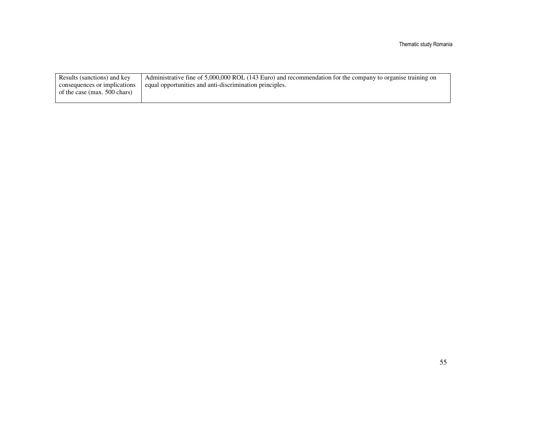| Results (sanctions) and key  | Administrative fine of 5,000,000 ROL (143 Euro) and recommendation for the company to organise training on |
|------------------------------|------------------------------------------------------------------------------------------------------------|
| consequences or implications | equal opportunities and anti-discrimination principles.                                                    |
| of the case (max. 500 chars) |                                                                                                            |
|                              |                                                                                                            |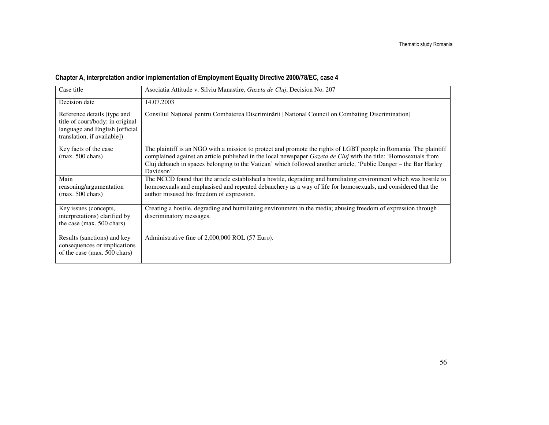|  |  |  |  |  | Chapter A, interpretation and/or implementation of Employment Equality Directive 2000/78/EC, case 4 |  |
|--|--|--|--|--|-----------------------------------------------------------------------------------------------------|--|
|  |  |  |  |  |                                                                                                     |  |

| Case title                                                                                                                       | Asociatia Attitude v. Silviu Manastire, Gazeta de Cluj, Decision No. 207                                                                                                                                                                                                                                                                                               |
|----------------------------------------------------------------------------------------------------------------------------------|------------------------------------------------------------------------------------------------------------------------------------------------------------------------------------------------------------------------------------------------------------------------------------------------------------------------------------------------------------------------|
| Decision date                                                                                                                    | 14.07.2003                                                                                                                                                                                                                                                                                                                                                             |
| Reference details (type and<br>title of court/body; in original<br>language and English [official<br>translation, if available]) | Consiliul National pentru Combaterea Discriminarii [National Council on Combating Discrimination]                                                                                                                                                                                                                                                                      |
| Key facts of the case<br>$(max. 500 \text{ chars})$                                                                              | The plaintiff is an NGO with a mission to protect and promote the rights of LGBT people in Romania. The plaintiff<br>complained against an article published in the local newspaper Gazeta de Cluj with the title: 'Homosexuals from<br>Cluj debauch in spaces belonging to the Vatican' which followed another article, 'Public Danger – the Bar Harley<br>Davidson'. |
| Main<br>reasoning/argumentation<br>$(max. 500 \text{ chars})$                                                                    | The NCCD found that the article established a hostile, degrading and humiliating environment which was hostile to<br>homosexuals and emphasised and repeated debauchery as a way of life for homosexuals, and considered that the<br>author misused his freedom of expression.                                                                                         |
| Key issues (concepts,<br>interpretations) clarified by<br>the case (max. 500 chars)                                              | Creating a hostile, degrading and humiliating environment in the media; abusing freedom of expression through<br>discriminatory messages.                                                                                                                                                                                                                              |
| Results (sanctions) and key<br>consequences or implications<br>of the case (max. 500 chars)                                      | Administrative fine of 2,000,000 ROL (57 Euro).                                                                                                                                                                                                                                                                                                                        |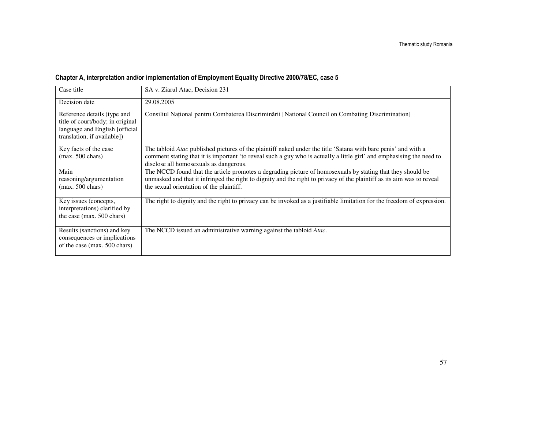|  |  |  |  |  |  | Chapter A, interpretation and/or implementation of Employment Equality Directive 2000/78/EC, case 5 |  |
|--|--|--|--|--|--|-----------------------------------------------------------------------------------------------------|--|
|  |  |  |  |  |  |                                                                                                     |  |

| Case title                                                                                                                       | SA v. Ziarul Atac, Decision 231                                                                                                                                                                                                                                                          |
|----------------------------------------------------------------------------------------------------------------------------------|------------------------------------------------------------------------------------------------------------------------------------------------------------------------------------------------------------------------------------------------------------------------------------------|
| Decision date                                                                                                                    | 29.08.2005                                                                                                                                                                                                                                                                               |
| Reference details (type and<br>title of court/body; in original<br>language and English [official<br>translation, if available]) | Consiliul Național pentru Combaterea Discriminării [National Council on Combating Discrimination]                                                                                                                                                                                        |
| Key facts of the case<br>$(max. 500 \text{ chars})$                                                                              | The tabloid <i>Atac</i> published pictures of the plaintiff naked under the title 'Satana with bare penis' and with a<br>comment stating that it is important 'to reveal such a guy who is actually a little girl' and emphasising the need to<br>disclose all homosexuals as dangerous. |
| Main<br>reasoning/argumentation<br>$(max. 500 \text{ chars})$                                                                    | The NCCD found that the article promotes a degrading picture of homosexuals by stating that they should be<br>unmasked and that it infringed the right to dignity and the right to privacy of the plaintiff as its aim was to reveal<br>the sexual orientation of the plaintiff.         |
| Key issues (concepts,<br>interpretations) clarified by<br>the case (max. 500 chars)                                              | The right to dignity and the right to privacy can be invoked as a justifiable limitation for the freedom of expression.                                                                                                                                                                  |
| Results (sanctions) and key<br>consequences or implications<br>of the case (max. 500 chars)                                      | The NCCD issued an administrative warning against the tabloid Atac.                                                                                                                                                                                                                      |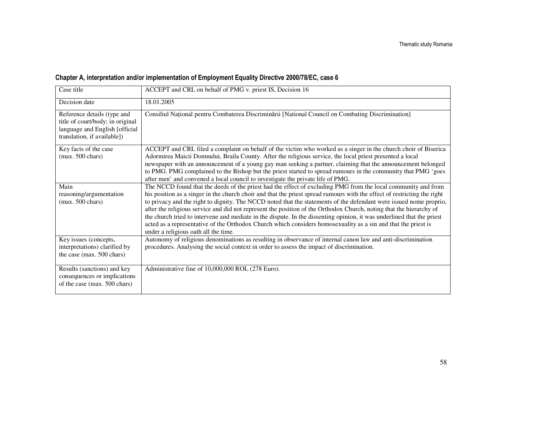|  |  |  |  |  |  | 6 Chapter A, interpretation and/or implementation of Employment Equality Directive 2000/78/EC, case |  |
|--|--|--|--|--|--|-----------------------------------------------------------------------------------------------------|--|
|  |  |  |  |  |  |                                                                                                     |  |

| Case title                                                                                                                       | ACCEPT and CRL on behalf of PMG v. priest IS, Decision 16                                                                                                                                                                                                                                                                                                                                                                                                                                                                                                                                                                                                                                                                                                                  |
|----------------------------------------------------------------------------------------------------------------------------------|----------------------------------------------------------------------------------------------------------------------------------------------------------------------------------------------------------------------------------------------------------------------------------------------------------------------------------------------------------------------------------------------------------------------------------------------------------------------------------------------------------------------------------------------------------------------------------------------------------------------------------------------------------------------------------------------------------------------------------------------------------------------------|
| Decision date                                                                                                                    | 18.01.2005                                                                                                                                                                                                                                                                                                                                                                                                                                                                                                                                                                                                                                                                                                                                                                 |
| Reference details (type and<br>title of court/body; in original<br>language and English [official<br>translation, if available]) | Consiliul Național pentru Combaterea Discriminării [National Council on Combating Discrimination]                                                                                                                                                                                                                                                                                                                                                                                                                                                                                                                                                                                                                                                                          |
| Key facts of the case<br>$(max. 500 \text{ chars})$                                                                              | ACCEPT and CRL filed a complaint on behalf of the victim who worked as a singer in the church choir of Biserica<br>Adormirea Maicii Domnului, Braila County. After the religious service, the local priest presented a local<br>newspaper with an announcement of a young gay man seeking a partner, claiming that the announcement belonged<br>to PMG. PMG complained to the Bishop but the priest started to spread rumours in the community that PMG 'goes<br>after men' and convened a local council to investigate the private life of PMG.                                                                                                                                                                                                                           |
| Main<br>reasoning/argumentation<br>$(max. 500 \text{ chars})$                                                                    | The NCCD found that the deeds of the priest had the effect of excluding PMG from the local community and from<br>his position as a singer in the church choir and that the priest spread rumours with the effect of restricting the right<br>to privacy and the right to dignity. The NCCD noted that the statements of the defendant were issued nome proprio,<br>after the religious service and did not represent the position of the Orthodox Church, noting that the hierarchy of<br>the church tried to intervene and mediate in the dispute. In the dissenting opinion, it was underlined that the priest<br>acted as a representative of the Orthodox Church which considers homosexuality as a sin and that the priest is<br>under a religious oath all the time. |
| Key issues (concepts,<br>interpretations) clarified by<br>the case (max. 500 chars)                                              | Autonomy of religious denominations as resulting in observance of internal canon law and anti-discrimination<br>procedures. Analysing the social context in order to assess the impact of discrimination.                                                                                                                                                                                                                                                                                                                                                                                                                                                                                                                                                                  |
| Results (sanctions) and key<br>consequences or implications<br>of the case (max. 500 chars)                                      | Administrative fine of 10,000,000 ROL (278 Euro).                                                                                                                                                                                                                                                                                                                                                                                                                                                                                                                                                                                                                                                                                                                          |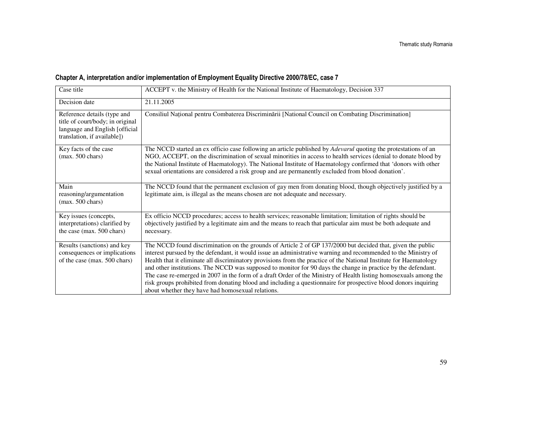| Case title                                                                                                                       | ACCEPT v. the Ministry of Health for the National Institute of Haematology, Decision 337                                                                                                                                                                                                                                                                                                                                                                                                                                                                                                                                                                                                                                                                         |
|----------------------------------------------------------------------------------------------------------------------------------|------------------------------------------------------------------------------------------------------------------------------------------------------------------------------------------------------------------------------------------------------------------------------------------------------------------------------------------------------------------------------------------------------------------------------------------------------------------------------------------------------------------------------------------------------------------------------------------------------------------------------------------------------------------------------------------------------------------------------------------------------------------|
| Decision date                                                                                                                    | 21.11.2005                                                                                                                                                                                                                                                                                                                                                                                                                                                                                                                                                                                                                                                                                                                                                       |
| Reference details (type and<br>title of court/body; in original<br>language and English [official<br>translation, if available]) | Consiliul Național pentru Combaterea Discriminării [National Council on Combating Discrimination]                                                                                                                                                                                                                                                                                                                                                                                                                                                                                                                                                                                                                                                                |
| Key facts of the case<br>$(max. 500 \text{ chars})$                                                                              | The NCCD started an ex officio case following an article published by <i>Adevarul</i> quoting the protestations of an<br>NGO, ACCEPT, on the discrimination of sexual minorities in access to health services (denial to donate blood by<br>the National Institute of Haematology). The National Institute of Haematology confirmed that 'donors with other<br>sexual orientations are considered a risk group and are permanently excluded from blood donation'.                                                                                                                                                                                                                                                                                                |
| Main<br>reasoning/argumentation<br>$(max. 500 \text{ chars})$                                                                    | The NCCD found that the permanent exclusion of gay men from donating blood, though objectively justified by a<br>legitimate aim, is illegal as the means chosen are not adequate and necessary.                                                                                                                                                                                                                                                                                                                                                                                                                                                                                                                                                                  |
| Key issues (concepts,<br>interpretations) clarified by<br>the case (max. 500 chars)                                              | Ex officio NCCD procedures; access to health services; reasonable limitation; limitation of rights should be<br>objectively justified by a legitimate aim and the means to reach that particular aim must be both adequate and<br>necessary.                                                                                                                                                                                                                                                                                                                                                                                                                                                                                                                     |
| Results (sanctions) and key<br>consequences or implications<br>of the case (max. 500 chars)                                      | The NCCD found discrimination on the grounds of Article 2 of GP 137/2000 but decided that, given the public<br>interest pursued by the defendant, it would issue an administrative warning and recommended to the Ministry of<br>Health that it eliminate all discriminatory provisions from the practice of the National Institute for Haematology<br>and other institutions. The NCCD was supposed to monitor for 90 days the change in practice by the defendant.<br>The case re-emerged in 2007 in the form of a draft Order of the Ministry of Health listing homosexuals among the<br>risk groups prohibited from donating blood and including a questionnaire for prospective blood donors inquiring<br>about whether they have had homosexual relations. |

### Chapter A, interpretation and/or implementation of Employment Equality Directive 2000/78/EC, case 7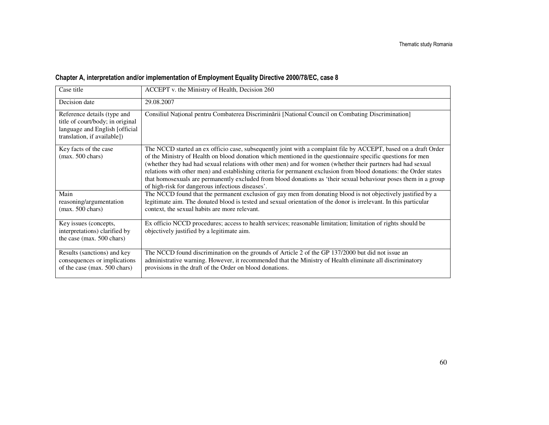|  |  |  |  |  |  | Chapter A, interpretation and/or implementation of Employment Equality Directive 2000/78/EC, case 8 |  |
|--|--|--|--|--|--|-----------------------------------------------------------------------------------------------------|--|
|  |  |  |  |  |  |                                                                                                     |  |

| Case title                                                                                                                       | ACCEPT v. the Ministry of Health, Decision 260                                                                                                                                                                                                                                                                                                                                                                                                                                                                                                                                                                                             |
|----------------------------------------------------------------------------------------------------------------------------------|--------------------------------------------------------------------------------------------------------------------------------------------------------------------------------------------------------------------------------------------------------------------------------------------------------------------------------------------------------------------------------------------------------------------------------------------------------------------------------------------------------------------------------------------------------------------------------------------------------------------------------------------|
| Decision date                                                                                                                    | 29.08.2007                                                                                                                                                                                                                                                                                                                                                                                                                                                                                                                                                                                                                                 |
| Reference details (type and<br>title of court/body; in original<br>language and English [official<br>translation, if available]) | Consiliul Național pentru Combaterea Discriminării [National Council on Combating Discrimination]                                                                                                                                                                                                                                                                                                                                                                                                                                                                                                                                          |
| Key facts of the case<br>$(max. 500 \text{ chars})$                                                                              | The NCCD started an ex officio case, subsequently joint with a complaint file by ACCEPT, based on a draft Order<br>of the Ministry of Health on blood donation which mentioned in the questionnaire specific questions for men<br>(whether they had had sexual relations with other men) and for women (whether their partners had had sexual<br>relations with other men) and establishing criteria for permanent exclusion from blood donations: the Order states<br>that homosexuals are permanently excluded from blood donations as 'their sexual behaviour poses them in a group<br>of high-risk for dangerous infectious diseases'. |
| Main<br>reasoning/argumentation<br>$(max. 500 \text{ chars})$                                                                    | The NCCD found that the permanent exclusion of gay men from donating blood is not objectively justified by a<br>legitimate aim. The donated blood is tested and sexual orientation of the donor is irrelevant. In this particular<br>context, the sexual habits are more relevant.                                                                                                                                                                                                                                                                                                                                                         |
| Key issues (concepts,<br>interpretations) clarified by<br>the case (max. 500 chars)                                              | Ex officio NCCD procedures; access to health services; reasonable limitation; limitation of rights should be<br>objectively justified by a legitimate aim.                                                                                                                                                                                                                                                                                                                                                                                                                                                                                 |
| Results (sanctions) and key<br>consequences or implications<br>of the case (max. 500 chars)                                      | The NCCD found discrimination on the grounds of Article 2 of the GP 137/2000 but did not issue an<br>administrative warning. However, it recommended that the Ministry of Health eliminate all discriminatory<br>provisions in the draft of the Order on blood donations.                                                                                                                                                                                                                                                                                                                                                                  |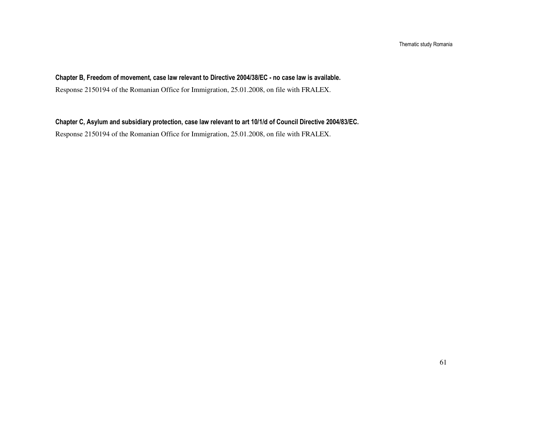### Chapter B, Freedom of movement, case law relevant to Directive 2004/38/EC - no case law is available.

Response 2150194 of the Romanian Office for Immigration, 25.01.2008, on file with FRALEX.

### Chapter C, Asylum and subsidiary protection, case law relevant to art 10/1/d of Council Directive 2004/83/EC.

Response 2150194 of the Romanian Office for Immigration, 25.01.2008, on file with FRALEX.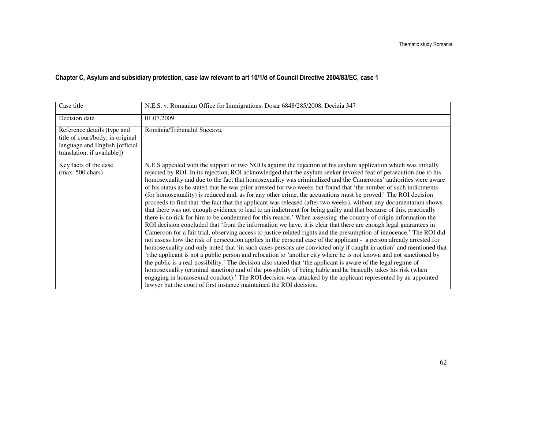### Chapter C, Asylum and subsidiary protection, case law relevant to art 10/1/d of Council Directive 2004/83/EC, case 1

| Case title                                                                                                                       | N.E.S. v. Romanian Office for Immigrations, Dosar 6848/285/2008, Decizia 347                                                                                                                                                                                                                                                                                                                                                                                                                                                                                                                                                                                                                                                                                                                                                                                                                                                                                                                                                                                                                                                                                                                                                                                                                                                                                                                                                                                                                                                                                                                                                                                                                                                                                                                                                                                                                                                                                                                              |
|----------------------------------------------------------------------------------------------------------------------------------|-----------------------------------------------------------------------------------------------------------------------------------------------------------------------------------------------------------------------------------------------------------------------------------------------------------------------------------------------------------------------------------------------------------------------------------------------------------------------------------------------------------------------------------------------------------------------------------------------------------------------------------------------------------------------------------------------------------------------------------------------------------------------------------------------------------------------------------------------------------------------------------------------------------------------------------------------------------------------------------------------------------------------------------------------------------------------------------------------------------------------------------------------------------------------------------------------------------------------------------------------------------------------------------------------------------------------------------------------------------------------------------------------------------------------------------------------------------------------------------------------------------------------------------------------------------------------------------------------------------------------------------------------------------------------------------------------------------------------------------------------------------------------------------------------------------------------------------------------------------------------------------------------------------------------------------------------------------------------------------------------------------|
| Decision date                                                                                                                    | 01.07.2009                                                                                                                                                                                                                                                                                                                                                                                                                                                                                                                                                                                                                                                                                                                                                                                                                                                                                                                                                                                                                                                                                                                                                                                                                                                                                                                                                                                                                                                                                                                                                                                                                                                                                                                                                                                                                                                                                                                                                                                                |
| Reference details (type and<br>title of court/body; in original<br>language and English [official<br>translation, if available]) | România/Tribunalul Suceava,                                                                                                                                                                                                                                                                                                                                                                                                                                                                                                                                                                                                                                                                                                                                                                                                                                                                                                                                                                                                                                                                                                                                                                                                                                                                                                                                                                                                                                                                                                                                                                                                                                                                                                                                                                                                                                                                                                                                                                               |
| Key facts of the case<br>$(max. 500 \text{ chars})$                                                                              | N.E.S appealed with the support of two NGOs against the rejection of his asylum application which was initially<br>rejected by ROI. In its rejection, ROI acknowledged that the asylum seeker invoked fear of persecution due to his<br>homosexuality and due to the fact that homosexuality was criminalized and the Cameroons' authorities were aware<br>of his status as he stated that he was prior arrested for two weeks but found that 'the number of such indictments<br>(for homosexuality) is reduced and, as for any other crime, the accusations must be proved.' The ROI decision<br>proceeds to find that 'the fact that the applicant was released (after two weeks), without any documentation shows<br>that there was not enough evidence to lead to an indictment for being guilty and that because of this, practically<br>there is no rick for him to be condemned for this reason.' When assessing the country of origin information the<br>ROI decision concluded that 'from the information we have, it is clear that there are enough legal guarantees in<br>Cameroon for a fair trial, observing access to justice related rights and the presumption of innocence.' The ROI did<br>not assess how the risk of persecution applies in the personal case of the applicant - a person already arrested for<br>homosexuality and only noted that 'in such cases persons are convicted only if caught in action' and mentioned that<br>'rthe applicant is not a public person and relocation to 'another city where he is not known and not sanctioned by<br>the public is a real possibility.' The decision also stated that 'the applicant is aware of the legal regime of<br>homosexuality (criminal sanction) and of the possibility of being liable and he basically takes his risk (when<br>engaging in homosexual conduct). The ROI decision was attacked by the applicant represented by an appointed<br>lawyer but the court of first instance maintained the ROI decision. |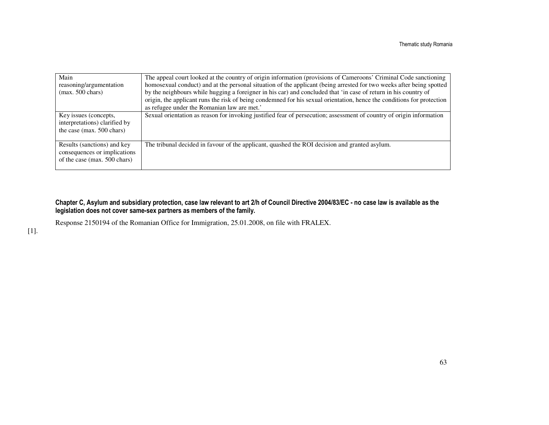| Main                          | The appeal court looked at the country of origin information (provisions of Cameroons' Criminal Code sanctioning       |
|-------------------------------|------------------------------------------------------------------------------------------------------------------------|
| reasoning/argumentation       | homosexual conduct) and at the personal situation of the applicant (being arrested for two weeks after being spotted   |
| $(max. 500 \text{ chars})$    | by the neighbours while hugging a foreigner in his car) and concluded that 'in case of return in his country of        |
|                               | origin, the applicant runs the risk of being condemned for his sexual orientation, hence the conditions for protection |
|                               | as refugee under the Romanian law are met.'                                                                            |
| Key issues (concepts,         | Sexual orientation as reason for invoking justified fear of persecution; assessment of country of origin information   |
| interpretations) clarified by |                                                                                                                        |
| the case (max. 500 chars)     |                                                                                                                        |
|                               |                                                                                                                        |
| Results (sanctions) and key   | The tribunal decided in favour of the applicant, quashed the ROI decision and granted asylum.                          |
| consequences or implications  |                                                                                                                        |
| of the case (max. 500 chars)  |                                                                                                                        |
|                               |                                                                                                                        |

# Chapter C, Asylum and subsidiary protection, case law relevant to art 2/h of Council Directive 2004/83/EC - no case law is available as the legislation does not cover same-sex partners as members of the family.

Response 2150194 of the Romanian Office for Immigration, 25.01.2008, on file with FRALEX.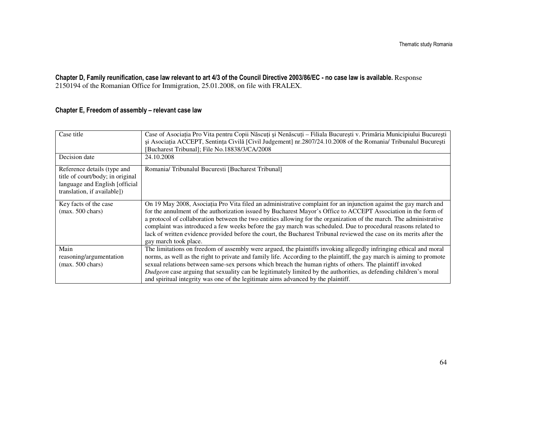# Chapter D, Family reunification, case law relevant to art 4/3 of the Council Directive 2003/86/EC - no case law is available. Response 2150194 of the Romanian Office for Immigration, 25.01.2008, on file with FRALEX.

#### Chapter E, Freedom of assembly – relevant case law

| Case title                                                                                                                        | Case of Asociația Pro Vita pentru Copii Născuți și Nenăscuți – Filiala București v. Primăria Municipiului București<br>și Asociația ACCEPT, Sentința Civilă [Civil Judgement] nr.2807/24.10.2008 of the Romania/ Tribunalul București<br>[Bucharest Tribunal]; File No.18838/3/CA/2008                                                                                                                                                                                                                                                                                                                                      |
|-----------------------------------------------------------------------------------------------------------------------------------|-----------------------------------------------------------------------------------------------------------------------------------------------------------------------------------------------------------------------------------------------------------------------------------------------------------------------------------------------------------------------------------------------------------------------------------------------------------------------------------------------------------------------------------------------------------------------------------------------------------------------------|
| Decision date                                                                                                                     | 24.10.2008                                                                                                                                                                                                                                                                                                                                                                                                                                                                                                                                                                                                                  |
| Reference details (type and<br>title of court/body; in original<br>language and English [official]<br>translation, if available]) | Romania/Tribunalul Bucuresti [Bucharest Tribunal]                                                                                                                                                                                                                                                                                                                                                                                                                                                                                                                                                                           |
| Key facts of the case<br>$(max. 500 \text{ chars})$                                                                               | On 19 May 2008, Asociatia Pro Vita filed an administrative complaint for an injunction against the gay march and<br>for the annulment of the authorization issued by Bucharest Mayor's Office to ACCEPT Association in the form of<br>a protocol of collaboration between the two entities allowing for the organization of the march. The administrative<br>complaint was introduced a few weeks before the gay march was scheduled. Due to procedural reasons related to<br>lack of written evidence provided before the court, the Bucharest Tribunal reviewed the case on its merits after the<br>gay march took place. |
| Main<br>reasoning/argumentation<br>$(max. 500 \text{ chars})$                                                                     | The limitations on freedom of assembly were argued, the plaintiffs invoking allegedly infringing ethical and moral<br>norms, as well as the right to private and family life. According to the plaintiff, the gay march is aiming to promote<br>sexual relations between same-sex persons which breach the human rights of others. The plaintiff invoked<br>Dudgeon case arguing that sexuality can be legitimately limited by the authorities, as defending children's moral<br>and spiritual integrity was one of the legitimate aims advanced by the plaintiff.                                                          |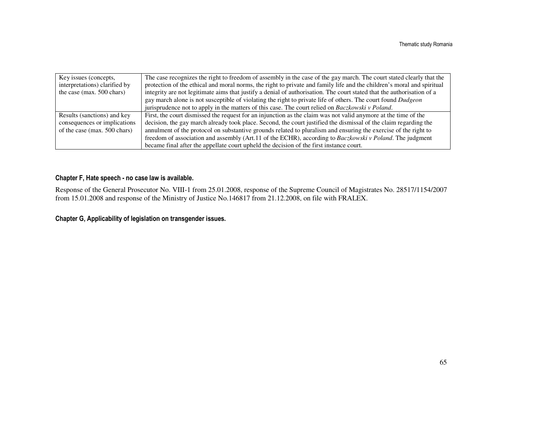| Key issues (concepts,         | The case recognizes the right to freedom of assembly in the case of the gay march. The court stated clearly that the   |
|-------------------------------|------------------------------------------------------------------------------------------------------------------------|
| interpretations) clarified by | protection of the ethical and moral norms, the right to private and family life and the children's moral and spiritual |
| the case (max. $500$ chars)   | integrity are not legitimate aims that justify a denial of authorisation. The court stated that the authorisation of a |
|                               | gay march alone is not susceptible of violating the right to private life of others. The court found Dudgeon           |
|                               | jurisprudence not to apply in the matters of this case. The court relied on Baczkowski v Poland.                       |
| Results (sanctions) and key   | First, the court dismissed the request for an injunction as the claim was not valid anymore at the time of the         |
| consequences or implications  | decision, the gay march already took place. Second, the court justified the dismissal of the claim regarding the       |
| of the case (max. 500 chars)  | annulment of the protocol on substantive grounds related to pluralism and ensuring the exercise of the right to        |
|                               | freedom of association and assembly (Art.11 of the ECHR), according to Baczkowski v Poland. The judgment               |
|                               | became final after the appellate court upheld the decision of the first instance court.                                |

### Chapter F, Hate speech - no case law is available.

Response of the General Prosecutor No. VIII-1 from 25.01.2008, response of the Supreme Council of Magistrates No. 28517/1154/2007 from 15.01.2008 and response of the Ministry of Justice No.146817 from 21.12.2008, on file with FRALEX.

#### Chapter G, Applicability of legislation on transgender issues.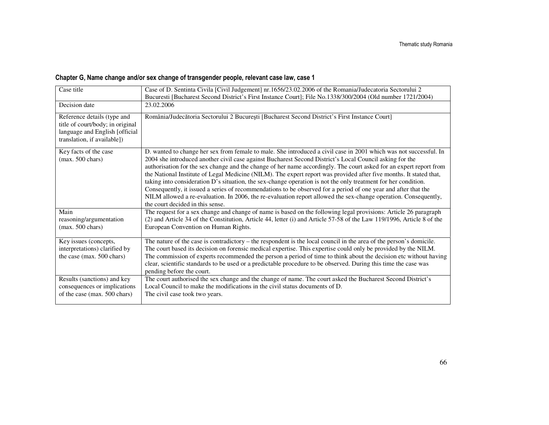### Chapter G, Name change and/or sex change of transgender people, relevant case law, case 1

| Case title                                                                                                                       | Case of D. Sentinta Civila [Civil Judgement] nr.1656/23.02.2006 of the Romania/Judecatoria Sectorului 2<br>Bucuresti [Bucharest Second District's First Instance Court]; File No.1338/300/2004 (Old number 1721/2004)                                                                                                                                                                                                                                                                                                                                                                                                                                                                                                                                                                                                                                               |
|----------------------------------------------------------------------------------------------------------------------------------|---------------------------------------------------------------------------------------------------------------------------------------------------------------------------------------------------------------------------------------------------------------------------------------------------------------------------------------------------------------------------------------------------------------------------------------------------------------------------------------------------------------------------------------------------------------------------------------------------------------------------------------------------------------------------------------------------------------------------------------------------------------------------------------------------------------------------------------------------------------------|
| Decision date                                                                                                                    | 23.02.2006                                                                                                                                                                                                                                                                                                                                                                                                                                                                                                                                                                                                                                                                                                                                                                                                                                                          |
| Reference details (type and<br>title of court/body; in original<br>language and English [official<br>translation, if available]) | România/Judecătoria Sectorului 2 București [Bucharest Second District's First Instance Court]                                                                                                                                                                                                                                                                                                                                                                                                                                                                                                                                                                                                                                                                                                                                                                       |
| Key facts of the case<br>$(max. 500 \text{ chars})$                                                                              | D. wanted to change her sex from female to male. She introduced a civil case in 2001 which was not successful. In<br>2004 she introduced another civil case against Bucharest Second District's Local Council asking for the<br>authorisation for the sex change and the change of her name accordingly. The court asked for an expert report from<br>the National Institute of Legal Medicine (NILM). The expert report was provided after five months. It stated that,<br>taking into consideration D's situation, the sex-change operation is not the only treatment for her condition.<br>Consequently, it issued a series of recommendations to be observed for a period of one year and after that the<br>NILM allowed a re-evaluation. In 2006, the re-evaluation report allowed the sex-change operation. Consequently,<br>the court decided in this sense. |
| Main<br>reasoning/argumentation<br>$(max. 500 \text{ chars})$                                                                    | The request for a sex change and change of name is based on the following legal provisions: Article 26 paragraph<br>(2) and Article 34 of the Constitution, Article 44, letter (i) and Article 57-58 of the Law 119/1996, Article 8 of the<br>European Convention on Human Rights.                                                                                                                                                                                                                                                                                                                                                                                                                                                                                                                                                                                  |
| Key issues (concepts,<br>interpretations) clarified by<br>the case (max. 500 chars)                                              | The nature of the case is contradictory – the respondent is the local council in the area of the person's domicile.<br>The court based its decision on forensic medical expertise. This expertise could only be provided by the NILM.<br>The commission of experts recommended the person a period of time to think about the decision etc without having<br>clear, scientific standards to be used or a predictable procedure to be observed. During this time the case was<br>pending before the court.                                                                                                                                                                                                                                                                                                                                                           |
| Results (sanctions) and key<br>consequences or implications<br>of the case (max. 500 chars)                                      | The court authorised the sex change and the change of name. The court asked the Bucharest Second District's<br>Local Council to make the modifications in the civil status documents of D.<br>The civil case took two years.                                                                                                                                                                                                                                                                                                                                                                                                                                                                                                                                                                                                                                        |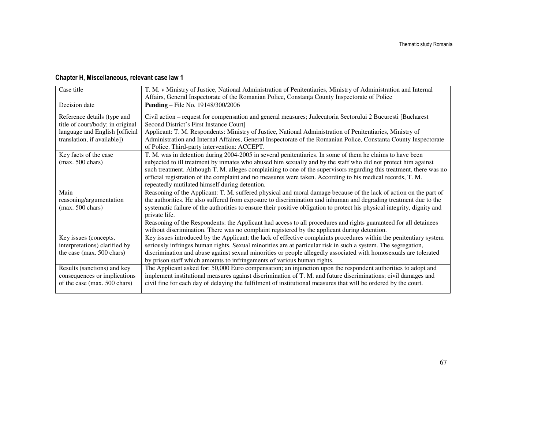### Chapter H, Miscellaneous, relevant case law 1

| Case title                       | T. M. v Ministry of Justice, National Administration of Penitentiaries, Ministry of Administration and Internal<br>Affairs, General Inspectorate of the Romanian Police, Constanta County Inspectorate of Police |
|----------------------------------|------------------------------------------------------------------------------------------------------------------------------------------------------------------------------------------------------------------|
| Decision date                    | <b>Pending</b> – File No. 19148/300/2006                                                                                                                                                                         |
| Reference details (type and      | Civil action – request for compensation and general measures; Judecatoria Sectorului 2 Bucuresti [Bucharest]                                                                                                     |
| title of court/body; in original | Second District's First Instance Court]                                                                                                                                                                          |
| language and English [official   | Applicant: T. M. Respondents: Ministry of Justice, National Administration of Penitentiaries, Ministry of                                                                                                        |
| translation, if available])      | Administration and Internal Affaires, General Inspectorate of the Romanian Police, Constanta County Inspectorate                                                                                                 |
|                                  | of Police. Third-party intervention: ACCEPT.                                                                                                                                                                     |
| Key facts of the case            | T. M. was in detention during 2004-2005 in several penitentiaries. In some of them he claims to have been                                                                                                        |
| $(max. 500 \text{ chars})$       | subjected to ill treatment by inmates who abused him sexually and by the staff who did not protect him against                                                                                                   |
|                                  | such treatment. Although T. M. alleges complaining to one of the supervisors regarding this treatment, there was no                                                                                              |
|                                  | official registration of the complaint and no measures were taken. According to his medical records, T. M.                                                                                                       |
|                                  | repeatedly mutilated himself during detention.                                                                                                                                                                   |
| Main                             | Reasoning of the Applicant: T. M. suffered physical and moral damage because of the lack of action on the part of                                                                                                |
| reasoning/argumentation          | the authorities. He also suffered from exposure to discrimination and inhuman and degrading treatment due to the                                                                                                 |
| $(max. 500 \text{ chars})$       | systematic failure of the authorities to ensure their positive obligation to protect his physical integrity, dignity and                                                                                         |
|                                  | private life.                                                                                                                                                                                                    |
|                                  | Reasoning of the Respondents: the Applicant had access to all procedures and rights guaranteed for all detainees                                                                                                 |
|                                  | without discrimination. There was no complaint registered by the applicant during detention.                                                                                                                     |
| Key issues (concepts,            | Key issues introduced by the Applicant: the lack of effective complaints procedures within the penitentiary system                                                                                               |
| interpretations) clarified by    | seriously infringes human rights. Sexual minorities are at particular risk in such a system. The segregation,                                                                                                    |
| the case (max. 500 chars)        | discrimination and abuse against sexual minorities or people allegedly associated with homosexuals are tolerated                                                                                                 |
|                                  | by prison staff which amounts to infringements of various human rights.                                                                                                                                          |
| Results (sanctions) and key      | The Applicant asked for: 50,000 Euro compensation; an injunction upon the respondent authorities to adopt and                                                                                                    |
| consequences or implications     | implement institutional measures against discrimination of T. M. and future discriminations; civil damages and                                                                                                   |
| of the case (max. 500 chars)     | civil fine for each day of delaying the fulfilment of institutional measures that will be ordered by the court.                                                                                                  |
|                                  |                                                                                                                                                                                                                  |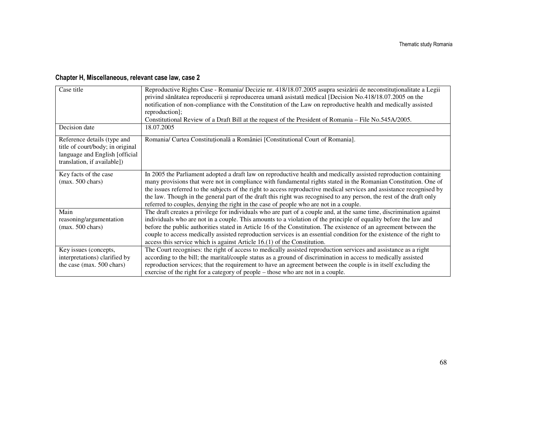### Chapter H, Miscellaneous, relevant case law, case 2

| Case title                                                                                                                       | Reproductive Rights Case - Romania/ Decizie nr. 418/18.07.2005 asupra sesizării de neconstituționalitate a Legii<br>privind sănătatea reproducerii și reproducerea umană asistată medical [Decision No.418/18.07.2005 on the<br>notification of non-compliance with the Constitution of the Law on reproductive health and medically assisted<br>reproduction];<br>Constitutional Review of a Draft Bill at the request of the President of Romania – File No.545A/2005.                                                                                                      |
|----------------------------------------------------------------------------------------------------------------------------------|-------------------------------------------------------------------------------------------------------------------------------------------------------------------------------------------------------------------------------------------------------------------------------------------------------------------------------------------------------------------------------------------------------------------------------------------------------------------------------------------------------------------------------------------------------------------------------|
| Decision date                                                                                                                    | 18.07.2005                                                                                                                                                                                                                                                                                                                                                                                                                                                                                                                                                                    |
| Reference details (type and<br>title of court/body; in original<br>language and English [official<br>translation, if available]) | Romania/ Curtea Constitutională a României [Constitutional Court of Romania].                                                                                                                                                                                                                                                                                                                                                                                                                                                                                                 |
| Key facts of the case<br>$(max. 500 \text{ chars})$                                                                              | In 2005 the Parliament adopted a draft law on reproductive health and medically assisted reproduction containing<br>many provisions that were not in compliance with fundamental rights stated in the Romanian Constitution. One of<br>the issues referred to the subjects of the right to access reproductive medical services and assistance recognised by<br>the law. Though in the general part of the draft this right was recognised to any person, the rest of the draft only<br>referred to couples, denying the right in the case of people who are not in a couple. |
| Main<br>reasoning/argumentation<br>$(max. 500 \text{ chars})$                                                                    | The draft creates a privilege for individuals who are part of a couple and, at the same time, discrimination against<br>individuals who are not in a couple. This amounts to a violation of the principle of equality before the law and<br>before the public authorities stated in Article 16 of the Constitution. The existence of an agreement between the<br>couple to access medically assisted reproduction services is an essential condition for the existence of the right to<br>access this service which is against Article $16(1)$ of the Constitution.           |
| Key issues (concepts,<br>interpretations) clarified by<br>the case (max. 500 chars)                                              | The Court recognises: the right of access to medically assisted reproduction services and assistance as a right<br>according to the bill; the marital/couple status as a ground of discrimination in access to medically assisted<br>reproduction services; that the requirement to have an agreement between the couple is in itself excluding the<br>exercise of the right for a category of people – those who are not in a couple.                                                                                                                                        |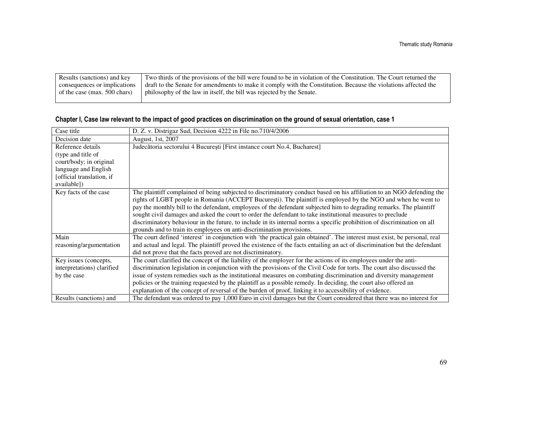| Results (sanctions) and key  | Two thirds of the provisions of the bill were found to be in violation of the Constitution. The Court returned the |
|------------------------------|--------------------------------------------------------------------------------------------------------------------|
| consequences or implications | draft to the Senate for amendments to make it comply with the Constitution. Because the violations affected the    |
| of the case (max. 500 chars) | philosophy of the law in itself, the bill was rejected by the Senate.                                              |
|                              |                                                                                                                    |

| Case title                                                         | D. Z. v. Distrigaz Sud, Decision 4222 in File no.710/4/2006                                                                                                                                                                                                                                                                                                                                                                                                                                                                                                                                                                                                                                                                                                                                                                                                                                                                                   |
|--------------------------------------------------------------------|-----------------------------------------------------------------------------------------------------------------------------------------------------------------------------------------------------------------------------------------------------------------------------------------------------------------------------------------------------------------------------------------------------------------------------------------------------------------------------------------------------------------------------------------------------------------------------------------------------------------------------------------------------------------------------------------------------------------------------------------------------------------------------------------------------------------------------------------------------------------------------------------------------------------------------------------------|
| Decision date                                                      | August, 1st, 2007                                                                                                                                                                                                                                                                                                                                                                                                                                                                                                                                                                                                                                                                                                                                                                                                                                                                                                                             |
| Reference details                                                  | Judecătoria sectorului 4 București [First instance court No.4, Bucharest]                                                                                                                                                                                                                                                                                                                                                                                                                                                                                                                                                                                                                                                                                                                                                                                                                                                                     |
| (type and title of                                                 |                                                                                                                                                                                                                                                                                                                                                                                                                                                                                                                                                                                                                                                                                                                                                                                                                                                                                                                                               |
| court/body; in original                                            |                                                                                                                                                                                                                                                                                                                                                                                                                                                                                                                                                                                                                                                                                                                                                                                                                                                                                                                                               |
| language and English                                               |                                                                                                                                                                                                                                                                                                                                                                                                                                                                                                                                                                                                                                                                                                                                                                                                                                                                                                                                               |
| [official translation, if                                          |                                                                                                                                                                                                                                                                                                                                                                                                                                                                                                                                                                                                                                                                                                                                                                                                                                                                                                                                               |
| available])                                                        |                                                                                                                                                                                                                                                                                                                                                                                                                                                                                                                                                                                                                                                                                                                                                                                                                                                                                                                                               |
| Key facts of the case<br>Main<br>reasoning/argumentation           | The plaintiff complained of being subjected to discriminatory conduct based on his affiliation to an NGO defending the<br>rights of LGBT people in Romania (ACCEPT Bucuresti). The plaintiff is employed by the NGO and when he went to<br>pay the monthly bill to the defendant, employees of the defendant subjected him to degrading remarks. The plaintiff<br>sought civil damages and asked the court to order the defendant to take institutional measures to preclude<br>discriminatory behaviour in the future, to include in its internal norms a specific prohibition of discrimination on all<br>grounds and to train its employees on anti-discrimination provisions.<br>The court defined 'interest' in conjunction with 'the practical gain obtained'. The interest must exist, be personal, real<br>and actual and legal. The plaintiff proved the existence of the facts entailing an act of discrimination but the defendant |
|                                                                    | did not prove that the facts proved are not discriminatory.                                                                                                                                                                                                                                                                                                                                                                                                                                                                                                                                                                                                                                                                                                                                                                                                                                                                                   |
| Key issues (concepts,<br>interpretations) clarified<br>by the case | The court clarified the concept of the liability of the employer for the actions of its employees under the anti-<br>discrimination legislation in conjunction with the provisions of the Civil Code for torts. The court also discussed the<br>issue of system remedies such as the institutional measures on combating discrimination and diversity management<br>policies or the training requested by the plaintiff as a possible remedy. In deciding, the court also offered an<br>explanation of the concept of reversal of the burden of proof, linking it to accessibility of evidence.                                                                                                                                                                                                                                                                                                                                               |
| Results (sanctions) and                                            | The defendant was ordered to pay 1,000 Euro in civil damages but the Court considered that there was no interest for                                                                                                                                                                                                                                                                                                                                                                                                                                                                                                                                                                                                                                                                                                                                                                                                                          |

#### Chapter I, Case law relevant to the impact of good practices on discrimination on the ground of sexual orientation, case 1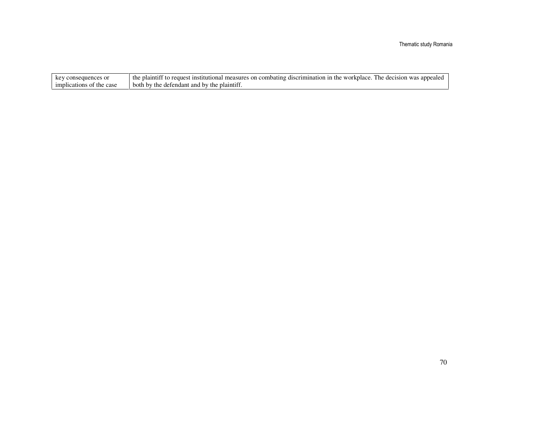| key consequences or      | the plaintiff to request institutional measures on combating discrimination in the workplace. The decision was appealed |
|--------------------------|-------------------------------------------------------------------------------------------------------------------------|
| implications of the case | both by the defendant and by the plaintiff.                                                                             |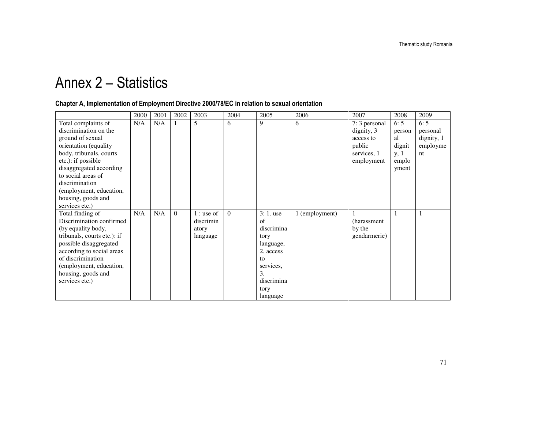# Annex 2 – Statistics

#### Chapter A, Implementation of Employment Directive 2000/78/EC in relation to sexual orientation

|                             | 2000 | 2001 | 2002     | 2003        | 2004     | 2005       | 2006         | 2007          | 2008   | 2009       |
|-----------------------------|------|------|----------|-------------|----------|------------|--------------|---------------|--------|------------|
| Total complaints of         | N/A  | N/A  |          | 5           | 6        | 9          | 6            | 7: 3 personal | 6:5    | 6:5        |
| discrimination on the       |      |      |          |             |          |            |              | dignity, 3    | person | personal   |
| ground of sexual            |      |      |          |             |          |            |              | access to     | al     | dignity, 1 |
| orientation (equality       |      |      |          |             |          |            |              | public        | dignit | employme   |
| body, tribunals, courts     |      |      |          |             |          |            |              | services, 1   | y, 1   | nt         |
| etc.): if possible          |      |      |          |             |          |            |              | employment    | emplo  |            |
| disaggregated according     |      |      |          |             |          |            |              |               | yment  |            |
| to social areas of          |      |      |          |             |          |            |              |               |        |            |
| discrimination              |      |      |          |             |          |            |              |               |        |            |
| (employment, education,     |      |      |          |             |          |            |              |               |        |            |
| housing, goods and          |      |      |          |             |          |            |              |               |        |            |
| services etc.)              |      |      |          |             |          |            |              |               |        |            |
| Total finding of            | N/A  | N/A  | $\Omega$ | $1:$ use of | $\Omega$ | $3:1.$ use | (employment) |               |        |            |
| Discrimination confirmed    |      |      |          | discrimin   |          | of         |              | (harassment   |        |            |
| (by equality body,          |      |      |          | atory       |          | discrimina |              | by the        |        |            |
| tribunals, courts etc.): if |      |      |          | language    |          | tory       |              | gendarmerie)  |        |            |
| possible disaggregated      |      |      |          |             |          | language,  |              |               |        |            |
| according to social areas   |      |      |          |             |          | 2. access  |              |               |        |            |
| of discrimination           |      |      |          |             |          | to         |              |               |        |            |
| (employment, education,     |      |      |          |             |          | services,  |              |               |        |            |
| housing, goods and          |      |      |          |             |          | 3.         |              |               |        |            |
| services etc.)              |      |      |          |             |          | discrimina |              |               |        |            |
|                             |      |      |          |             |          | tory       |              |               |        |            |
|                             |      |      |          |             |          | language   |              |               |        |            |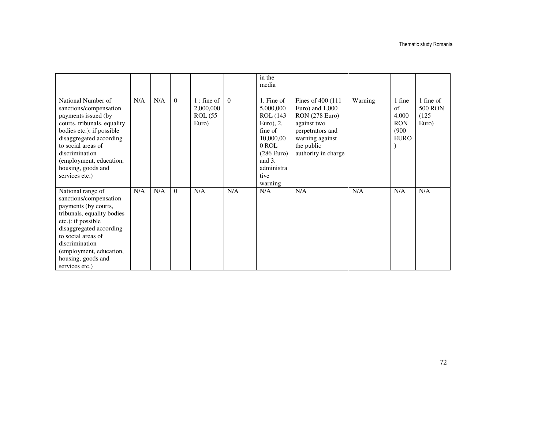|                                      |     |     |          |              |          | in the       |                       |         |             |                |
|--------------------------------------|-----|-----|----------|--------------|----------|--------------|-----------------------|---------|-------------|----------------|
|                                      |     |     |          |              |          | media        |                       |         |             |                |
|                                      |     |     |          |              |          |              |                       |         |             |                |
| National Number of                   | N/A | N/A | $\Omega$ | $1:$ fine of | $\theta$ | 1. Fine of   | Fines of 400 (111)    | Warning | 1 fine      | 1 fine of      |
| sanctions/compensation               |     |     |          | 2,000,000    |          | 5,000,000    | Euro) and $1,000$     |         | of          | <b>500 RON</b> |
| payments issued (by                  |     |     |          | ROL(55)      |          | ROL (143)    | <b>RON</b> (278 Euro) |         | 4.000       | (125)          |
| courts, tribunals, equality          |     |     |          | Euro)        |          | Euro), $2$ . | against two           |         | <b>RON</b>  | Euro)          |
| bodies etc.): if possible            |     |     |          |              |          | fine of      | perpetrators and      |         | (900)       |                |
| disaggregated according              |     |     |          |              |          | 10,000,00    | warning against       |         | <b>EURO</b> |                |
| to social areas of                   |     |     |          |              |          | 0 ROL        | the public            |         |             |                |
| discrimination                       |     |     |          |              |          | $(286)$ Euro | authority in charge   |         |             |                |
| (employment, education,              |     |     |          |              |          | and 3.       |                       |         |             |                |
| housing, goods and                   |     |     |          |              |          | administra   |                       |         |             |                |
| services etc.)                       |     |     |          |              |          | tive         |                       |         |             |                |
|                                      |     |     |          |              |          | warning      |                       |         |             |                |
| National range of                    | N/A | N/A | $\Omega$ | N/A          | N/A      | N/A          | N/A                   | N/A     | N/A         | N/A            |
| sanctions/compensation               |     |     |          |              |          |              |                       |         |             |                |
| payments (by courts,                 |     |     |          |              |          |              |                       |         |             |                |
| tribunals, equality bodies           |     |     |          |              |          |              |                       |         |             |                |
| etc.): if possible                   |     |     |          |              |          |              |                       |         |             |                |
| disaggregated according              |     |     |          |              |          |              |                       |         |             |                |
| to social areas of<br>discrimination |     |     |          |              |          |              |                       |         |             |                |
|                                      |     |     |          |              |          |              |                       |         |             |                |
| (employment, education,              |     |     |          |              |          |              |                       |         |             |                |
| housing, goods and<br>services etc.) |     |     |          |              |          |              |                       |         |             |                |
|                                      |     |     |          |              |          |              |                       |         |             |                |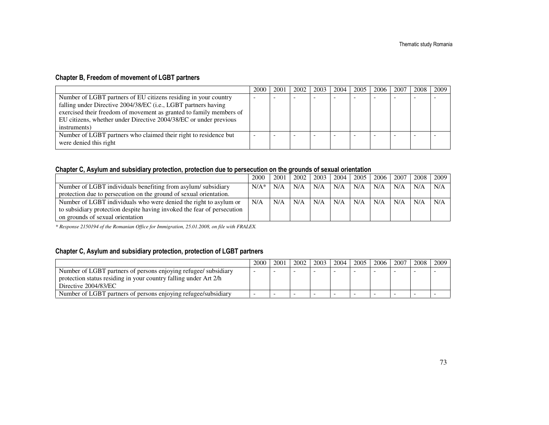### Chapter B, Freedom of movement of LGBT partners

|                                                                     | 2000 | 2001 | 2002 | 2003 | 2004 | 2005 | 2006 | 2007 | 2008 | 2009 |
|---------------------------------------------------------------------|------|------|------|------|------|------|------|------|------|------|
| Number of LGBT partners of EU citizens residing in your country     |      |      |      |      |      |      |      |      |      |      |
| falling under Directive 2004/38/EC (i.e., LGBT partners having      |      |      |      |      |      |      |      |      |      |      |
| exercised their freedom of movement as granted to family members of |      |      |      |      |      |      |      |      |      |      |
| EU citizens, whether under Directive 2004/38/EC or under previous   |      |      |      |      |      |      |      |      |      |      |
| instruments)                                                        |      |      |      |      |      |      |      |      |      |      |
| Number of LGBT partners who claimed their right to residence but    |      |      |      |      |      |      |      |      |      |      |
| were denied this right                                              |      |      |      |      |      |      |      |      |      |      |

#### Chapter C, Asylum and subsidiary protection, protection due to persecution on the grounds of sexual orientation

|                                                                         | 2000    | 2001 | 2002 | 2003 | 2004 | 2005 | 2006 | 2007 | 2008 | 2009 |
|-------------------------------------------------------------------------|---------|------|------|------|------|------|------|------|------|------|
| Number of LGBT individuals benefiting from asylum/subsidiary            | $N/A^*$ | N/A  | N/A  | N/A  | N/A  | N/A  | N/A  | N/A  | N/A  | N/A  |
| protection due to persecution on the ground of sexual orientation.      |         |      |      |      |      |      |      |      |      |      |
| Number of LGBT individuals who were denied the right to asylum or       | N/A     | N/A  | N/A  | N/A  | N/A  | N/A  | N/A  | N/A  | N/A  | N/A  |
| to subsidiary protection despite having invoked the fear of persecution |         |      |      |      |      |      |      |      |      |      |
| on grounds of sexual orientation                                        |         |      |      |      |      |      |      |      |      |      |

*\* Response 2150194 of the Romanian Office for Immigration, 25.01.2008, on file with FRALEX.* 

### Chapter C, Asylum and subsidiary protection, protection of LGBT partners

|                                                                  | 2000 | 2001 | 2002 | 2003 | 2004 | 2005                     | 2006 | 2007 | 2008 | 2009 |
|------------------------------------------------------------------|------|------|------|------|------|--------------------------|------|------|------|------|
| Number of LGBT partners of persons enjoying refugee/ subsidiary  |      |      |      |      |      |                          |      |      |      |      |
| protection status residing in your country falling under Art 2/h |      |      |      |      |      |                          |      |      |      |      |
| Directive 2004/83/EC                                             |      |      |      |      |      |                          |      |      |      |      |
| Number of LGBT partners of persons enjoying refugee/subsidiary   |      |      |      |      |      | $\overline{\phantom{0}}$ |      |      |      |      |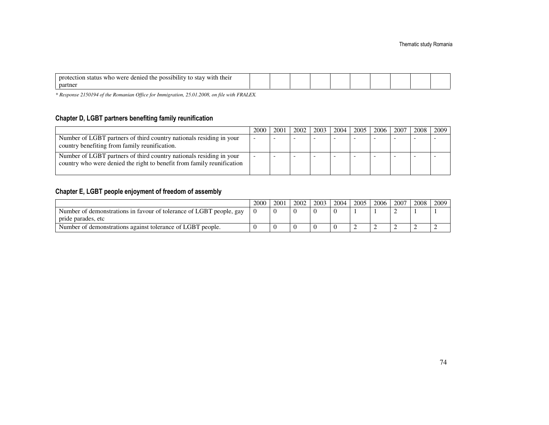| .<br>denied the<br>who<br>were<br>their<br>prote<br>with<br>-possibility<br>status<br>stav<br>ection<br>V IO |  |  |  |  |  |
|--------------------------------------------------------------------------------------------------------------|--|--|--|--|--|
| partner                                                                                                      |  |  |  |  |  |

*\* Response 2150194 of the Romanian Office for Immigration, 25.01.2008, on file with FRALEX.* 

# Chapter D, LGBT partners benefiting family reunification

|                                                                        | 2000 | 2001 | 2002 | 2003 | 2004 | 2005 | 2006 | 2007 | 2008 | 2009 |
|------------------------------------------------------------------------|------|------|------|------|------|------|------|------|------|------|
| Number of LGBT partners of third country nationals residing in your    |      |      |      |      |      |      |      |      |      |      |
| country benefiting from family reunification.                          |      |      |      |      |      |      |      |      |      |      |
| Number of LGBT partners of third country nationals residing in your    |      |      |      |      |      |      |      |      |      |      |
| country who were denied the right to benefit from family reunification |      |      |      |      |      |      |      |      |      |      |
|                                                                        |      |      |      |      |      |      |      |      |      |      |

### Chapter E, LGBT people enjoyment of freedom of assembly

|                                                                     | 2000 | 2001 | 2002 | 2003 | 2004 | 2005 | 2006 | 2007 | 2008 | 2009 |
|---------------------------------------------------------------------|------|------|------|------|------|------|------|------|------|------|
| Number of demonstrations in favour of tolerance of LGBT people, gay |      |      |      |      |      |      |      | ∸    |      |      |
| pride parades, etc                                                  |      |      |      |      |      |      |      |      |      |      |
| Number of demonstrations against tolerance of LGBT people.          |      |      |      |      |      |      |      | ∼    | -    |      |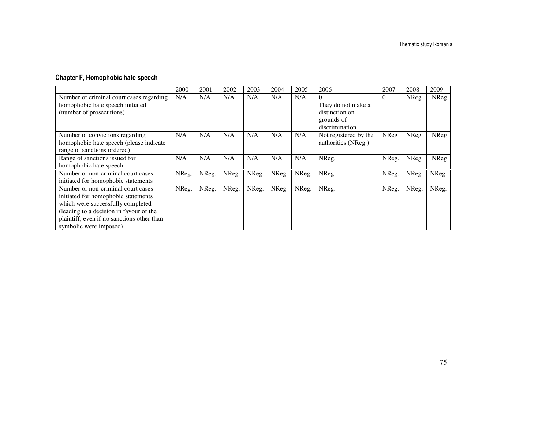# Chapter F, Homophobic hate speech

|                                            | 2000  | 2001  | 2002  | 2003  | 2004  | 2005  | 2006                  | 2007     | 2008        | 2009        |
|--------------------------------------------|-------|-------|-------|-------|-------|-------|-----------------------|----------|-------------|-------------|
| Number of criminal court cases regarding   | N/A   | N/A   | N/A   | N/A   | N/A   | N/A   | $\Omega$              | $\theta$ | <b>NReg</b> | NReg        |
| homophobic hate speech initiated           |       |       |       |       |       |       | They do not make a    |          |             |             |
| (number of prosecutions)                   |       |       |       |       |       |       | distinction on        |          |             |             |
|                                            |       |       |       |       |       |       | grounds of            |          |             |             |
|                                            |       |       |       |       |       |       | discrimination.       |          |             |             |
| Number of convictions regarding            | N/A   | N/A   | N/A   | N/A   | N/A   | N/A   | Not registered by the | NReg     | <b>NReg</b> | <b>NReg</b> |
| homophobic hate speech (please indicate    |       |       |       |       |       |       | authorities (NReg.)   |          |             |             |
| range of sanctions ordered)                |       |       |       |       |       |       |                       |          |             |             |
| Range of sanctions issued for              | N/A   | N/A   | N/A   | N/A   | N/A   | N/A   | NReg.                 | NReg.    | <b>NReg</b> | NReg        |
| homophobic hate speech                     |       |       |       |       |       |       |                       |          |             |             |
| Number of non-criminal court cases         | NReg. | NReg. | NReg. | NReg. | NReg. | NReg. | NReg.                 | NReg.    | NReg.       | NReg.       |
| initiated for homophobic statements        |       |       |       |       |       |       |                       |          |             |             |
| Number of non-criminal court cases         | NReg. | NReg. | NReg. | NReg. | NReg. | NReg. | NReg.                 | NReg.    | NReg.       | NReg.       |
| initiated for homophobic statements        |       |       |       |       |       |       |                       |          |             |             |
| which were successfully completed          |       |       |       |       |       |       |                       |          |             |             |
| (leading to a decision in favour of the    |       |       |       |       |       |       |                       |          |             |             |
| plaintiff, even if no sanctions other than |       |       |       |       |       |       |                       |          |             |             |
| symbolic were imposed)                     |       |       |       |       |       |       |                       |          |             |             |